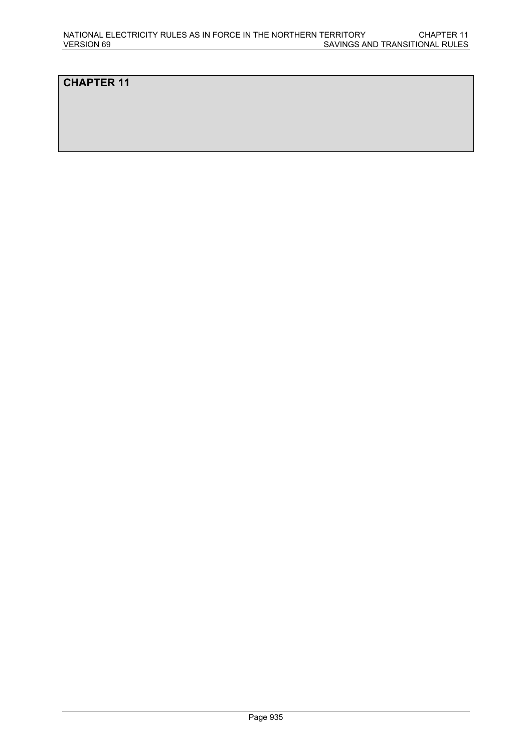## **CHAPTER 11**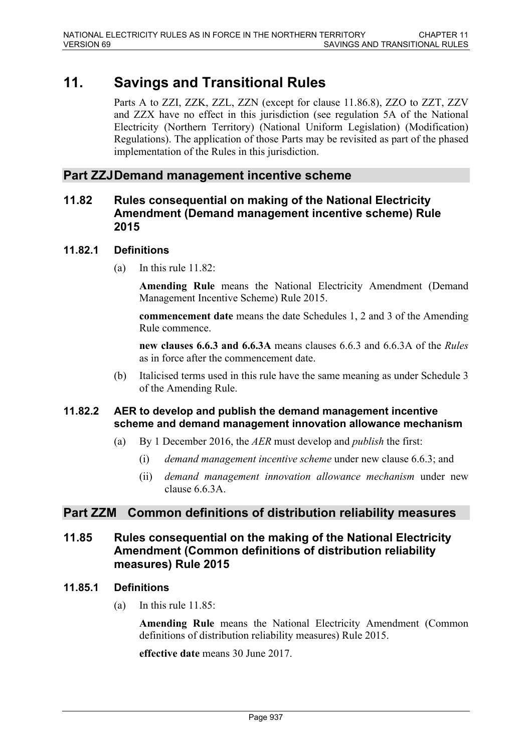# **11. Savings and Transitional Rules**

Parts A to ZZI, ZZK, ZZL, ZZN (except for clause 11.86.8), ZZO to ZZT, ZZV and ZZX have no effect in this jurisdiction (see regulation 5A of the National Electricity (Northern Territory) (National Uniform Legislation) (Modification) Regulations). The application of those Parts may be revisited as part of the phased implementation of the Rules in this jurisdiction.

## **Part ZZJDemand management incentive scheme**

## **11.82 Rules consequential on making of the National Electricity Amendment (Demand management incentive scheme) Rule 2015**

## **11.82.1 Definitions**

(a) In this rule 11.82:

**Amending Rule** means the National Electricity Amendment (Demand Management Incentive Scheme) Rule 2015.

**commencement date** means the date Schedules 1, 2 and 3 of the Amending Rule commence.

**new clauses 6.6.3 and 6.6.3A** means clauses 6.6.3 and 6.6.3A of the *Rules* as in force after the commencement date.

(b) Italicised terms used in this rule have the same meaning as under Schedule 3 of the Amending Rule.

## **11.82.2 AER to develop and publish the demand management incentive scheme and demand management innovation allowance mechanism**

- (a) By 1 December 2016, the *AER* must develop and *publish* the first:
	- (i) *demand management incentive scheme* under new clause 6.6.3; and
	- (ii) *demand management innovation allowance mechanism* under new clause  $6.6.3A$

## **Part ZZM Common definitions of distribution reliability measures**

## **11.85 Rules consequential on the making of the National Electricity Amendment (Common definitions of distribution reliability measures) Rule 2015**

#### **11.85.1 Definitions**

(a) In this rule 11.85:

**Amending Rule** means the National Electricity Amendment (Common definitions of distribution reliability measures) Rule 2015.

**effective date** means 30 June 2017.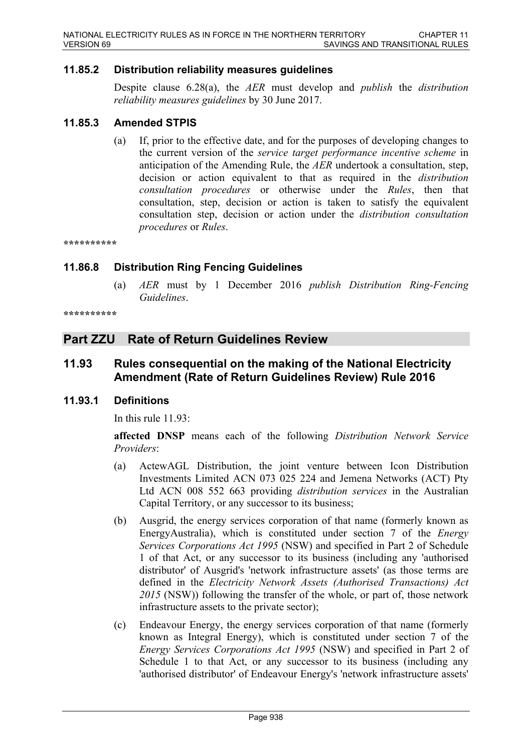## **11.85.2 Distribution reliability measures guidelines**

Despite clause 6.28(a), the *AER* must develop and *publish* the *distribution reliability measures guidelines* by 30 June 2017.

#### **11.85.3 Amended STPIS**

(a) If, prior to the effective date, and for the purposes of developing changes to the current version of the *service target performance incentive scheme* in anticipation of the Amending Rule, the *AER* undertook a consultation, step, decision or action equivalent to that as required in the *distribution consultation procedures* or otherwise under the *Rules*, then that consultation, step, decision or action is taken to satisfy the equivalent consultation step, decision or action under the *distribution consultation procedures* or *Rules*.

**\*\*\*\*\*\*\*\*\*\***

#### **11.86.8 Distribution Ring Fencing Guidelines**

(a) *AER* must by 1 December 2016 *publish Distribution Ring-Fencing Guidelines*.

```
**********
```
## **Part ZZU Rate of Return Guidelines Review**

## **11.93 Rules consequential on the making of the National Electricity Amendment (Rate of Return Guidelines Review) Rule 2016**

#### **11.93.1 Definitions**

In this rule 11.93:

**affected DNSP** means each of the following *Distribution Network Service Providers*:

- (a) ActewAGL Distribution, the joint venture between Icon Distribution Investments Limited ACN 073 025 224 and Jemena Networks (ACT) Pty Ltd ACN 008 552 663 providing *distribution services* in the Australian Capital Territory, or any successor to its business;
- (b) Ausgrid, the energy services corporation of that name (formerly known as EnergyAustralia), which is constituted under section 7 of the *Energy Services Corporations Act 1995* (NSW) and specified in Part 2 of Schedule 1 of that Act, or any successor to its business (including any 'authorised distributor' of Ausgrid's 'network infrastructure assets' (as those terms are defined in the *Electricity Network Assets (Authorised Transactions) Act 2015* (NSW)) following the transfer of the whole, or part of, those network infrastructure assets to the private sector);
- (c) Endeavour Energy, the energy services corporation of that name (formerly known as Integral Energy), which is constituted under section 7 of the *Energy Services Corporations Act 1995* (NSW) and specified in Part 2 of Schedule 1 to that Act, or any successor to its business (including any 'authorised distributor' of Endeavour Energy's 'network infrastructure assets'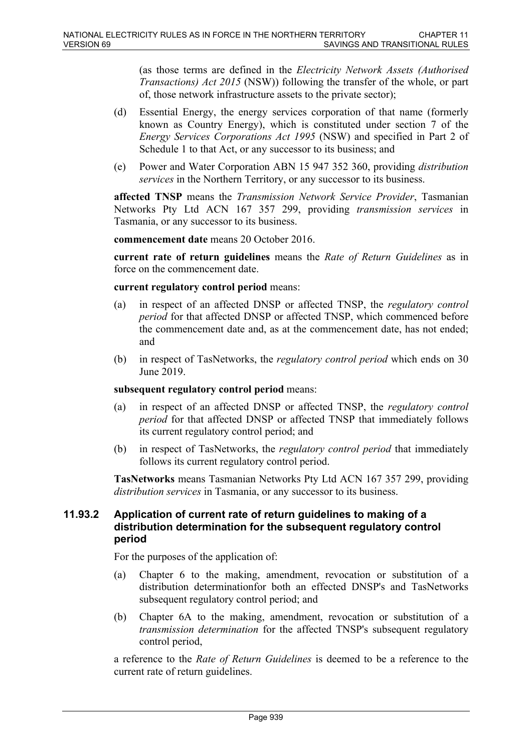(as those terms are defined in the *Electricity Network Assets (Authorised Transactions) Act 2015* (NSW)) following the transfer of the whole, or part of, those network infrastructure assets to the private sector);

- (d) Essential Energy, the energy services corporation of that name (formerly known as Country Energy), which is constituted under section 7 of the *Energy Services Corporations Act 1995* (NSW) and specified in Part 2 of Schedule 1 to that Act, or any successor to its business; and
- (e) Power and Water Corporation ABN 15 947 352 360, providing *distribution services* in the Northern Territory, or any successor to its business.

**affected TNSP** means the *Transmission Network Service Provider*, Tasmanian Networks Pty Ltd ACN 167 357 299, providing *transmission services* in Tasmania, or any successor to its business.

**commencement date** means 20 October 2016.

**current rate of return guidelines** means the *Rate of Return Guidelines* as in force on the commencement date.

#### **current regulatory control period** means:

- (a) in respect of an affected DNSP or affected TNSP, the *regulatory control period* for that affected DNSP or affected TNSP, which commenced before the commencement date and, as at the commencement date, has not ended; and
- (b) in respect of TasNetworks, the *regulatory control period* which ends on 30 June 2019.

#### **subsequent regulatory control period** means:

- (a) in respect of an affected DNSP or affected TNSP, the *regulatory control period* for that affected DNSP or affected TNSP that immediately follows its current regulatory control period; and
- (b) in respect of TasNetworks, the *regulatory control period* that immediately follows its current regulatory control period.

**TasNetworks** means Tasmanian Networks Pty Ltd ACN 167 357 299, providing *distribution services* in Tasmania, or any successor to its business.

## **11.93.2 Application of current rate of return guidelines to making of a distribution determination for the subsequent regulatory control period**

For the purposes of the application of:

- (a) Chapter 6 to the making, amendment, revocation or substitution of a distribution determinationfor both an effected DNSP's and TasNetworks subsequent regulatory control period; and
- (b) Chapter 6A to the making, amendment, revocation or substitution of a *transmission determination* for the affected TNSP's subsequent regulatory control period,

a reference to the *Rate of Return Guidelines* is deemed to be a reference to the current rate of return guidelines.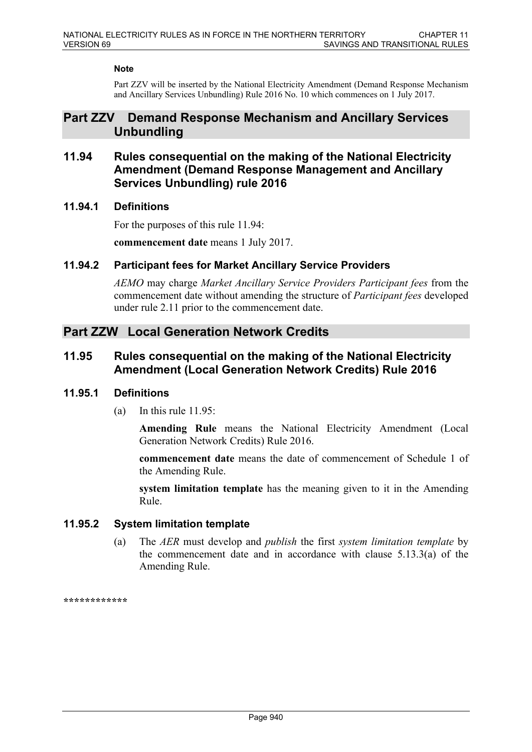#### **Note**

Part ZZV will be inserted by the National Electricity Amendment (Demand Response Mechanism and Ancillary Services Unbundling) Rule 2016 No. 10 which commences on 1 July 2017.

## **Part ZZV Demand Response Mechanism and Ancillary Services Unbundling**

## **11.94 Rules consequential on the making of the National Electricity Amendment (Demand Response Management and Ancillary Services Unbundling) rule 2016**

## **11.94.1 Definitions**

For the purposes of this rule 11.94:

**commencement date** means 1 July 2017.

#### **11.94.2 Participant fees for Market Ancillary Service Providers**

*AEMO* may charge *Market Ancillary Service Providers Participant fees* from the commencement date without amending the structure of *Participant fees* developed under rule 2.11 prior to the commencement date.

## **Part ZZW Local Generation Network Credits**

## **11.95 Rules consequential on the making of the National Electricity Amendment (Local Generation Network Credits) Rule 2016**

## **11.95.1 Definitions**

(a) In this rule 11.95:

**Amending Rule** means the National Electricity Amendment (Local Generation Network Credits) Rule 2016.

**commencement date** means the date of commencement of Schedule 1 of the Amending Rule.

**system limitation template** has the meaning given to it in the Amending Rule.

## **11.95.2 System limitation template**

(a) The *AER* must develop and *publish* the first *system limitation template* by the commencement date and in accordance with clause 5.13.3(a) of the Amending Rule.

**\*\*\*\*\*\*\*\*\*\*\*\***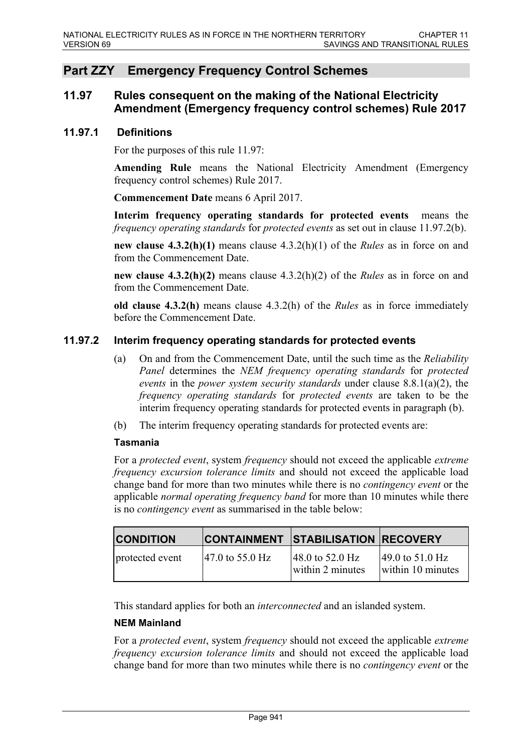## **Part ZZY Emergency Frequency Control Schemes**

## **11.97 Rules consequent on the making of the National Electricity Amendment (Emergency frequency control schemes) Rule 2017**

#### **11.97.1 Definitions**

For the purposes of this rule 11.97:

**Amending Rule** means the National Electricity Amendment (Emergency frequency control schemes) Rule 2017.

**Commencement Date** means 6 April 2017.

**Interim frequency operating standards for protected events** means the *frequency operating standards* for *protected events* as set out in clause 11.97.2(b).

**new clause 4.3.2(h)(1)** means clause 4.3.2(h)(1) of the *Rules* as in force on and from the Commencement Date.

**new clause 4.3.2(h)(2)** means clause 4.3.2(h)(2) of the *Rules* as in force on and from the Commencement Date.

**old clause 4.3.2(h)** means clause 4.3.2(h) of the *Rules* as in force immediately before the Commencement Date.

#### **11.97.2 Interim frequency operating standards for protected events**

- (a) On and from the Commencement Date, until the such time as the *Reliability Panel* determines the *NEM frequency operating standards* for *protected events* in the *power system security standards* under clause 8.8.1(a)(2), the *frequency operating standards* for *protected events* are taken to be the interim frequency operating standards for protected events in paragraph (b).
- (b) The interim frequency operating standards for protected events are:

#### **Tasmania**

For a *protected event*, system *frequency* should not exceed the applicable *extreme frequency excursion tolerance limits* and should not exceed the applicable load change band for more than two minutes while there is no *contingency event* or the applicable *normal operating frequency band* for more than 10 minutes while there is no *contingency event* as summarised in the table below:

| <b>CONDITION</b> |                                      | <b>CONTAINMENT STABILISATION RECOVERY</b>                |                                                           |
|------------------|--------------------------------------|----------------------------------------------------------|-----------------------------------------------------------|
| protected event  | $ 47.0 \text{ to } 55.0 \text{ Hz} $ | $ 48.0 \text{ to } 52.0 \text{ Hz} $<br>within 2 minutes | $ 49.0 \text{ to } 51.0 \text{ Hz} $<br>within 10 minutes |

This standard applies for both an *interconnected* and an islanded system.

#### **NEM Mainland**

For a *protected event*, system *frequency* should not exceed the applicable *extreme frequency excursion tolerance limits* and should not exceed the applicable load change band for more than two minutes while there is no *contingency event* or the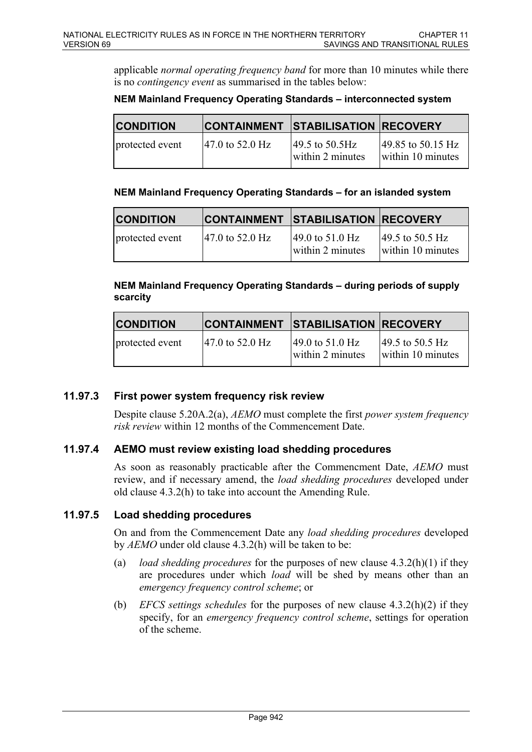applicable *normal operating frequency band* for more than 10 minutes while there is no *contingency event* as summarised in the tables below:

#### **NEM Mainland Frequency Operating Standards – interconnected system**

| <b>CONDITION</b> |                                      | <b>CONTAINMENT STABILISATION RECOVERY</b>               |                                                             |
|------------------|--------------------------------------|---------------------------------------------------------|-------------------------------------------------------------|
| protected event  | $ 47.0 \text{ to } 52.0 \text{ Hz} $ | $ 49.5 \text{ to } 50.5 \text{Hz} $<br>within 2 minutes | $ 49.85 \text{ to } 50.15 \text{ Hz} $<br>within 10 minutes |

#### **NEM Mainland Frequency Operating Standards – for an islanded system**

| <b>CONDITION</b> |                                      | <b>CONTAINMENT STABILISATION RECOVERY</b>                |                                                           |
|------------------|--------------------------------------|----------------------------------------------------------|-----------------------------------------------------------|
| protected event  | $ 47.0 \text{ to } 52.0 \text{ Hz} $ | $ 49.0 \text{ to } 51.0 \text{ Hz} $<br>within 2 minutes | $ 49.5 \text{ to } 50.5 \text{ Hz} $<br>within 10 minutes |

#### **NEM Mainland Frequency Operating Standards – during periods of supply scarcity**

| <b>CONDITION</b> |                                      | CONTAINMENT STABILISATION RECOVERY                       |                                                           |
|------------------|--------------------------------------|----------------------------------------------------------|-----------------------------------------------------------|
| protected event  | $ 47.0 \text{ to } 52.0 \text{ Hz} $ | $ 49.0 \text{ to } 51.0 \text{ Hz} $<br>within 2 minutes | $ 49.5 \text{ to } 50.5 \text{ Hz} $<br>within 10 minutes |

## **11.97.3 First power system frequency risk review**

Despite clause 5.20A.2(a), *AEMO* must complete the first *power system frequency risk review* within 12 months of the Commencement Date.

## **11.97.4 AEMO must review existing load shedding procedures**

As soon as reasonably practicable after the Commencment Date, *AEMO* must review, and if necessary amend, the *load shedding procedures* developed under old clause 4.3.2(h) to take into account the Amending Rule.

## **11.97.5 Load shedding procedures**

On and from the Commencement Date any *load shedding procedures* developed by *AEMO* under old clause 4.3.2(h) will be taken to be:

- (a) *load shedding procedures* for the purposes of new clause 4.3.2(h)(1) if they are procedures under which *load* will be shed by means other than an *emergency frequency control scheme*; or
- (b) *EFCS settings schedules* for the purposes of new clause 4.3.2(h)(2) if they specify, for an *emergency frequency control scheme*, settings for operation of the scheme.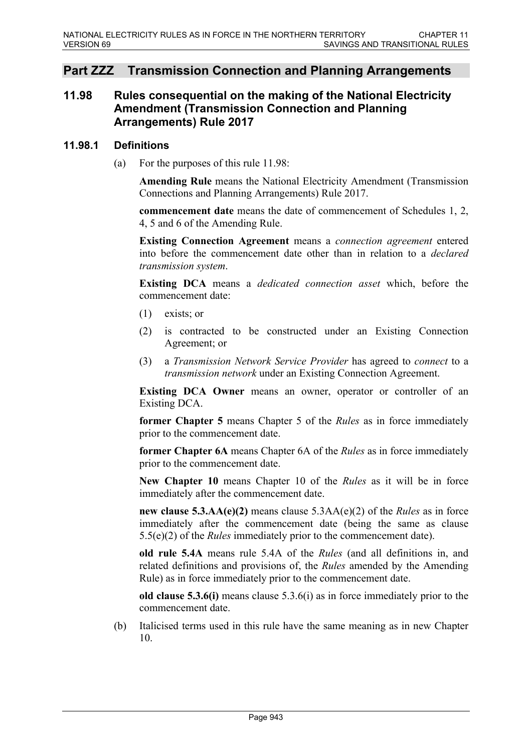## **Part ZZZ Transmission Connection and Planning Arrangements**

## **11.98 Rules consequential on the making of the National Electricity Amendment (Transmission Connection and Planning Arrangements) Rule 2017**

#### **11.98.1 Definitions**

(a) For the purposes of this rule 11.98:

**Amending Rule** means the National Electricity Amendment (Transmission Connections and Planning Arrangements) Rule 2017.

**commencement date** means the date of commencement of Schedules 1, 2, 4, 5 and 6 of the Amending Rule.

**Existing Connection Agreement** means a *connection agreement* entered into before the commencement date other than in relation to a *declared transmission system*.

**Existing DCA** means a *dedicated connection asset* which, before the commencement date:

- $(1)$  exists; or
- (2) is contracted to be constructed under an Existing Connection Agreement; or
- (3) a *Transmission Network Service Provider* has agreed to *connect* to a *transmission network* under an Existing Connection Agreement.

**Existing DCA Owner** means an owner, operator or controller of an Existing DCA.

**former Chapter 5** means Chapter 5 of the *Rules* as in force immediately prior to the commencement date.

**former Chapter 6A** means Chapter 6A of the *Rules* as in force immediately prior to the commencement date.

**New Chapter 10** means Chapter 10 of the *Rules* as it will be in force immediately after the commencement date.

**new clause 5.3.AA(e)(2)** means clause 5.3AA(e)(2) of the *Rules* as in force immediately after the commencement date (being the same as clause 5.5(e)(2) of the *Rules* immediately prior to the commencement date).

**old rule 5.4A** means rule 5.4A of the *Rules* (and all definitions in, and related definitions and provisions of, the *Rules* amended by the Amending Rule) as in force immediately prior to the commencement date.

**old clause 5.3.6(i)** means clause 5.3.6(i) as in force immediately prior to the commencement date.

(b) Italicised terms used in this rule have the same meaning as in new Chapter 10.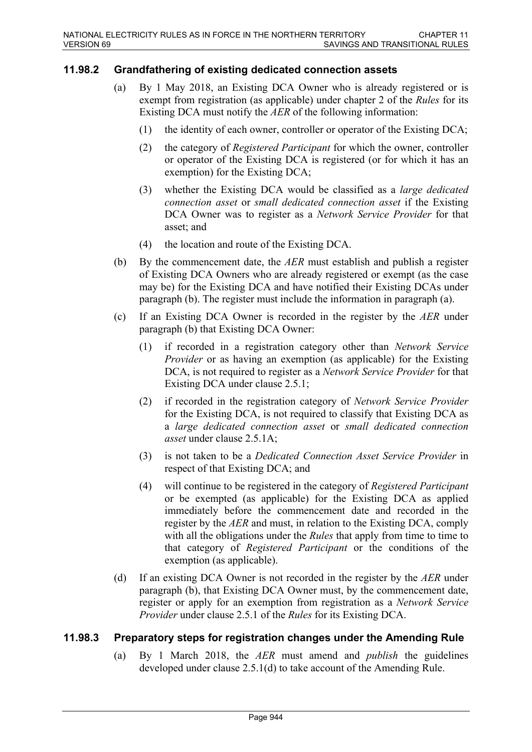## **11.98.2 Grandfathering of existing dedicated connection assets**

- (a) By 1 May 2018, an Existing DCA Owner who is already registered or is exempt from registration (as applicable) under chapter 2 of the *Rules* for its Existing DCA must notify the *AER* of the following information:
	- (1) the identity of each owner, controller or operator of the Existing DCA;
	- (2) the category of *Registered Participant* for which the owner, controller or operator of the Existing DCA is registered (or for which it has an exemption) for the Existing DCA;
	- (3) whether the Existing DCA would be classified as a *large dedicated connection asset* or *small dedicated connection asset* if the Existing DCA Owner was to register as a *Network Service Provider* for that asset; and
	- (4) the location and route of the Existing DCA.
- (b) By the commencement date, the *AER* must establish and publish a register of Existing DCA Owners who are already registered or exempt (as the case may be) for the Existing DCA and have notified their Existing DCAs under paragraph (b). The register must include the information in paragraph (a).
- (c) If an Existing DCA Owner is recorded in the register by the *AER* under paragraph (b) that Existing DCA Owner:
	- (1) if recorded in a registration category other than *Network Service Provider* or as having an exemption (as applicable) for the Existing DCA, is not required to register as a *Network Service Provider* for that Existing DCA under clause 2.5.1;
	- (2) if recorded in the registration category of *Network Service Provider* for the Existing DCA, is not required to classify that Existing DCA as a *large dedicated connection asset* or *small dedicated connection asset* under clause 2.5.1A;
	- (3) is not taken to be a *Dedicated Connection Asset Service Provider* in respect of that Existing DCA; and
	- (4) will continue to be registered in the category of *Registered Participant* or be exempted (as applicable) for the Existing DCA as applied immediately before the commencement date and recorded in the register by the *AER* and must, in relation to the Existing DCA, comply with all the obligations under the *Rules* that apply from time to time to that category of *Registered Participant* or the conditions of the exemption (as applicable).
- (d) If an existing DCA Owner is not recorded in the register by the *AER* under paragraph (b), that Existing DCA Owner must, by the commencement date, register or apply for an exemption from registration as a *Network Service Provider* under clause 2.5.1 of the *Rules* for its Existing DCA.

## **11.98.3 Preparatory steps for registration changes under the Amending Rule**

(a) By 1 March 2018, the *AER* must amend and *publish* the guidelines developed under clause 2.5.1(d) to take account of the Amending Rule.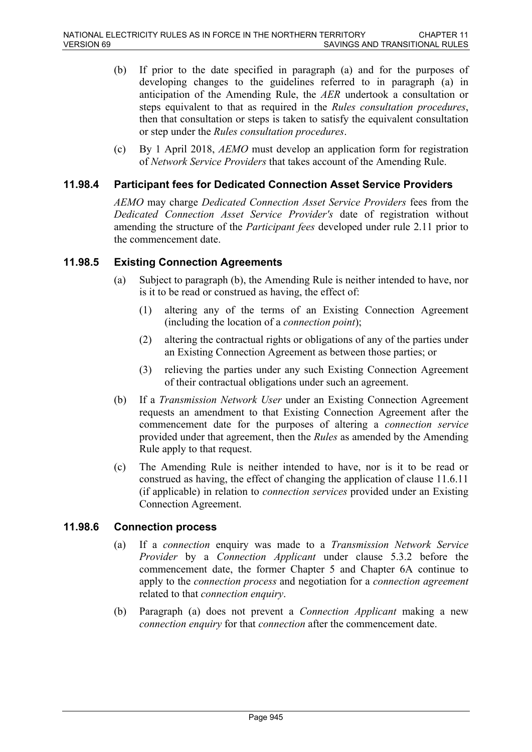- (b) If prior to the date specified in paragraph (a) and for the purposes of developing changes to the guidelines referred to in paragraph (a) in anticipation of the Amending Rule, the *AER* undertook a consultation or steps equivalent to that as required in the *Rules consultation procedures*, then that consultation or steps is taken to satisfy the equivalent consultation or step under the *Rules consultation procedures*.
- (c) By 1 April 2018, *AEMO* must develop an application form for registration of *Network Service Providers* that takes account of the Amending Rule.

### **11.98.4 Participant fees for Dedicated Connection Asset Service Providers**

*AEMO* may charge *Dedicated Connection Asset Service Providers* fees from the *Dedicated Connection Asset Service Provider's* date of registration without amending the structure of the *Participant fees* developed under rule 2.11 prior to the commencement date.

#### **11.98.5 Existing Connection Agreements**

- (a) Subject to paragraph (b), the Amending Rule is neither intended to have, nor is it to be read or construed as having, the effect of:
	- (1) altering any of the terms of an Existing Connection Agreement (including the location of a *connection point*);
	- (2) altering the contractual rights or obligations of any of the parties under an Existing Connection Agreement as between those parties; or
	- (3) relieving the parties under any such Existing Connection Agreement of their contractual obligations under such an agreement.
- (b) If a *Transmission Network User* under an Existing Connection Agreement requests an amendment to that Existing Connection Agreement after the commencement date for the purposes of altering a *connection service* provided under that agreement, then the *Rules* as amended by the Amending Rule apply to that request.
- (c) The Amending Rule is neither intended to have, nor is it to be read or construed as having, the effect of changing the application of clause 11.6.11 (if applicable) in relation to *connection services* provided under an Existing Connection Agreement.

#### **11.98.6 Connection process**

- (a) If a *connection* enquiry was made to a *Transmission Network Service Provider* by a *Connection Applicant* under clause 5.3.2 before the commencement date, the former Chapter 5 and Chapter 6A continue to apply to the *connection process* and negotiation for a *connection agreement* related to that *connection enquiry*.
- (b) Paragraph (a) does not prevent a *Connection Applicant* making a new *connection enquiry* for that *connection* after the commencement date.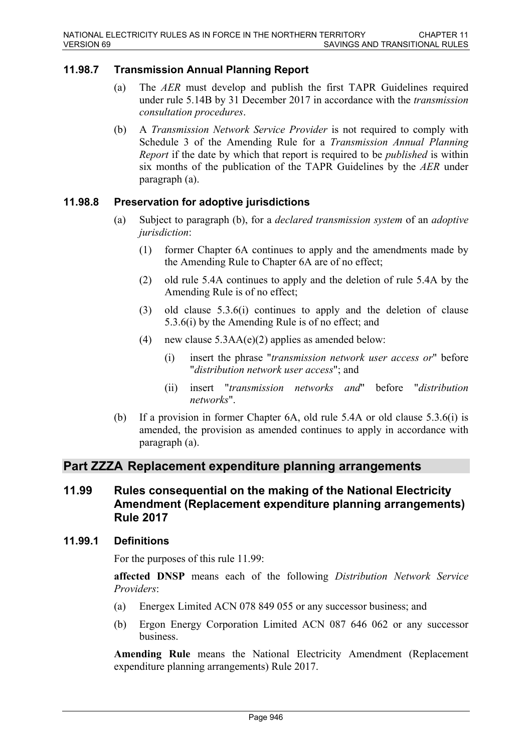## **11.98.7 Transmission Annual Planning Report**

- (a) The *AER* must develop and publish the first TAPR Guidelines required under rule 5.14B by 31 December 2017 in accordance with the *transmission consultation procedures*.
- (b) A *Transmission Network Service Provider* is not required to comply with Schedule 3 of the Amending Rule for a *Transmission Annual Planning Report* if the date by which that report is required to be *published* is within six months of the publication of the TAPR Guidelines by the *AER* under paragraph (a).

## **11.98.8 Preservation for adoptive jurisdictions**

- (a) Subject to paragraph (b), for a *declared transmission system* of an *adoptive jurisdiction*:
	- (1) former Chapter 6A continues to apply and the amendments made by the Amending Rule to Chapter 6A are of no effect;
	- (2) old rule 5.4A continues to apply and the deletion of rule 5.4A by the Amending Rule is of no effect;
	- (3) old clause 5.3.6(i) continues to apply and the deletion of clause 5.3.6(i) by the Amending Rule is of no effect; and
	- (4) new clause  $5.3AA(e)(2)$  applies as amended below:
		- (i) insert the phrase "*transmission network user access or*" before "*distribution network user access*"; and
		- (ii) insert "*transmission networks and*" before "*distribution networks*".
- (b) If a provision in former Chapter 6A, old rule 5.4A or old clause 5.3.6(i) is amended, the provision as amended continues to apply in accordance with paragraph (a).

## **Part ZZZA Replacement expenditure planning arrangements**

## **11.99 Rules consequential on the making of the National Electricity Amendment (Replacement expenditure planning arrangements) Rule 2017**

#### **11.99.1 Definitions**

For the purposes of this rule 11.99:

**affected DNSP** means each of the following *Distribution Network Service Providers*:

- (a) Energex Limited ACN 078 849 055 or any successor business; and
- (b) Ergon Energy Corporation Limited ACN 087 646 062 or any successor business.

**Amending Rule** means the National Electricity Amendment (Replacement expenditure planning arrangements) Rule 2017.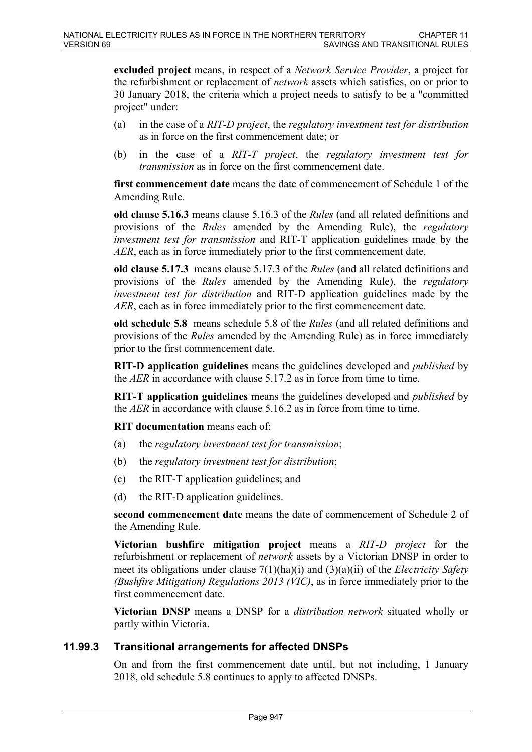**excluded project** means, in respect of a *Network Service Provider*, a project for the refurbishment or replacement of *network* assets which satisfies, on or prior to 30 January 2018, the criteria which a project needs to satisfy to be a "committed project" under:

- (a) in the case of a *RIT-D project*, the *regulatory investment test for distribution* as in force on the first commencement date; or
- (b) in the case of a *RIT-T project*, the *regulatory investment test for transmission* as in force on the first commencement date.

**first commencement date** means the date of commencement of Schedule 1 of the Amending Rule.

**old clause 5.16.3** means clause 5.16.3 of the *Rules* (and all related definitions and provisions of the *Rules* amended by the Amending Rule), the *regulatory investment test for transmission* and RIT-T application guidelines made by the *AER*, each as in force immediately prior to the first commencement date.

**old clause 5.17.3** means clause 5.17.3 of the *Rules* (and all related definitions and provisions of the *Rules* amended by the Amending Rule), the *regulatory investment test for distribution* and RIT-D application guidelines made by the *AER*, each as in force immediately prior to the first commencement date.

**old schedule 5.8** means schedule 5.8 of the *Rules* (and all related definitions and provisions of the *Rules* amended by the Amending Rule) as in force immediately prior to the first commencement date.

**RIT-D application guidelines** means the guidelines developed and *published* by the *AER* in accordance with clause 5.17.2 as in force from time to time.

**RIT-T application guidelines** means the guidelines developed and *published* by the *AER* in accordance with clause 5.16.2 as in force from time to time.

**RIT documentation** means each of:

- (a) the *regulatory investment test for transmission*;
- (b) the *regulatory investment test for distribution*;
- (c) the RIT-T application guidelines; and
- (d) the RIT-D application guidelines.

**second commencement date** means the date of commencement of Schedule 2 of the Amending Rule.

**Victorian bushfire mitigation project** means a *RIT-D project* for the refurbishment or replacement of *network* assets by a Victorian DNSP in order to meet its obligations under clause 7(1)(ha)(i) and (3)(a)(ii) of the *Electricity Safety (Bushfire Mitigation) Regulations 2013 (VIC)*, as in force immediately prior to the first commencement date.

**Victorian DNSP** means a DNSP for a *distribution network* situated wholly or partly within Victoria.

## **11.99.3 Transitional arrangements for affected DNSPs**

On and from the first commencement date until, but not including, 1 January 2018, old schedule 5.8 continues to apply to affected DNSPs.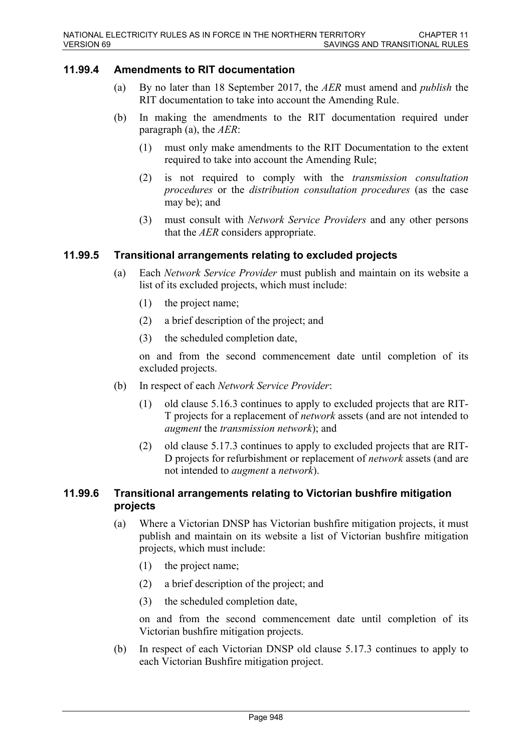### **11.99.4 Amendments to RIT documentation**

- (a) By no later than 18 September 2017, the *AER* must amend and *publish* the RIT documentation to take into account the Amending Rule.
- (b) In making the amendments to the RIT documentation required under paragraph (a), the *AER*:
	- (1) must only make amendments to the RIT Documentation to the extent required to take into account the Amending Rule;
	- (2) is not required to comply with the *transmission consultation procedures* or the *distribution consultation procedures* (as the case may be); and
	- (3) must consult with *Network Service Providers* and any other persons that the *AER* considers appropriate.

#### **11.99.5 Transitional arrangements relating to excluded projects**

- (a) Each *Network Service Provider* must publish and maintain on its website a list of its excluded projects, which must include:
	- (1) the project name;
	- (2) a brief description of the project; and
	- (3) the scheduled completion date,

on and from the second commencement date until completion of its excluded projects.

- (b) In respect of each *Network Service Provider*:
	- (1) old clause 5.16.3 continues to apply to excluded projects that are RIT-T projects for a replacement of *network* assets (and are not intended to *augment* the *transmission network*); and
	- (2) old clause 5.17.3 continues to apply to excluded projects that are RIT-D projects for refurbishment or replacement of *network* assets (and are not intended to *augment* a *network*).

### **11.99.6 Transitional arrangements relating to Victorian bushfire mitigation projects**

- (a) Where a Victorian DNSP has Victorian bushfire mitigation projects, it must publish and maintain on its website a list of Victorian bushfire mitigation projects, which must include:
	- (1) the project name;
	- (2) a brief description of the project; and
	- (3) the scheduled completion date,

on and from the second commencement date until completion of its Victorian bushfire mitigation projects.

(b) In respect of each Victorian DNSP old clause 5.17.3 continues to apply to each Victorian Bushfire mitigation project.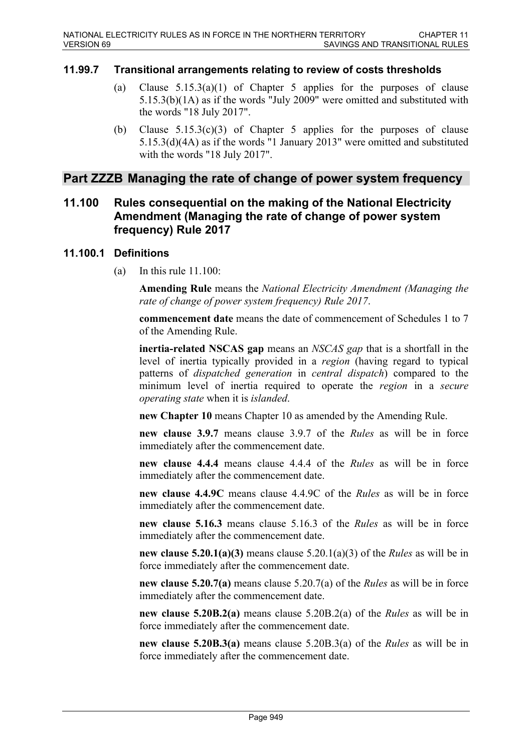## **11.99.7 Transitional arrangements relating to review of costs thresholds**

- (a) Clause  $5.15.3(a)(1)$  of Chapter 5 applies for the purposes of clause 5.15.3(b)(1A) as if the words "July 2009" were omitted and substituted with the words "18 July 2017".
- (b) Clause  $5.15.3(c)(3)$  of Chapter 5 applies for the purposes of clause 5.15.3(d)(4A) as if the words "1 January 2013" were omitted and substituted with the words "18 July 2017".

## **Part ZZZB Managing the rate of change of power system frequency**

## **11.100 Rules consequential on the making of the National Electricity Amendment (Managing the rate of change of power system frequency) Rule 2017**

#### **11.100.1 Definitions**

(a) In this rule 11.100:

**Amending Rule** means the *National Electricity Amendment (Managing the rate of change of power system frequency) Rule 2017*.

**commencement date** means the date of commencement of Schedules 1 to 7 of the Amending Rule.

**inertia-related NSCAS gap** means an *NSCAS gap* that is a shortfall in the level of inertia typically provided in a *region* (having regard to typical patterns of *dispatched generation* in *central dispatch*) compared to the minimum level of inertia required to operate the *region* in a *secure operating state* when it is *islanded*.

**new Chapter 10** means Chapter 10 as amended by the Amending Rule.

**new clause 3.9.7** means clause 3.9.7 of the *Rules* as will be in force immediately after the commencement date.

**new clause 4.4.4** means clause 4.4.4 of the *Rules* as will be in force immediately after the commencement date.

**new clause 4.4.9C** means clause 4.4.9C of the *Rules* as will be in force immediately after the commencement date.

**new clause 5.16.3** means clause 5.16.3 of the *Rules* as will be in force immediately after the commencement date.

**new clause 5.20.1(a)(3)** means clause 5.20.1(a)(3) of the *Rules* as will be in force immediately after the commencement date.

**new clause 5.20.7(a)** means clause 5.20.7(a) of the *Rules* as will be in force immediately after the commencement date.

**new clause 5.20B.2(a)** means clause 5.20B.2(a) of the *Rules* as will be in force immediately after the commencement date.

**new clause 5.20B.3(a)** means clause 5.20B.3(a) of the *Rules* as will be in force immediately after the commencement date.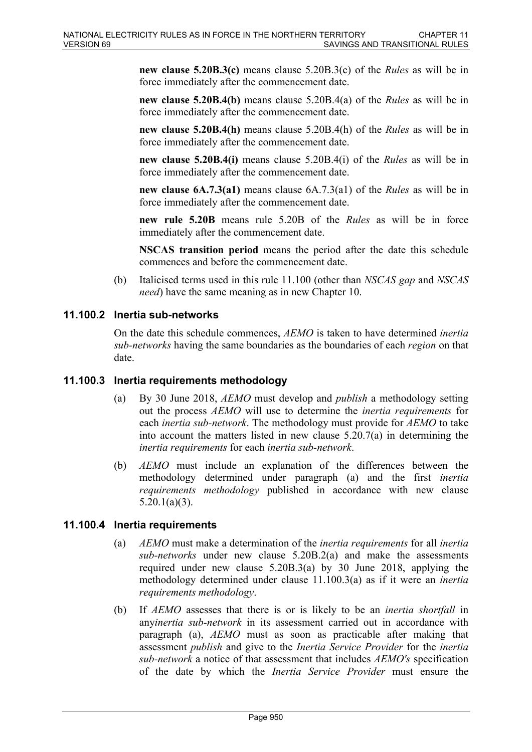**new clause 5.20B.3(c)** means clause 5.20B.3(c) of the *Rules* as will be in force immediately after the commencement date.

**new clause 5.20B.4(b)** means clause 5.20B.4(a) of the *Rules* as will be in force immediately after the commencement date.

**new clause 5.20B.4(h)** means clause 5.20B.4(h) of the *Rules* as will be in force immediately after the commencement date.

**new clause 5.20B.4(i)** means clause 5.20B.4(i) of the *Rules* as will be in force immediately after the commencement date.

**new clause 6A.7.3(a1)** means clause 6A.7.3(a1) of the *Rules* as will be in force immediately after the commencement date.

**new rule 5.20B** means rule 5.20B of the *Rules* as will be in force immediately after the commencement date.

**NSCAS transition period** means the period after the date this schedule commences and before the commencement date.

(b) Italicised terms used in this rule 11.100 (other than *NSCAS gap* and *NSCAS need*) have the same meaning as in new Chapter 10.

## **11.100.2 Inertia sub-networks**

On the date this schedule commences, *AEMO* is taken to have determined *inertia sub-networks* having the same boundaries as the boundaries of each *region* on that date.

#### **11.100.3 Inertia requirements methodology**

- (a) By 30 June 2018, *AEMO* must develop and *publish* a methodology setting out the process *AEMO* will use to determine the *inertia requirements* for each *inertia sub-network*. The methodology must provide for *AEMO* to take into account the matters listed in new clause 5.20.7(a) in determining the *inertia requirements* for each *inertia sub-network*.
- (b) *AEMO* must include an explanation of the differences between the methodology determined under paragraph (a) and the first *inertia requirements methodology* published in accordance with new clause  $5.20.1(a)(3)$ .

#### **11.100.4 Inertia requirements**

- (a) *AEMO* must make a determination of the *inertia requirements* for all *inertia sub-networks* under new clause 5.20B.2(a) and make the assessments required under new clause 5.20B.3(a) by 30 June 2018, applying the methodology determined under clause 11.100.3(a) as if it were an *inertia requirements methodology*.
- (b) If *AEMO* assesses that there is or is likely to be an *inertia shortfall* in any*inertia sub-network* in its assessment carried out in accordance with paragraph (a), *AEMO* must as soon as practicable after making that assessment *publish* and give to the *Inertia Service Provider* for the *inertia sub-network* a notice of that assessment that includes *AEMO's* specification of the date by which the *Inertia Service Provider* must ensure the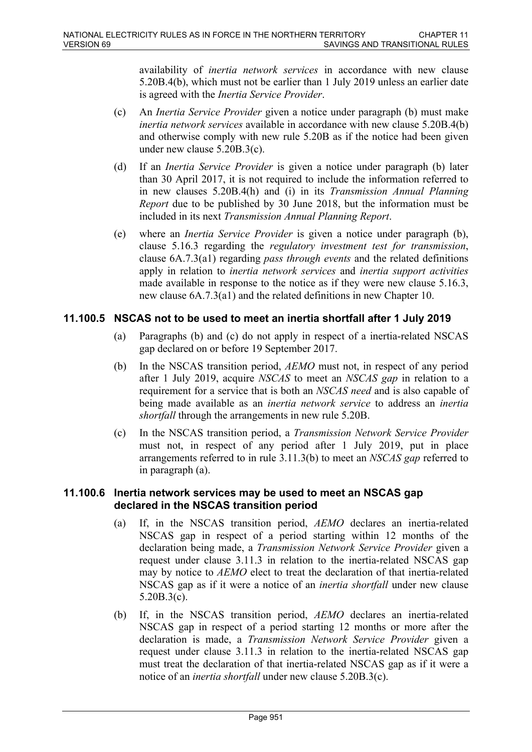availability of *inertia network services* in accordance with new clause 5.20B.4(b), which must not be earlier than 1 July 2019 unless an earlier date is agreed with the *Inertia Service Provider*.

- (c) An *Inertia Service Provider* given a notice under paragraph (b) must make *inertia network services* available in accordance with new clause 5.20B.4(b) and otherwise comply with new rule 5.20B as if the notice had been given under new clause 5.20B.3(c).
- (d) If an *Inertia Service Provider* is given a notice under paragraph (b) later than 30 April 2017, it is not required to include the information referred to in new clauses 5.20B.4(h) and (i) in its *Transmission Annual Planning Report* due to be published by 30 June 2018, but the information must be included in its next *Transmission Annual Planning Report*.
- (e) where an *Inertia Service Provider* is given a notice under paragraph (b), clause 5.16.3 regarding the *regulatory investment test for transmission*, clause 6A.7.3(a1) regarding *pass through events* and the related definitions apply in relation to *inertia network services* and *inertia support activities* made available in response to the notice as if they were new clause 5.16.3, new clause 6A.7.3(a1) and the related definitions in new Chapter 10.

## **11.100.5 NSCAS not to be used to meet an inertia shortfall after 1 July 2019**

- (a) Paragraphs (b) and (c) do not apply in respect of a inertia-related NSCAS gap declared on or before 19 September 2017.
- (b) In the NSCAS transition period, *AEMO* must not, in respect of any period after 1 July 2019, acquire *NSCAS* to meet an *NSCAS gap* in relation to a requirement for a service that is both an *NSCAS need* and is also capable of being made available as an *inertia network service* to address an *inertia shortfall* through the arrangements in new rule 5.20B.
- (c) In the NSCAS transition period, a *Transmission Network Service Provider* must not, in respect of any period after 1 July 2019, put in place arrangements referred to in rule 3.11.3(b) to meet an *NSCAS gap* referred to in paragraph (a).

## **11.100.6 Inertia network services may be used to meet an NSCAS gap declared in the NSCAS transition period**

- (a) If, in the NSCAS transition period, *AEMO* declares an inertia-related NSCAS gap in respect of a period starting within 12 months of the declaration being made, a *Transmission Network Service Provider* given a request under clause 3.11.3 in relation to the inertia-related NSCAS gap may by notice to *AEMO* elect to treat the declaration of that inertia-related NSCAS gap as if it were a notice of an *inertia shortfall* under new clause 5.20B.3(c).
- (b) If, in the NSCAS transition period, *AEMO* declares an inertia-related NSCAS gap in respect of a period starting 12 months or more after the declaration is made, a *Transmission Network Service Provider* given a request under clause 3.11.3 in relation to the inertia-related NSCAS gap must treat the declaration of that inertia-related NSCAS gap as if it were a notice of an *inertia shortfall* under new clause 5.20B.3(c).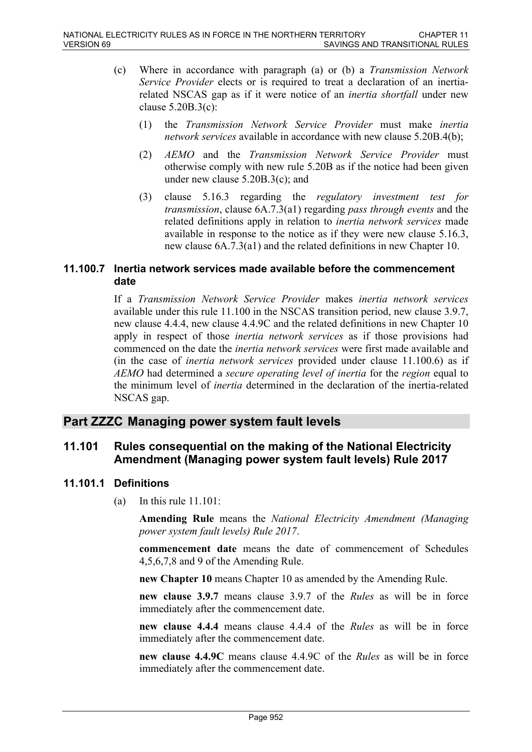- (c) Where in accordance with paragraph (a) or (b) a *Transmission Network Service Provider* elects or is required to treat a declaration of an inertiarelated NSCAS gap as if it were notice of an *inertia shortfall* under new clause 5.20B.3(c):
	- (1) the *Transmission Network Service Provider* must make *inertia network services* available in accordance with new clause 5.20B.4(b);
	- (2) *AEMO* and the *Transmission Network Service Provider* must otherwise comply with new rule 5.20B as if the notice had been given under new clause 5.20B.3(c); and
	- (3) clause 5.16.3 regarding the *regulatory investment test for transmission*, clause 6A.7.3(a1) regarding *pass through events* and the related definitions apply in relation to *inertia network services* made available in response to the notice as if they were new clause 5.16.3, new clause 6A.7.3(a1) and the related definitions in new Chapter 10.

## **11.100.7 Inertia network services made available before the commencement date**

If a *Transmission Network Service Provider* makes *inertia network services* available under this rule 11.100 in the NSCAS transition period, new clause 3.9.7, new clause 4.4.4, new clause 4.4.9C and the related definitions in new Chapter 10 apply in respect of those *inertia network services* as if those provisions had commenced on the date the *inertia network services* were first made available and (in the case of *inertia network services* provided under clause 11.100.6) as if *AEMO* had determined a *secure operating level of inertia* for the *region* equal to the minimum level of *inertia* determined in the declaration of the inertia-related NSCAS gap.

## **Part ZZZC Managing power system fault levels**

## **11.101 Rules consequential on the making of the National Electricity Amendment (Managing power system fault levels) Rule 2017**

## **11.101.1 Definitions**

(a) In this rule  $11.101$ :

**Amending Rule** means the *National Electricity Amendment (Managing power system fault levels) Rule 2017*.

**commencement date** means the date of commencement of Schedules 4,5,6,7,8 and 9 of the Amending Rule.

**new Chapter 10** means Chapter 10 as amended by the Amending Rule.

**new clause 3.9.7** means clause 3.9.7 of the *Rules* as will be in force immediately after the commencement date.

**new clause 4.4.4** means clause 4.4.4 of the *Rules* as will be in force immediately after the commencement date.

**new clause 4.4.9C** means clause 4.4.9C of the *Rules* as will be in force immediately after the commencement date.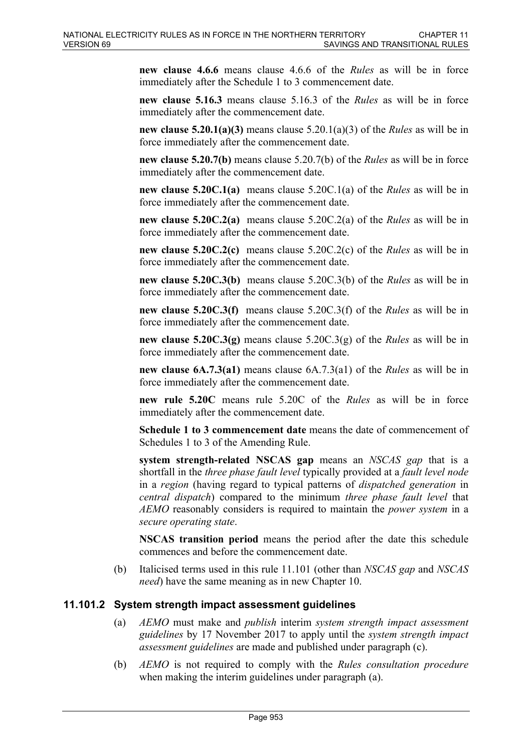**new clause 4.6.6** means clause 4.6.6 of the *Rules* as will be in force immediately after the Schedule 1 to 3 commencement date.

**new clause 5.16.3** means clause 5.16.3 of the *Rules* as will be in force immediately after the commencement date.

**new clause 5.20.1(a)(3)** means clause 5.20.1(a)(3) of the *Rules* as will be in force immediately after the commencement date.

**new clause 5.20.7(b)** means clause 5.20.7(b) of the *Rules* as will be in force immediately after the commencement date.

**new clause 5.20C.1(a)** means clause 5.20C.1(a) of the *Rules* as will be in force immediately after the commencement date.

**new clause 5.20C.2(a)** means clause 5.20C.2(a) of the *Rules* as will be in force immediately after the commencement date.

**new clause 5.20C.2(c)** means clause 5.20C.2(c) of the *Rules* as will be in force immediately after the commencement date.

**new clause 5.20C.3(b)** means clause 5.20C.3(b) of the *Rules* as will be in force immediately after the commencement date.

**new clause 5.20C.3(f)** means clause 5.20C.3(f) of the *Rules* as will be in force immediately after the commencement date.

**new clause 5.20C.3(g)** means clause 5.20C.3(g) of the *Rules* as will be in force immediately after the commencement date.

**new clause 6A.7.3(a1)** means clause 6A.7.3(a1) of the *Rules* as will be in force immediately after the commencement date.

**new rule 5.20C** means rule 5.20C of the *Rules* as will be in force immediately after the commencement date.

**Schedule 1 to 3 commencement date** means the date of commencement of Schedules 1 to 3 of the Amending Rule.

**system strength-related NSCAS gap** means an *NSCAS gap* that is a shortfall in the *three phase fault level* typically provided at a *fault level node* in a *region* (having regard to typical patterns of *dispatched generation* in *central dispatch*) compared to the minimum *three phase fault level* that *AEMO* reasonably considers is required to maintain the *power system* in a *secure operating state*.

**NSCAS transition period** means the period after the date this schedule commences and before the commencement date.

(b) Italicised terms used in this rule 11.101 (other than *NSCAS gap* and *NSCAS need*) have the same meaning as in new Chapter 10.

## **11.101.2 System strength impact assessment guidelines**

- (a) *AEMO* must make and *publish* interim *system strength impact assessment guidelines* by 17 November 2017 to apply until the *system strength impact assessment guidelines* are made and published under paragraph (c).
- (b) *AEMO* is not required to comply with the *Rules consultation procedure* when making the interim guidelines under paragraph (a).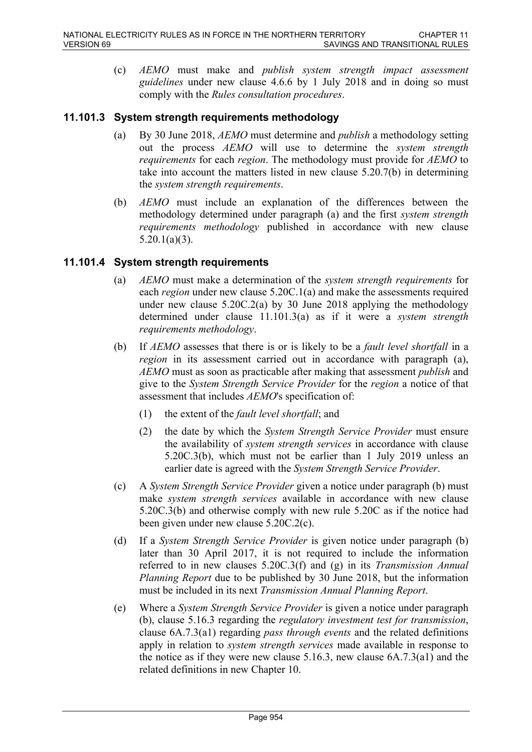(c) *AEMO* must make and *publish system strength impact assessment guidelines* under new clause 4.6.6 by 1 July 2018 and in doing so must comply with the *Rules consultation procedures*.

## **11.101.3 System strength requirements methodology**

- (a) By 30 June 2018, *AEMO* must determine and *publish* a methodology setting out the process *AEMO* will use to determine the *system strength requirements* for each *region*. The methodology must provide for *AEMO* to take into account the matters listed in new clause 5.20.7(b) in determining the *system strength requirements*.
- (b) *AEMO* must include an explanation of the differences between the methodology determined under paragraph (a) and the first *system strength requirements methodology* published in accordance with new clause  $5.20.1(a)(3)$ .

## **11.101.4 System strength requirements**

- (a) *AEMO* must make a determination of the *system strength requirements* for each *region* under new clause 5.20C.1(a) and make the assessments required under new clause  $5.20C.2(a)$  by 30 June 2018 applying the methodology determined under clause 11.101.3(a) as if it were a *system strength requirements methodology*.
- (b) If *AEMO* assesses that there is or is likely to be a *fault level shortfall* in a *region* in its assessment carried out in accordance with paragraph (a), *AEMO* must as soon as practicable after making that assessment *publish* and give to the *System Strength Service Provider* for the *region* a notice of that assessment that includes *AEMO*'s specification of:
	- (1) the extent of the *fault level shortfall*; and
	- (2) the date by which the *System Strength Service Provider* must ensure the availability of *system strength services* in accordance with clause 5.20C.3(b), which must not be earlier than 1 July 2019 unless an earlier date is agreed with the *System Strength Service Provider*.
- (c) A *System Strength Service Provider* given a notice under paragraph (b) must make *system strength services* available in accordance with new clause 5.20C.3(b) and otherwise comply with new rule 5.20C as if the notice had been given under new clause 5.20C.2(c).
- (d) If a *System Strength Service Provider* is given notice under paragraph (b) later than 30 April 2017, it is not required to include the information referred to in new clauses 5.20C.3(f) and (g) in its *Transmission Annual Planning Report* due to be published by 30 June 2018, but the information must be included in its next *Transmission Annual Planning Report*.
- (e) Where a *System Strength Service Provider* is given a notice under paragraph (b), clause 5.16.3 regarding the *regulatory investment test for transmission*, clause 6A.7.3(a1) regarding *pass through events* and the related definitions apply in relation to *system strength services* made available in response to the notice as if they were new clause 5.16.3, new clause 6A.7.3(a1) and the related definitions in new Chapter 10.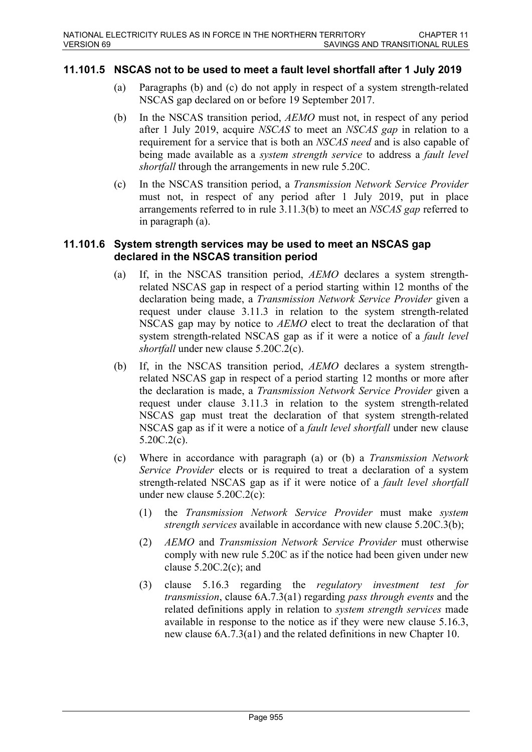## **11.101.5 NSCAS not to be used to meet a fault level shortfall after 1 July 2019**

- (a) Paragraphs (b) and (c) do not apply in respect of a system strength-related NSCAS gap declared on or before 19 September 2017.
- (b) In the NSCAS transition period, *AEMO* must not, in respect of any period after 1 July 2019, acquire *NSCAS* to meet an *NSCAS gap* in relation to a requirement for a service that is both an *NSCAS need* and is also capable of being made available as a *system strength service* to address a *fault level shortfall* through the arrangements in new rule 5.20C.
- (c) In the NSCAS transition period, a *Transmission Network Service Provider* must not, in respect of any period after 1 July 2019, put in place arrangements referred to in rule 3.11.3(b) to meet an *NSCAS gap* referred to in paragraph (a).

#### **11.101.6 System strength services may be used to meet an NSCAS gap declared in the NSCAS transition period**

- (a) If, in the NSCAS transition period, *AEMO* declares a system strengthrelated NSCAS gap in respect of a period starting within 12 months of the declaration being made, a *Transmission Network Service Provider* given a request under clause 3.11.3 in relation to the system strength-related NSCAS gap may by notice to *AEMO* elect to treat the declaration of that system strength-related NSCAS gap as if it were a notice of a *fault level shortfall* under new clause 5.20C.2(c).
- (b) If, in the NSCAS transition period, *AEMO* declares a system strengthrelated NSCAS gap in respect of a period starting 12 months or more after the declaration is made, a *Transmission Network Service Provider* given a request under clause 3.11.3 in relation to the system strength-related NSCAS gap must treat the declaration of that system strength-related NSCAS gap as if it were a notice of a *fault level shortfall* under new clause 5.20C.2(c).
- (c) Where in accordance with paragraph (a) or (b) a *Transmission Network Service Provider* elects or is required to treat a declaration of a system strength-related NSCAS gap as if it were notice of a *fault level shortfall* under new clause 5.20C.2(c):
	- (1) the *Transmission Network Service Provider* must make *system strength services* available in accordance with new clause 5.20C.3(b);
	- (2) *AEMO* and *Transmission Network Service Provider* must otherwise comply with new rule 5.20C as if the notice had been given under new clause  $5.20C.2(c)$ ; and
	- (3) clause 5.16.3 regarding the *regulatory investment test for transmission*, clause 6A.7.3(a1) regarding *pass through events* and the related definitions apply in relation to *system strength services* made available in response to the notice as if they were new clause 5.16.3, new clause 6A.7.3(a1) and the related definitions in new Chapter 10.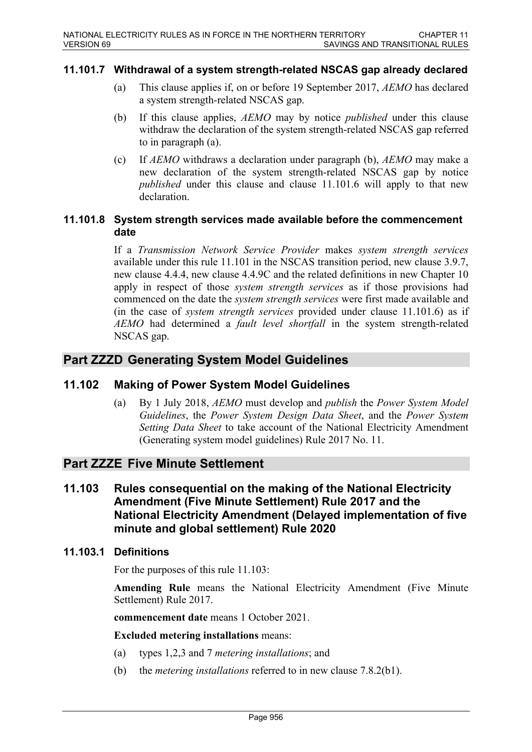### **11.101.7 Withdrawal of a system strength-related NSCAS gap already declared**

- (a) This clause applies if, on or before 19 September 2017, *AEMO* has declared a system strength-related NSCAS gap.
- (b) If this clause applies, *AEMO* may by notice *published* under this clause withdraw the declaration of the system strength-related NSCAS gap referred to in paragraph (a).
- (c) If *AEMO* withdraws a declaration under paragraph (b), *AEMO* may make a new declaration of the system strength-related NSCAS gap by notice *published* under this clause and clause 11.101.6 will apply to that new declaration.

#### **11.101.8 System strength services made available before the commencement date**

If a *Transmission Network Service Provider* makes *system strength services* available under this rule 11.101 in the NSCAS transition period, new clause 3.9.7, new clause 4.4.4, new clause 4.4.9C and the related definitions in new Chapter 10 apply in respect of those *system strength services* as if those provisions had commenced on the date the *system strength services* were first made available and (in the case of *system strength services* provided under clause 11.101.6) as if *AEMO* had determined a *fault level shortfall* in the system strength-related NSCAS gap.

## **Part ZZZD Generating System Model Guidelines**

## **11.102 Making of Power System Model Guidelines**

(a) By 1 July 2018, *AEMO* must develop and *publish* the *Power System Model Guidelines*, the *Power System Design Data Sheet*, and the *Power System Setting Data Sheet* to take account of the National Electricity Amendment (Generating system model guidelines) Rule 2017 No. 11.

## **Part ZZZE Five Minute Settlement**

**11.103 Rules consequential on the making of the National Electricity Amendment (Five Minute Settlement) Rule 2017 and the National Electricity Amendment (Delayed implementation of five minute and global settlement) Rule 2020**

#### **11.103.1 Definitions**

For the purposes of this rule 11.103:

**Amending Rule** means the National Electricity Amendment (Five Minute Settlement) Rule 2017.

**commencement date** means 1 October 2021.

**Excluded metering installations** means:

- (a) types 1,2,3 and 7 *metering installations*; and
- (b) the *metering installations* referred to in new clause 7.8.2(b1).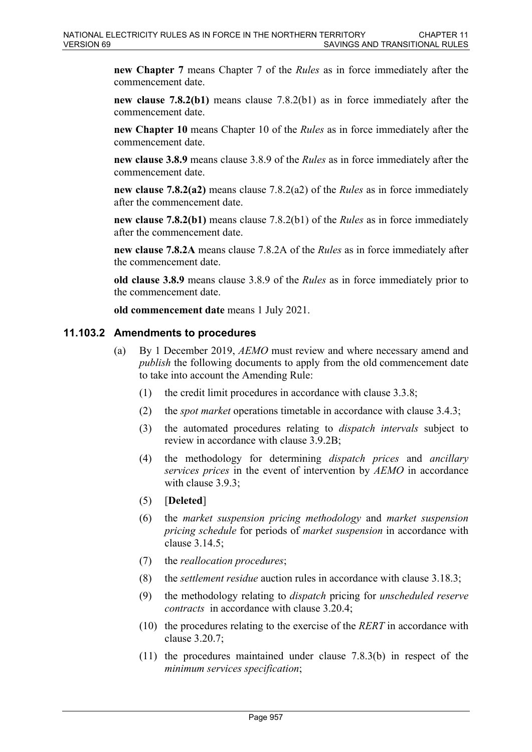**new Chapter 7** means Chapter 7 of the *Rules* as in force immediately after the commencement date.

**new clause 7.8.2(b1)** means clause 7.8.2(b1) as in force immediately after the commencement date.

**new Chapter 10** means Chapter 10 of the *Rules* as in force immediately after the commencement date.

**new clause 3.8.9** means clause 3.8.9 of the *Rules* as in force immediately after the commencement date.

**new clause 7.8.2(a2)** means clause 7.8.2(a2) of the *Rules* as in force immediately after the commencement date.

**new clause 7.8.2(b1)** means clause 7.8.2(b1) of the *Rules* as in force immediately after the commencement date.

**new clause 7.8.2A** means clause 7.8.2A of the *Rules* as in force immediately after the commencement date.

**old clause 3.8.9** means clause 3.8.9 of the *Rules* as in force immediately prior to the commencement date.

**old commencement date** means 1 July 2021.

#### **11.103.2 Amendments to procedures**

- (a) By 1 December 2019, *AEMO* must review and where necessary amend and *publish* the following documents to apply from the old commencement date to take into account the Amending Rule:
	- (1) the credit limit procedures in accordance with clause 3.3.8;
	- (2) the *spot market* operations timetable in accordance with clause 3.4.3;
	- (3) the automated procedures relating to *dispatch intervals* subject to review in accordance with clause 3.9.2B;
	- (4) the methodology for determining *dispatch prices* and *ancillary services prices* in the event of intervention by *AEMO* in accordance with clause 3.9.3;
	- (5) [**Deleted**]
	- (6) the *market suspension pricing methodology* and *market suspension pricing schedule* for periods of *market suspension* in accordance with clause 3.14.5;
	- (7) the *reallocation procedures*;
	- (8) the *settlement residue* auction rules in accordance with clause 3.18.3;
	- (9) the methodology relating to *dispatch* pricing for *unscheduled reserve contracts* in accordance with clause 3.20.4;
	- (10) the procedures relating to the exercise of the *RERT* in accordance with clause 3.20.7;
	- (11) the procedures maintained under clause 7.8.3(b) in respect of the *minimum services specification*;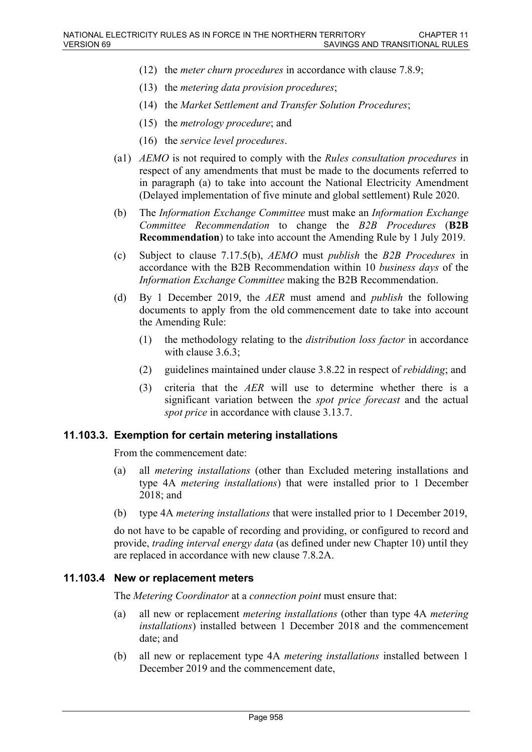- (12) the *meter churn procedures* in accordance with clause 7.8.9;
- (13) the *metering data provision procedures*;
- (14) the *Market Settlement and Transfer Solution Procedures*;
- (15) the *metrology procedure*; and
- (16) the *service level procedures*.
- (a1) *AEMO* is not required to comply with the *Rules consultation procedures* in respect of any amendments that must be made to the documents referred to in paragraph (a) to take into account the National Electricity Amendment (Delayed implementation of five minute and global settlement) Rule 2020.
- (b) The *Information Exchange Committee* must make an *Information Exchange Committee Recommendation* to change the *B2B Procedures* (**B2B Recommendation**) to take into account the Amending Rule by 1 July 2019.
- (c) Subject to clause 7.17.5(b), *AEMO* must *publish* the *B2B Procedures* in accordance with the B2B Recommendation within 10 *business days* of the *Information Exchange Committee* making the B2B Recommendation.
- (d) By 1 December 2019, the *AER* must amend and *publish* the following documents to apply from the old commencement date to take into account the Amending Rule:
	- (1) the methodology relating to the *distribution loss factor* in accordance with clause 3.6.3;
	- (2) guidelines maintained under clause 3.8.22 in respect of *rebidding*; and
	- (3) criteria that the *AER* will use to determine whether there is a significant variation between the *spot price forecast* and the actual *spot price* in accordance with clause 3.13.7.

#### **11.103.3. Exemption for certain metering installations**

From the commencement date:

- (a) all *metering installations* (other than Excluded metering installations and type 4A *metering installations*) that were installed prior to 1 December 2018; and
- (b) type 4A *metering installations* that were installed prior to 1 December 2019,

do not have to be capable of recording and providing, or configured to record and provide, *trading interval energy data* (as defined under new Chapter 10) until they are replaced in accordance with new clause 7.8.2A.

#### **11.103.4 New or replacement meters**

The *Metering Coordinator* at a *connection point* must ensure that:

- (a) all new or replacement *metering installations* (other than type 4A *metering installations*) installed between 1 December 2018 and the commencement date; and
- (b) all new or replacement type 4A *metering installations* installed between 1 December 2019 and the commencement date,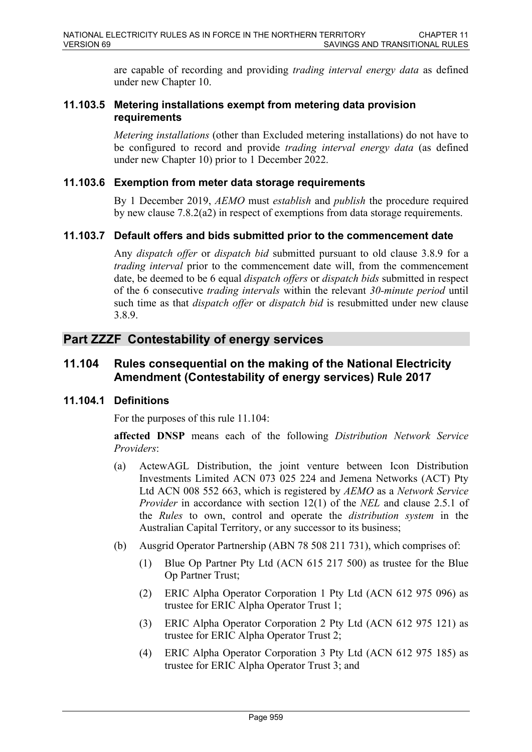are capable of recording and providing *trading interval energy data* as defined under new Chapter 10.

## **11.103.5 Metering installations exempt from metering data provision requirements**

*Metering installations* (other than Excluded metering installations) do not have to be configured to record and provide *trading interval energy data* (as defined under new Chapter 10) prior to 1 December 2022.

### **11.103.6 Exemption from meter data storage requirements**

By 1 December 2019, *AEMO* must *establish* and *publish* the procedure required by new clause 7.8.2(a2) in respect of exemptions from data storage requirements.

## **11.103.7 Default offers and bids submitted prior to the commencement date**

Any *dispatch offer* or *dispatch bid* submitted pursuant to old clause 3.8.9 for a *trading interval* prior to the commencement date will, from the commencement date, be deemed to be 6 equal *dispatch offers* or *dispatch bids* submitted in respect of the 6 consecutive *trading intervals* within the relevant *30-minute period* until such time as that *dispatch offer* or *dispatch bid* is resubmitted under new clause 3.8.9.

## **Part ZZZF Contestability of energy services**

## **11.104 Rules consequential on the making of the National Electricity Amendment (Contestability of energy services) Rule 2017**

## **11.104.1 Definitions**

For the purposes of this rule 11.104:

**affected DNSP** means each of the following *Distribution Network Service Providers*:

- (a) ActewAGL Distribution, the joint venture between Icon Distribution Investments Limited ACN 073 025 224 and Jemena Networks (ACT) Pty Ltd ACN 008 552 663, which is registered by *AEMO* as a *Network Service Provider* in accordance with section 12(1) of the *NEL* and clause 2.5.1 of the *Rules* to own, control and operate the *distribution system* in the Australian Capital Territory, or any successor to its business;
- (b) Ausgrid Operator Partnership (ABN 78 508 211 731), which comprises of:
	- (1) Blue Op Partner Pty Ltd (ACN 615 217 500) as trustee for the Blue Op Partner Trust;
	- (2) ERIC Alpha Operator Corporation 1 Pty Ltd (ACN 612 975 096) as trustee for ERIC Alpha Operator Trust 1;
	- (3) ERIC Alpha Operator Corporation 2 Pty Ltd (ACN 612 975 121) as trustee for ERIC Alpha Operator Trust 2;
	- (4) ERIC Alpha Operator Corporation 3 Pty Ltd (ACN 612 975 185) as trustee for ERIC Alpha Operator Trust 3; and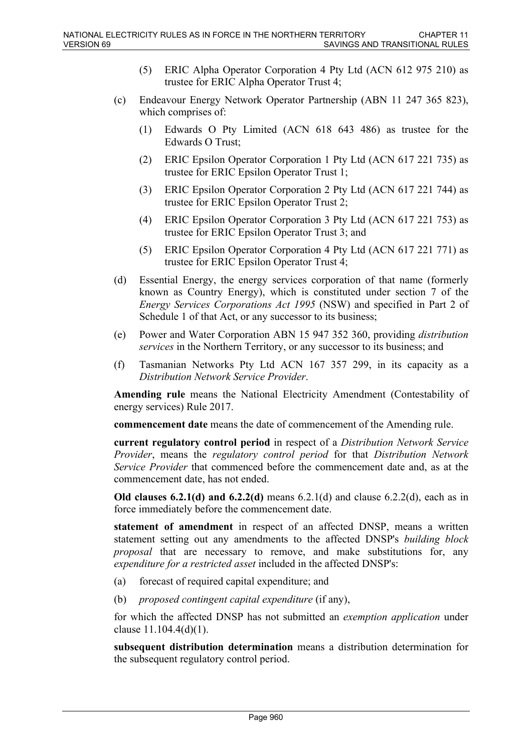- (5) ERIC Alpha Operator Corporation 4 Pty Ltd (ACN 612 975 210) as trustee for ERIC Alpha Operator Trust 4;
- (c) Endeavour Energy Network Operator Partnership (ABN 11 247 365 823), which comprises of:
	- (1) Edwards O Pty Limited (ACN 618 643 486) as trustee for the Edwards O Trust;
	- (2) ERIC Epsilon Operator Corporation 1 Pty Ltd (ACN 617 221 735) as trustee for ERIC Epsilon Operator Trust 1;
	- (3) ERIC Epsilon Operator Corporation 2 Pty Ltd (ACN 617 221 744) as trustee for ERIC Epsilon Operator Trust 2;
	- (4) ERIC Epsilon Operator Corporation 3 Pty Ltd (ACN 617 221 753) as trustee for ERIC Epsilon Operator Trust 3; and
	- (5) ERIC Epsilon Operator Corporation 4 Pty Ltd (ACN 617 221 771) as trustee for ERIC Epsilon Operator Trust 4;
- (d) Essential Energy, the energy services corporation of that name (formerly known as Country Energy), which is constituted under section 7 of the *Energy Services Corporations Act 1995* (NSW) and specified in Part 2 of Schedule 1 of that Act, or any successor to its business;
- (e) Power and Water Corporation ABN 15 947 352 360, providing *distribution services* in the Northern Territory, or any successor to its business; and
- (f) Tasmanian Networks Pty Ltd ACN 167 357 299, in its capacity as a *Distribution Network Service Provider*.

**Amending rule** means the National Electricity Amendment (Contestability of energy services) Rule 2017.

**commencement date** means the date of commencement of the Amending rule.

**current regulatory control period** in respect of a *Distribution Network Service Provider*, means the *regulatory control period* for that *Distribution Network Service Provider* that commenced before the commencement date and, as at the commencement date, has not ended.

**Old clauses 6.2.1(d) and 6.2.2(d)** means 6.2.1(d) and clause 6.2.2(d), each as in force immediately before the commencement date.

**statement of amendment** in respect of an affected DNSP, means a written statement setting out any amendments to the affected DNSP's *building block proposal* that are necessary to remove, and make substitutions for, any *expenditure for a restricted asset* included in the affected DNSP's:

- (a) forecast of required capital expenditure; and
- (b) *proposed contingent capital expenditure* (if any),

for which the affected DNSP has not submitted an *exemption application* under clause 11.104.4(d)(1).

**subsequent distribution determination** means a distribution determination for the subsequent regulatory control period.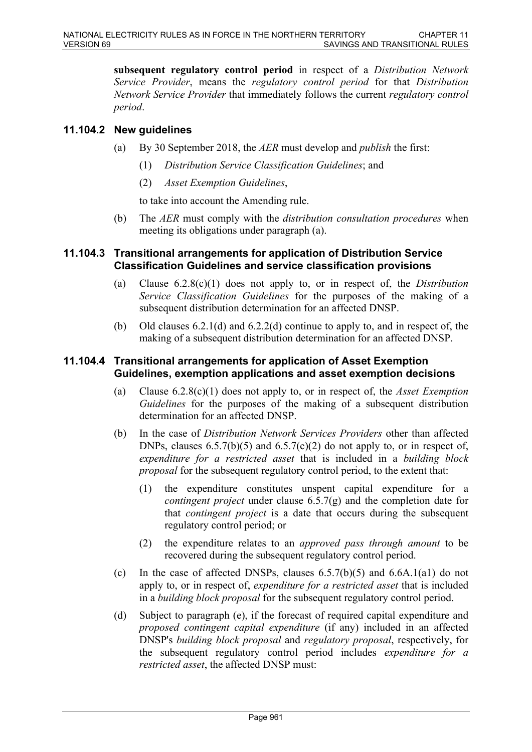**subsequent regulatory control period** in respect of a *Distribution Network Service Provider*, means the *regulatory control period* for that *Distribution Network Service Provider* that immediately follows the current *regulatory control period*.

## **11.104.2 New guidelines**

- (a) By 30 September 2018, the *AER* must develop and *publish* the first:
	- (1) *Distribution Service Classification Guidelines*; and
	- (2) *Asset Exemption Guidelines*,

to take into account the Amending rule.

(b) The *AER* must comply with the *distribution consultation procedures* when meeting its obligations under paragraph (a).

## **11.104.3 Transitional arrangements for application of Distribution Service Classification Guidelines and service classification provisions**

- (a) Clause 6.2.8(c)(1) does not apply to, or in respect of, the *Distribution Service Classification Guidelines* for the purposes of the making of a subsequent distribution determination for an affected DNSP.
- (b) Old clauses 6.2.1(d) and 6.2.2(d) continue to apply to, and in respect of, the making of a subsequent distribution determination for an affected DNSP.

## **11.104.4 Transitional arrangements for application of Asset Exemption Guidelines, exemption applications and asset exemption decisions**

- (a) Clause 6.2.8(c)(1) does not apply to, or in respect of, the *Asset Exemption Guidelines* for the purposes of the making of a subsequent distribution determination for an affected DNSP.
- (b) In the case of *Distribution Network Services Providers* other than affected DNPs, clauses  $6.5.7(b)(5)$  and  $6.5.7(c)(2)$  do not apply to, or in respect of, *expenditure for a restricted asset* that is included in a *building block proposal* for the subsequent regulatory control period, to the extent that:
	- (1) the expenditure constitutes unspent capital expenditure for a *contingent project* under clause 6.5.7(g) and the completion date for that *contingent project* is a date that occurs during the subsequent regulatory control period; or
	- (2) the expenditure relates to an *approved pass through amount* to be recovered during the subsequent regulatory control period.
- (c) In the case of affected DNSPs, clauses  $6.5.7(b)(5)$  and  $6.6A.1(a1)$  do not apply to, or in respect of, *expenditure for a restricted asset* that is included in a *building block proposal* for the subsequent regulatory control period.
- (d) Subject to paragraph (e), if the forecast of required capital expenditure and *proposed contingent capital expenditure* (if any) included in an affected DNSP's *building block proposal* and *regulatory proposal*, respectively, for the subsequent regulatory control period includes *expenditure for a restricted asset*, the affected DNSP must: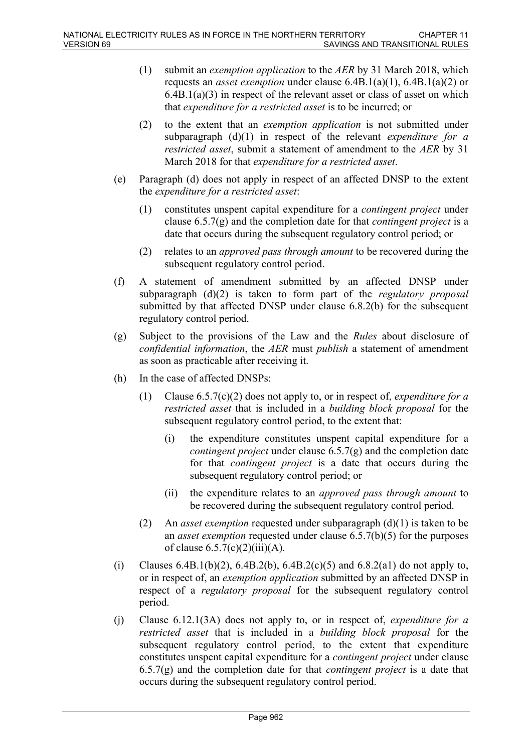- (1) submit an *exemption application* to the *AER* by 31 March 2018, which requests an *asset exemption* under clause 6.4B.1(a)(1), 6.4B.1(a)(2) or 6.4B.1(a)(3) in respect of the relevant asset or class of asset on which that *expenditure for a restricted asset* is to be incurred; or
- (2) to the extent that an *exemption application* is not submitted under subparagraph (d)(1) in respect of the relevant *expenditure for a restricted asset*, submit a statement of amendment to the *AER* by 31 March 2018 for that *expenditure for a restricted asset*.
- (e) Paragraph (d) does not apply in respect of an affected DNSP to the extent the *expenditure for a restricted asset*:
	- (1) constitutes unspent capital expenditure for a *contingent project* under clause 6.5.7(g) and the completion date for that *contingent project* is a date that occurs during the subsequent regulatory control period; or
	- (2) relates to an *approved pass through amount* to be recovered during the subsequent regulatory control period.
- (f) A statement of amendment submitted by an affected DNSP under subparagraph (d)(2) is taken to form part of the *regulatory proposal* submitted by that affected DNSP under clause 6.8.2(b) for the subsequent regulatory control period.
- (g) Subject to the provisions of the Law and the *Rules* about disclosure of *confidential information*, the *AER* must *publish* a statement of amendment as soon as practicable after receiving it.
- (h) In the case of affected DNSPs:
	- (1) Clause 6.5.7(c)(2) does not apply to, or in respect of, *expenditure for a restricted asset* that is included in a *building block proposal* for the subsequent regulatory control period, to the extent that:
		- (i) the expenditure constitutes unspent capital expenditure for a *contingent project* under clause 6.5.7(g) and the completion date for that *contingent project* is a date that occurs during the subsequent regulatory control period; or
		- (ii) the expenditure relates to an *approved pass through amount* to be recovered during the subsequent regulatory control period.
	- (2) An *asset exemption* requested under subparagraph (d)(1) is taken to be an *asset exemption* requested under clause 6.5.7(b)(5) for the purposes of clause  $6.5.7(c)(2)(iii)(A)$ .
- (i) Clauses 6.4B.1(b)(2), 6.4B.2(b), 6.4B.2(c)(5) and 6.8.2(a1) do not apply to, or in respect of, an *exemption application* submitted by an affected DNSP in respect of a *regulatory proposal* for the subsequent regulatory control period.
- (j) Clause 6.12.1(3A) does not apply to, or in respect of, *expenditure for a restricted asset* that is included in a *building block proposal* for the subsequent regulatory control period, to the extent that expenditure constitutes unspent capital expenditure for a *contingent project* under clause 6.5.7(g) and the completion date for that *contingent project* is a date that occurs during the subsequent regulatory control period.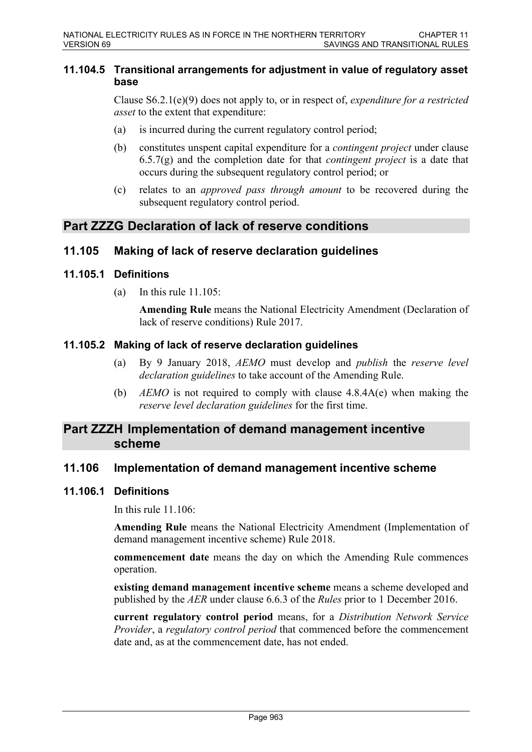#### **11.104.5 Transitional arrangements for adjustment in value of regulatory asset base**

Clause S6.2.1(e)(9) does not apply to, or in respect of, *expenditure for a restricted asset* to the extent that expenditure:

- (a) is incurred during the current regulatory control period;
- (b) constitutes unspent capital expenditure for a *contingent project* under clause 6.5.7(g) and the completion date for that *contingent project* is a date that occurs during the subsequent regulatory control period; or
- (c) relates to an *approved pass through amount* to be recovered during the subsequent regulatory control period.

## **Part ZZZG Declaration of lack of reserve conditions**

## **11.105 Making of lack of reserve declaration guidelines**

#### **11.105.1 Definitions**

(a) In this rule  $11.105$ 

**Amending Rule** means the National Electricity Amendment (Declaration of lack of reserve conditions) Rule 2017.

#### **11.105.2 Making of lack of reserve declaration guidelines**

- (a) By 9 January 2018, *AEMO* must develop and *publish* the *reserve level declaration guidelines* to take account of the Amending Rule.
- (b) *AEMO* is not required to comply with clause 4.8.4A(e) when making the *reserve level declaration guidelines* for the first time.

## **Part ZZZH Implementation of demand management incentive scheme**

## **11.106 Implementation of demand management incentive scheme**

#### **11.106.1 Definitions**

In this rule  $11.106$ 

**Amending Rule** means the National Electricity Amendment (Implementation of demand management incentive scheme) Rule 2018.

**commencement date** means the day on which the Amending Rule commences operation.

**existing demand management incentive scheme** means a scheme developed and published by the *AER* under clause 6.6.3 of the *Rules* prior to 1 December 2016.

**current regulatory control period** means, for a *Distribution Network Service Provider*, a *regulatory control period* that commenced before the commencement date and, as at the commencement date, has not ended.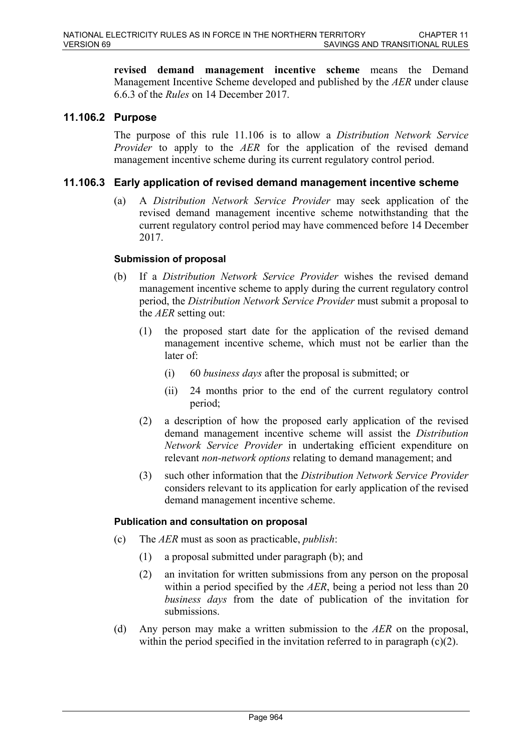**revised demand management incentive scheme** means the Demand Management Incentive Scheme developed and published by the *AER* under clause 6.6.3 of the *Rules* on 14 December 2017.

## **11.106.2 Purpose**

The purpose of this rule 11.106 is to allow a *Distribution Network Service Provider* to apply to the *AER* for the application of the revised demand management incentive scheme during its current regulatory control period.

#### **11.106.3 Early application of revised demand management incentive scheme**

(a) A *Distribution Network Service Provider* may seek application of the revised demand management incentive scheme notwithstanding that the current regulatory control period may have commenced before 14 December 2017.

#### **Submission of proposal**

- (b) If a *Distribution Network Service Provider* wishes the revised demand management incentive scheme to apply during the current regulatory control period, the *Distribution Network Service Provider* must submit a proposal to the *AER* setting out:
	- (1) the proposed start date for the application of the revised demand management incentive scheme, which must not be earlier than the later of:
		- (i) 60 *business days* after the proposal is submitted; or
		- (ii) 24 months prior to the end of the current regulatory control period;
	- (2) a description of how the proposed early application of the revised demand management incentive scheme will assist the *Distribution Network Service Provider* in undertaking efficient expenditure on relevant *non-network options* relating to demand management; and
	- (3) such other information that the *Distribution Network Service Provider* considers relevant to its application for early application of the revised demand management incentive scheme.

#### **Publication and consultation on proposal**

- (c) The *AER* must as soon as practicable, *publish*:
	- (1) a proposal submitted under paragraph (b); and
	- (2) an invitation for written submissions from any person on the proposal within a period specified by the *AER*, being a period not less than 20 *business days* from the date of publication of the invitation for submissions.
- (d) Any person may make a written submission to the *AER* on the proposal, within the period specified in the invitation referred to in paragraph  $(c)(2)$ .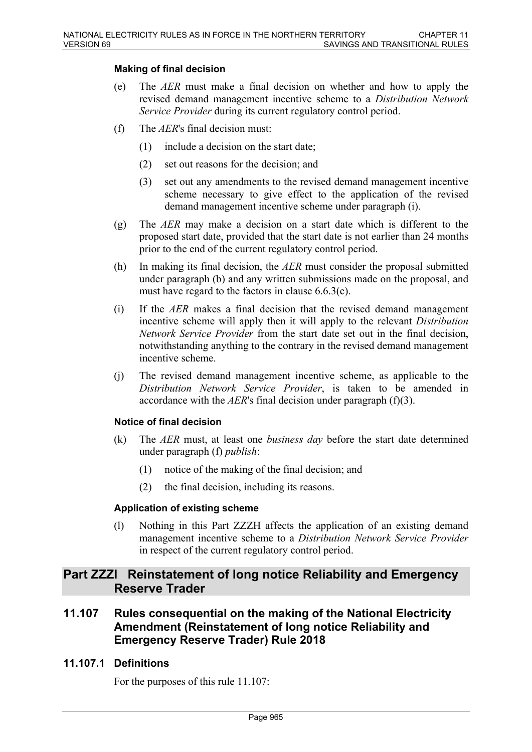#### **Making of final decision**

- (e) The *AER* must make a final decision on whether and how to apply the revised demand management incentive scheme to a *Distribution Network Service Provider* during its current regulatory control period.
- (f) The *AER*'s final decision must:
	- (1) include a decision on the start date;
	- (2) set out reasons for the decision; and
	- (3) set out any amendments to the revised demand management incentive scheme necessary to give effect to the application of the revised demand management incentive scheme under paragraph (i).
- (g) The *AER* may make a decision on a start date which is different to the proposed start date, provided that the start date is not earlier than 24 months prior to the end of the current regulatory control period.
- (h) In making its final decision, the *AER* must consider the proposal submitted under paragraph (b) and any written submissions made on the proposal, and must have regard to the factors in clause 6.6.3(c).
- (i) If the *AER* makes a final decision that the revised demand management incentive scheme will apply then it will apply to the relevant *Distribution Network Service Provider* from the start date set out in the final decision, notwithstanding anything to the contrary in the revised demand management incentive scheme.
- (j) The revised demand management incentive scheme, as applicable to the *Distribution Network Service Provider*, is taken to be amended in accordance with the *AER*'s final decision under paragraph (f)(3).

#### **Notice of final decision**

- (k) The *AER* must, at least one *business day* before the start date determined under paragraph (f) *publish*:
	- (1) notice of the making of the final decision; and
	- (2) the final decision, including its reasons.

#### **Application of existing scheme**

(l) Nothing in this Part ZZZH affects the application of an existing demand management incentive scheme to a *Distribution Network Service Provider* in respect of the current regulatory control period.

## **Part ZZZI Reinstatement of long notice Reliability and Emergency Reserve Trader**

**11.107 Rules consequential on the making of the National Electricity Amendment (Reinstatement of long notice Reliability and Emergency Reserve Trader) Rule 2018**

## **11.107.1 Definitions**

For the purposes of this rule 11.107: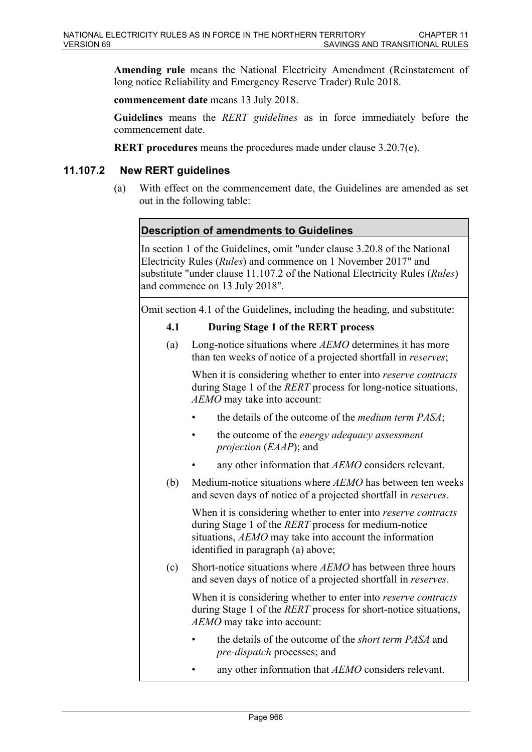**Amending rule** means the National Electricity Amendment (Reinstatement of long notice Reliability and Emergency Reserve Trader) Rule 2018.

**commencement date** means 13 July 2018.

**Guidelines** means the *RERT guidelines* as in force immediately before the commencement date.

**RERT procedures** means the procedures made under clause 3.20.7(e).

## **11.107.2 New RERT guidelines**

(a) With effect on the commencement date, the Guidelines are amended as set out in the following table:

## **Description of amendments to Guidelines**

In section 1 of the Guidelines, omit "under clause 3.20.8 of the National Electricity Rules (*Rules*) and commence on 1 November 2017" and substitute "under clause 11.107.2 of the National Electricity Rules (*Rules*) and commence on 13 July 2018".

Omit section 4.1 of the Guidelines, including the heading, and substitute:

## **4.1 During Stage 1 of the RERT process**

(a) Long-notice situations where *AEMO* determines it has more than ten weeks of notice of a projected shortfall in *reserves*;

When it is considering whether to enter into *reserve contracts* during Stage 1 of the *RERT* process for long-notice situations, *AEMO* may take into account:

- the details of the outcome of the *medium term PASA*;
- the outcome of the *energy adequacy assessment projection* (*EAAP*); and
- any other information that *AEMO* considers relevant.
- (b) Medium-notice situations where *AEMO* has between ten weeks and seven days of notice of a projected shortfall in *reserves*.

When it is considering whether to enter into *reserve contracts* during Stage 1 of the *RERT* process for medium-notice situations, *AEMO* may take into account the information identified in paragraph (a) above;

(c) Short-notice situations where *AEMO* has between three hours and seven days of notice of a projected shortfall in *reserves*.

When it is considering whether to enter into *reserve contracts* during Stage 1 of the *RERT* process for short-notice situations, *AEMO* may take into account:

- the details of the outcome of the *short term PASA* and *pre-dispatch* processes; and
- any other information that *AEMO* considers relevant.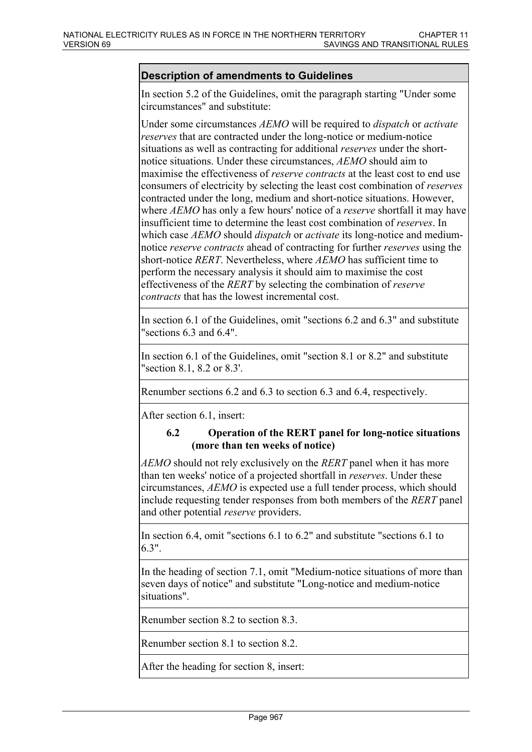## **Description of amendments to Guidelines**

In section 5.2 of the Guidelines, omit the paragraph starting "Under some circumstances" and substitute:

Under some circumstances *AEMO* will be required to *dispatch* or *activate reserves* that are contracted under the long-notice or medium-notice situations as well as contracting for additional *reserves* under the shortnotice situations. Under these circumstances, *AEMO* should aim to maximise the effectiveness of *reserve contracts* at the least cost to end use consumers of electricity by selecting the least cost combination of *reserves* contracted under the long, medium and short-notice situations. However, where *AEMO* has only a few hours' notice of a *reserve* shortfall it may have insufficient time to determine the least cost combination of *reserves*. In which case *AEMO* should *dispatch* or *activate* its long-notice and mediumnotice *reserve contracts* ahead of contracting for further *reserves* using the short-notice *RERT*. Nevertheless, where *AEMO* has sufficient time to perform the necessary analysis it should aim to maximise the cost effectiveness of the *RERT* by selecting the combination of *reserve contracts* that has the lowest incremental cost.

In section 6.1 of the Guidelines, omit "sections 6.2 and 6.3" and substitute "sections 6.3 and 6.4".

In section 6.1 of the Guidelines, omit "section 8.1 or 8.2" and substitute "section 8.1, 8.2 or 8.3'.

Renumber sections 6.2 and 6.3 to section 6.3 and 6.4, respectively.

After section 6.1, insert:

#### **6.2 Operation of the RERT panel for long-notice situations (more than ten weeks of notice)**

*AEMO* should not rely exclusively on the *RERT* panel when it has more than ten weeks' notice of a projected shortfall in *reserves*. Under these circumstances, *AEMO* is expected use a full tender process, which should include requesting tender responses from both members of the *RERT* panel and other potential *reserve* providers.

In section 6.4, omit "sections 6.1 to 6.2" and substitute "sections 6.1 to 6.3".

In the heading of section 7.1, omit "Medium-notice situations of more than seven days of notice" and substitute "Long-notice and medium-notice situations".

Renumber section 8.2 to section 8.3.

Renumber section 8.1 to section 8.2.

After the heading for section 8, insert: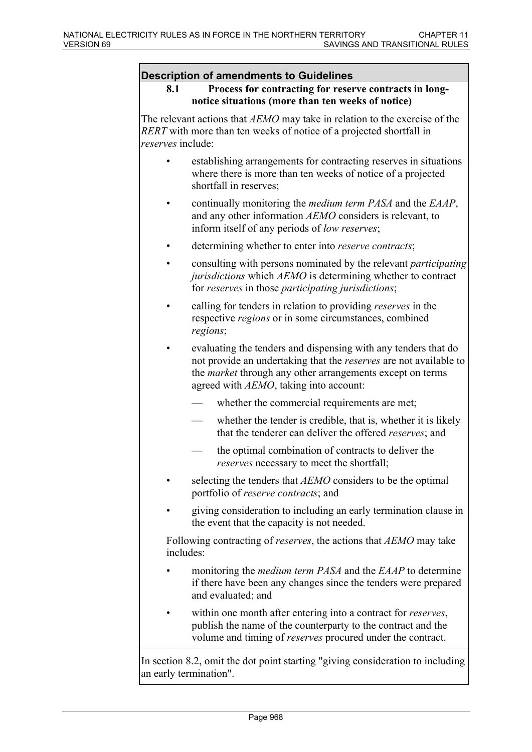#### **Description of amendments to Guidelines**

**8.1 Process for contracting for reserve contracts in longnotice situations (more than ten weeks of notice)**

The relevant actions that *AEMO* may take in relation to the exercise of the *RERT* with more than ten weeks of notice of a projected shortfall in *reserves* include:

- establishing arrangements for contracting reserves in situations where there is more than ten weeks of notice of a projected shortfall in reserves;
- continually monitoring the *medium term PASA* and the *EAAP*, and any other information *AEMO* considers is relevant, to inform itself of any periods of *low reserves*;
- determining whether to enter into *reserve contracts*;
- consulting with persons nominated by the relevant *participating jurisdictions* which *AEMO* is determining whether to contract for *reserves* in those *participating jurisdictions*;
- calling for tenders in relation to providing *reserves* in the respective *regions* or in some circumstances, combined *regions*;
- evaluating the tenders and dispensing with any tenders that do not provide an undertaking that the *reserves* are not available to the *market* through any other arrangements except on terms agreed with *AEMO*, taking into account:
	- whether the commercial requirements are met;
	- whether the tender is credible, that is, whether it is likely that the tenderer can deliver the offered *reserves*; and
	- the optimal combination of contracts to deliver the *reserves* necessary to meet the shortfall;
- selecting the tenders that *AEMO* considers to be the optimal portfolio of *reserve contracts*; and
- giving consideration to including an early termination clause in the event that the capacity is not needed.

Following contracting of *reserves*, the actions that *AEMO* may take includes:

- monitoring the *medium term PASA* and the *EAAP* to determine if there have been any changes since the tenders were prepared and evaluated; and
- within one month after entering into a contract for *reserves*, publish the name of the counterparty to the contract and the volume and timing of *reserves* procured under the contract.

In section 8.2, omit the dot point starting "giving consideration to including an early termination".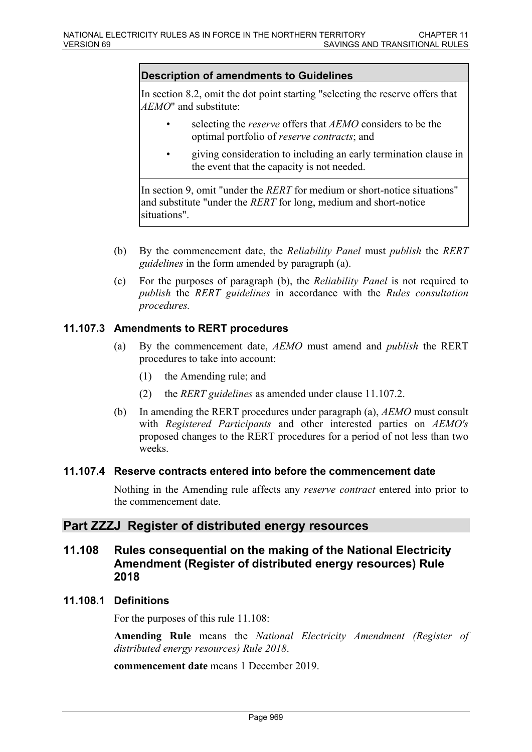#### **Description of amendments to Guidelines**

In section 8.2, omit the dot point starting "selecting the reserve offers that *AEMO*" and substitute:

- selecting the *reserve* offers that *AEMO* considers to be the optimal portfolio of *reserve contracts*; and
- giving consideration to including an early termination clause in the event that the capacity is not needed.

In section 9, omit "under the *RERT* for medium or short-notice situations" and substitute "under the *RERT* for long, medium and short-notice situations".

- (b) By the commencement date, the *Reliability Panel* must *publish* the *RERT guidelines* in the form amended by paragraph (a).
- (c) For the purposes of paragraph (b), the *Reliability Panel* is not required to *publish* the *RERT guidelines* in accordance with the *Rules consultation procedures.*

#### **11.107.3 Amendments to RERT procedures**

- (a) By the commencement date, *AEMO* must amend and *publish* the RERT procedures to take into account:
	- (1) the Amending rule; and
	- (2) the *RERT guidelines* as amended under clause 11.107.2.
- (b) In amending the RERT procedures under paragraph (a), *AEMO* must consult with *Registered Participants* and other interested parties on *AEMO's* proposed changes to the RERT procedures for a period of not less than two weeks.

#### **11.107.4 Reserve contracts entered into before the commencement date**

Nothing in the Amending rule affects any *reserve contract* entered into prior to the commencement date.

## **Part ZZZJ Register of distributed energy resources**

## **11.108 Rules consequential on the making of the National Electricity Amendment (Register of distributed energy resources) Rule 2018**

#### **11.108.1 Definitions**

For the purposes of this rule 11.108:

**Amending Rule** means the *National Electricity Amendment (Register of distributed energy resources) Rule 2018*.

**commencement date** means 1 December 2019.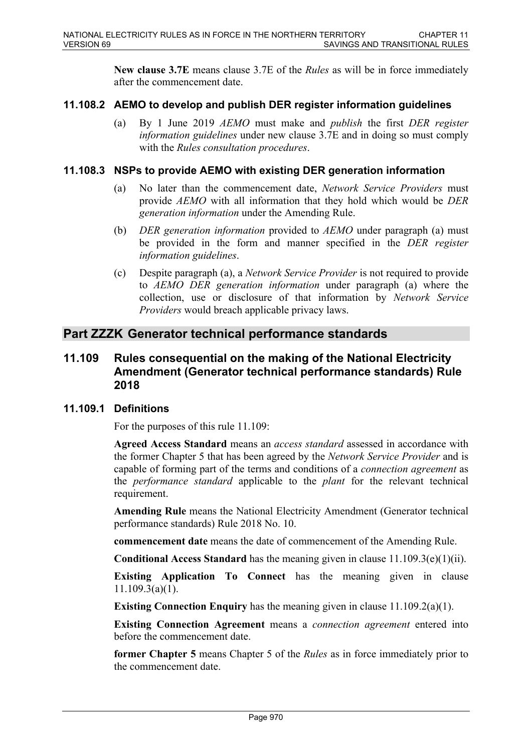**New clause 3.7E** means clause 3.7E of the *Rules* as will be in force immediately after the commencement date.

## **11.108.2 AEMO to develop and publish DER register information guidelines**

(a) By 1 June 2019 *AEMO* must make and *publish* the first *DER register information guidelines* under new clause 3.7E and in doing so must comply with the *Rules consultation procedures*.

## **11.108.3 NSPs to provide AEMO with existing DER generation information**

- (a) No later than the commencement date, *Network Service Providers* must provide *AEMO* with all information that they hold which would be *DER generation information* under the Amending Rule.
- (b) *DER generation information* provided to *AEMO* under paragraph (a) must be provided in the form and manner specified in the *DER register information guidelines*.
- (c) Despite paragraph (a), a *Network Service Provider* is not required to provide to *AEMO DER generation information* under paragraph (a) where the collection, use or disclosure of that information by *Network Service Providers* would breach applicable privacy laws.

## **Part ZZZK Generator technical performance standards**

## **11.109 Rules consequential on the making of the National Electricity Amendment (Generator technical performance standards) Rule 2018**

## **11.109.1 Definitions**

For the purposes of this rule 11.109:

**Agreed Access Standard** means an *access standard* assessed in accordance with the former Chapter 5 that has been agreed by the *Network Service Provider* and is capable of forming part of the terms and conditions of a *connection agreement* as the *performance standard* applicable to the *plant* for the relevant technical requirement.

**Amending Rule** means the National Electricity Amendment (Generator technical performance standards) Rule 2018 No. 10.

**commencement date** means the date of commencement of the Amending Rule.

**Conditional Access Standard** has the meaning given in clause 11.109.3(e)(1)(ii).

**Existing Application To Connect** has the meaning given in clause 11.109.3(a)(1).

**Existing Connection Enquiry** has the meaning given in clause 11.109.2(a)(1).

**Existing Connection Agreement** means a *connection agreement* entered into before the commencement date.

**former Chapter 5** means Chapter 5 of the *Rules* as in force immediately prior to the commencement date.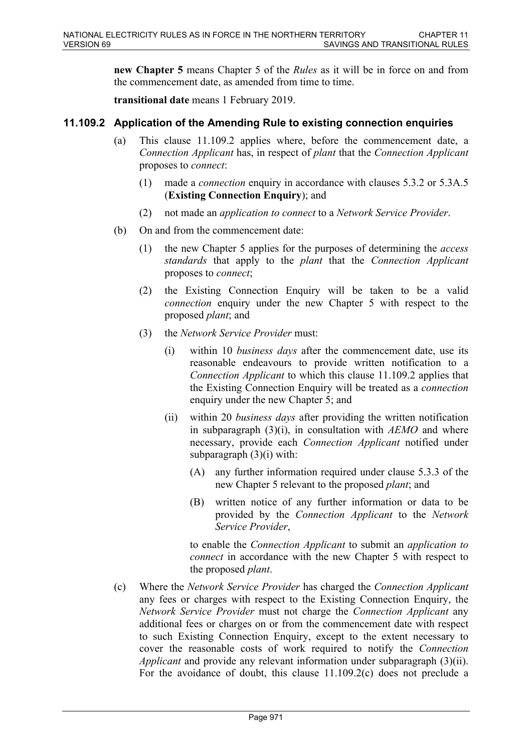**new Chapter 5** means Chapter 5 of the *Rules* as it will be in force on and from the commencement date, as amended from time to time.

**transitional date** means 1 February 2019.

# **11.109.2 Application of the Amending Rule to existing connection enquiries**

- (a) This clause 11.109.2 applies where, before the commencement date, a *Connection Applicant* has, in respect of *plant* that the *Connection Applicant* proposes to *connect*:
	- (1) made a *connection* enquiry in accordance with clauses 5.3.2 or 5.3A.5 (**Existing Connection Enquiry**); and
	- (2) not made an *application to connect* to a *Network Service Provider*.
- (b) On and from the commencement date:
	- (1) the new Chapter 5 applies for the purposes of determining the *access standards* that apply to the *plant* that the *Connection Applicant* proposes to *connect*;
	- (2) the Existing Connection Enquiry will be taken to be a valid *connection* enquiry under the new Chapter 5 with respect to the proposed *plant*; and
	- (3) the *Network Service Provider* must:
		- (i) within 10 *business days* after the commencement date, use its reasonable endeavours to provide written notification to a *Connection Applicant* to which this clause 11.109.2 applies that the Existing Connection Enquiry will be treated as a *connection* enquiry under the new Chapter 5; and
		- (ii) within 20 *business days* after providing the written notification in subparagraph (3)(i), in consultation with *AEMO* and where necessary, provide each *Connection Applicant* notified under subparagraph  $(3)(i)$  with:
			- (A) any further information required under clause 5.3.3 of the new Chapter 5 relevant to the proposed *plant*; and
			- (B) written notice of any further information or data to be provided by the *Connection Applicant* to the *Network Service Provider*,

to enable the *Connection Applicant* to submit an *application to connect* in accordance with the new Chapter 5 with respect to the proposed *plant*.

(c) Where the *Network Service Provider* has charged the *Connection Applicant* any fees or charges with respect to the Existing Connection Enquiry, the *Network Service Provider* must not charge the *Connection Applicant* any additional fees or charges on or from the commencement date with respect to such Existing Connection Enquiry, except to the extent necessary to cover the reasonable costs of work required to notify the *Connection Applicant* and provide any relevant information under subparagraph (3)(ii). For the avoidance of doubt, this clause 11.109.2(c) does not preclude a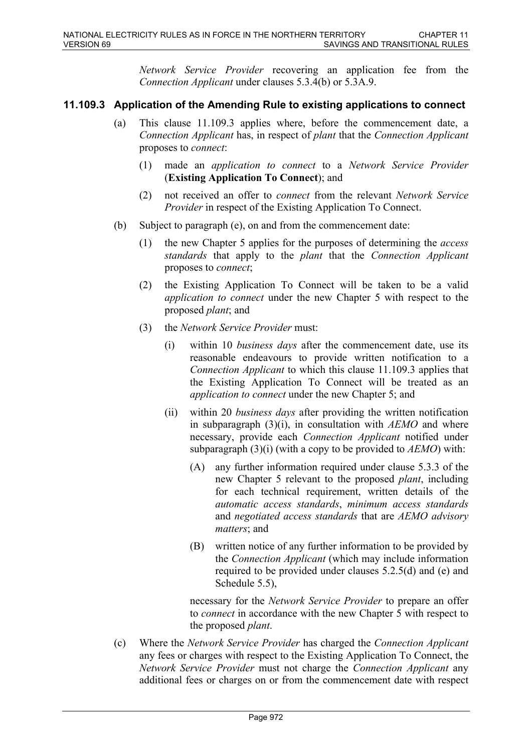*Network Service Provider* recovering an application fee from the *Connection Applicant* under clauses 5.3.4(b) or 5.3A.9.

# **11.109.3 Application of the Amending Rule to existing applications to connect**

- (a) This clause 11.109.3 applies where, before the commencement date, a *Connection Applicant* has, in respect of *plant* that the *Connection Applicant* proposes to *connect*:
	- (1) made an *application to connect* to a *Network Service Provider* (**Existing Application To Connect**); and
	- (2) not received an offer to *connect* from the relevant *Network Service Provider* in respect of the Existing Application To Connect.
- (b) Subject to paragraph (e), on and from the commencement date:
	- (1) the new Chapter 5 applies for the purposes of determining the *access standards* that apply to the *plant* that the *Connection Applicant* proposes to *connect*;
	- (2) the Existing Application To Connect will be taken to be a valid *application to connect* under the new Chapter 5 with respect to the proposed *plant*; and
	- (3) the *Network Service Provider* must:
		- (i) within 10 *business days* after the commencement date, use its reasonable endeavours to provide written notification to a *Connection Applicant* to which this clause 11.109.3 applies that the Existing Application To Connect will be treated as an *application to connect* under the new Chapter 5; and
		- (ii) within 20 *business days* after providing the written notification in subparagraph (3)(i), in consultation with *AEMO* and where necessary, provide each *Connection Applicant* notified under subparagraph (3)(i) (with a copy to be provided to *AEMO*) with:
			- (A) any further information required under clause 5.3.3 of the new Chapter 5 relevant to the proposed *plant*, including for each technical requirement, written details of the *automatic access standards*, *minimum access standards* and *negotiated access standards* that are *AEMO advisory matters*; and
			- (B) written notice of any further information to be provided by the *Connection Applicant* (which may include information required to be provided under clauses 5.2.5(d) and (e) and Schedule 5.5),

necessary for the *Network Service Provider* to prepare an offer to *connect* in accordance with the new Chapter 5 with respect to the proposed *plant*.

(c) Where the *Network Service Provider* has charged the *Connection Applicant* any fees or charges with respect to the Existing Application To Connect, the *Network Service Provider* must not charge the *Connection Applicant* any additional fees or charges on or from the commencement date with respect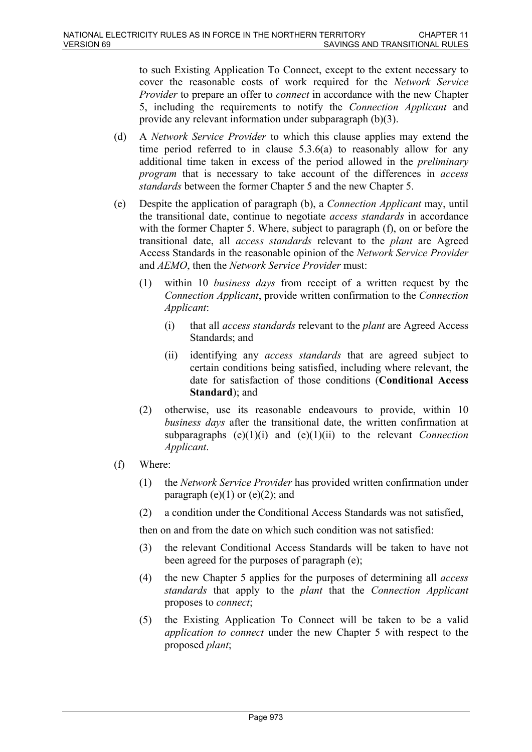to such Existing Application To Connect, except to the extent necessary to cover the reasonable costs of work required for the *Network Service Provider* to prepare an offer to *connect* in accordance with the new Chapter 5, including the requirements to notify the *Connection Applicant* and provide any relevant information under subparagraph (b)(3).

- (d) A *Network Service Provider* to which this clause applies may extend the time period referred to in clause 5.3.6(a) to reasonably allow for any additional time taken in excess of the period allowed in the *preliminary program* that is necessary to take account of the differences in *access standards* between the former Chapter 5 and the new Chapter 5.
- (e) Despite the application of paragraph (b), a *Connection Applicant* may, until the transitional date, continue to negotiate *access standards* in accordance with the former Chapter 5. Where, subject to paragraph (f), on or before the transitional date, all *access standards* relevant to the *plant* are Agreed Access Standards in the reasonable opinion of the *Network Service Provider* and *AEMO*, then the *Network Service Provider* must:
	- (1) within 10 *business days* from receipt of a written request by the *Connection Applicant*, provide written confirmation to the *Connection Applicant*:
		- (i) that all *access standards* relevant to the *plant* are Agreed Access Standards; and
		- (ii) identifying any *access standards* that are agreed subject to certain conditions being satisfied, including where relevant, the date for satisfaction of those conditions (**Conditional Access Standard**); and
	- (2) otherwise, use its reasonable endeavours to provide, within 10 *business days* after the transitional date, the written confirmation at subparagraphs (e)(1)(i) and (e)(1)(ii) to the relevant *Connection Applicant*.
- (f) Where:
	- (1) the *Network Service Provider* has provided written confirmation under paragraph  $(e)(1)$  or  $(e)(2)$ ; and
	- (2) a condition under the Conditional Access Standards was not satisfied,

then on and from the date on which such condition was not satisfied:

- (3) the relevant Conditional Access Standards will be taken to have not been agreed for the purposes of paragraph (e);
- (4) the new Chapter 5 applies for the purposes of determining all *access standards* that apply to the *plant* that the *Connection Applicant* proposes to *connect*;
- (5) the Existing Application To Connect will be taken to be a valid *application to connect* under the new Chapter 5 with respect to the proposed *plant*;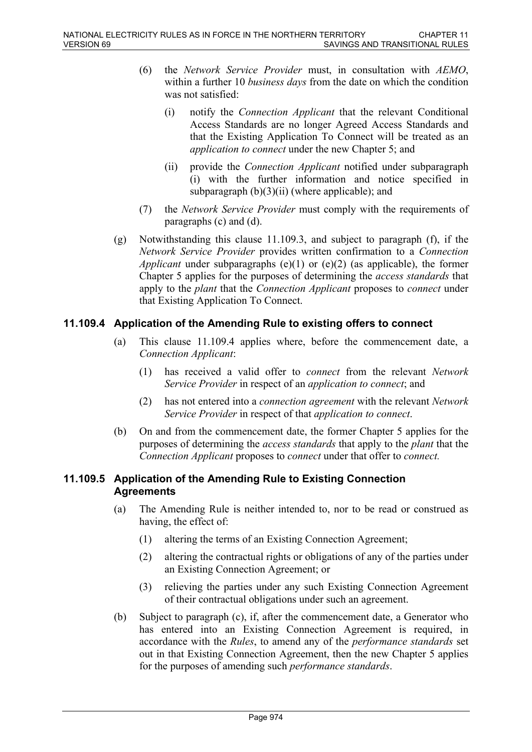- (6) the *Network Service Provider* must, in consultation with *AEMO*, within a further 10 *business days* from the date on which the condition was not satisfied:
	- (i) notify the *Connection Applicant* that the relevant Conditional Access Standards are no longer Agreed Access Standards and that the Existing Application To Connect will be treated as an *application to connect* under the new Chapter 5; and
	- (ii) provide the *Connection Applicant* notified under subparagraph (i) with the further information and notice specified in subparagraph  $(b)(3)(ii)$  (where applicable); and
- (7) the *Network Service Provider* must comply with the requirements of paragraphs (c) and (d).
- (g) Notwithstanding this clause 11.109.3, and subject to paragraph (f), if the *Network Service Provider* provides written confirmation to a *Connection Applicant* under subparagraphs (e)(1) or (e)(2) (as applicable), the former Chapter 5 applies for the purposes of determining the *access standards* that apply to the *plant* that the *Connection Applicant* proposes to *connect* under that Existing Application To Connect.

# **11.109.4 Application of the Amending Rule to existing offers to connect**

- (a) This clause 11.109.4 applies where, before the commencement date, a *Connection Applicant*:
	- (1) has received a valid offer to *connect* from the relevant *Network Service Provider* in respect of an *application to connect*; and
	- (2) has not entered into a *connection agreement* with the relevant *Network Service Provider* in respect of that *application to connect*.
- (b) On and from the commencement date, the former Chapter 5 applies for the purposes of determining the *access standards* that apply to the *plant* that the *Connection Applicant* proposes to *connect* under that offer to *connect.*

## **11.109.5 Application of the Amending Rule to Existing Connection Agreements**

- (a) The Amending Rule is neither intended to, nor to be read or construed as having, the effect of:
	- (1) altering the terms of an Existing Connection Agreement;
	- (2) altering the contractual rights or obligations of any of the parties under an Existing Connection Agreement; or
	- (3) relieving the parties under any such Existing Connection Agreement of their contractual obligations under such an agreement.
- (b) Subject to paragraph (c), if, after the commencement date, a Generator who has entered into an Existing Connection Agreement is required, in accordance with the *Rules*, to amend any of the *performance standards* set out in that Existing Connection Agreement, then the new Chapter 5 applies for the purposes of amending such *performance standards*.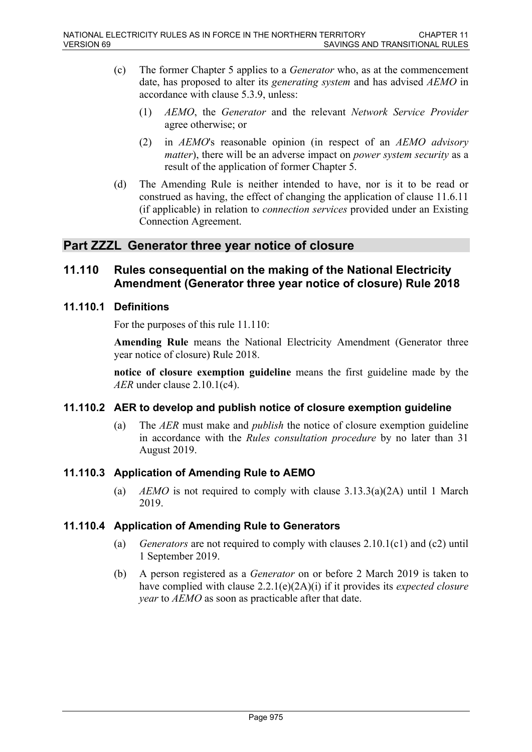- (c) The former Chapter 5 applies to a *Generator* who, as at the commencement date, has proposed to alter its *generating system* and has advised *AEMO* in accordance with clause 5.3.9, unless:
	- (1) *AEMO*, the *Generator* and the relevant *Network Service Provider* agree otherwise; or
	- (2) in *AEMO*'s reasonable opinion (in respect of an *AEMO advisory matter*), there will be an adverse impact on *power system security* as a result of the application of former Chapter 5.
- (d) The Amending Rule is neither intended to have, nor is it to be read or construed as having, the effect of changing the application of clause 11.6.11 (if applicable) in relation to *connection services* provided under an Existing Connection Agreement.

# **Part ZZZL Generator three year notice of closure**

# **11.110 Rules consequential on the making of the National Electricity Amendment (Generator three year notice of closure) Rule 2018**

## **11.110.1 Definitions**

For the purposes of this rule 11.110:

**Amending Rule** means the National Electricity Amendment (Generator three year notice of closure) Rule 2018.

**notice of closure exemption guideline** means the first guideline made by the *AER* under clause 2.10.1(c4).

## **11.110.2 AER to develop and publish notice of closure exemption guideline**

(a) The *AER* must make and *publish* the notice of closure exemption guideline in accordance with the *Rules consultation procedure* by no later than 31 August 2019.

## **11.110.3 Application of Amending Rule to AEMO**

(a) *AEMO* is not required to comply with clause  $3.13.3(a)(2A)$  until 1 March 2019.

## **11.110.4 Application of Amending Rule to Generators**

- (a) *Generators* are not required to comply with clauses 2.10.1(c1) and (c2) until 1 September 2019.
- (b) A person registered as a *Generator* on or before 2 March 2019 is taken to have complied with clause 2.2.1(e)(2A)(i) if it provides its *expected closure year* to *AEMO* as soon as practicable after that date.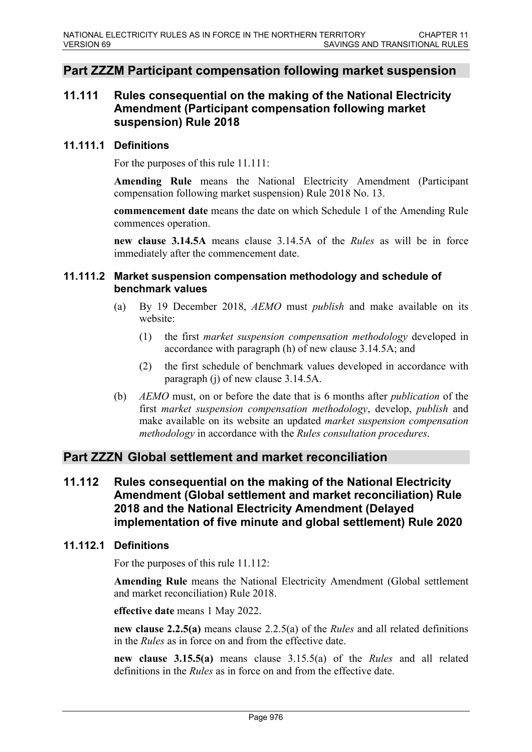# **Part ZZZM Participant compensation following market suspension**

# **11.111 Rules consequential on the making of the National Electricity Amendment (Participant compensation following market suspension) Rule 2018**

#### **11.111.1 Definitions**

For the purposes of this rule 11.111:

**Amending Rule** means the National Electricity Amendment (Participant compensation following market suspension) Rule 2018 No. 13.

**commencement date** means the date on which Schedule 1 of the Amending Rule commences operation.

**new clause 3.14.5A** means clause 3.14.5A of the *Rules* as will be in force immediately after the commencement date.

## **11.111.2 Market suspension compensation methodology and schedule of benchmark values**

- (a) By 19 December 2018, *AEMO* must *publish* and make available on its website:
	- (1) the first *market suspension compensation methodology* developed in accordance with paragraph (h) of new clause 3.14.5A; and
	- (2) the first schedule of benchmark values developed in accordance with paragraph (j) of new clause 3.14.5A.
- (b) *AEMO* must, on or before the date that is 6 months after *publication* of the first *market suspension compensation methodology*, develop, *publish* and make available on its website an updated *market suspension compensation methodology* in accordance with the *Rules consultation procedures*.

# **Part ZZZN Global settlement and market reconciliation**

**11.112 Rules consequential on the making of the National Electricity Amendment (Global settlement and market reconciliation) Rule 2018 and the National Electricity Amendment (Delayed implementation of five minute and global settlement) Rule 2020**

## **11.112.1 Definitions**

For the purposes of this rule 11.112:

**Amending Rule** means the National Electricity Amendment (Global settlement and market reconciliation) Rule 2018.

**effective date** means 1 May 2022.

**new clause 2.2.5(a)** means clause 2.2.5(a) of the *Rules* and all related definitions in the *Rules* as in force on and from the effective date.

**new clause 3.15.5(a)** means clause 3.15.5(a) of the *Rules* and all related definitions in the *Rules* as in force on and from the effective date.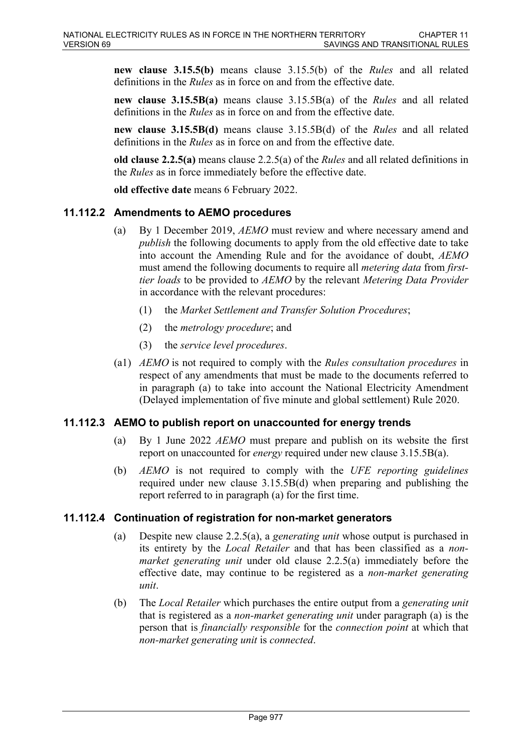**new clause 3.15.5(b)** means clause 3.15.5(b) of the *Rules* and all related definitions in the *Rules* as in force on and from the effective date.

**new clause 3.15.5B(a)** means clause 3.15.5B(a) of the *Rules* and all related definitions in the *Rules* as in force on and from the effective date.

**new clause 3.15.5B(d)** means clause 3.15.5B(d) of the *Rules* and all related definitions in the *Rules* as in force on and from the effective date.

**old clause 2.2.5(a)** means clause 2.2.5(a) of the *Rules* and all related definitions in the *Rules* as in force immediately before the effective date.

**old effective date** means 6 February 2022.

# **11.112.2 Amendments to AEMO procedures**

- (a) By 1 December 2019, *AEMO* must review and where necessary amend and *publish* the following documents to apply from the old effective date to take into account the Amending Rule and for the avoidance of doubt, *AEMO* must amend the following documents to require all *metering data* from *firsttier loads* to be provided to *AEMO* by the relevant *Metering Data Provider* in accordance with the relevant procedures:
	- (1) the *Market Settlement and Transfer Solution Procedures*;
	- (2) the *metrology procedure*; and
	- (3) the *service level procedures*.
- (a1) *AEMO* is not required to comply with the *Rules consultation procedures* in respect of any amendments that must be made to the documents referred to in paragraph (a) to take into account the National Electricity Amendment (Delayed implementation of five minute and global settlement) Rule 2020.

## **11.112.3 AEMO to publish report on unaccounted for energy trends**

- (a) By 1 June 2022 *AEMO* must prepare and publish on its website the first report on unaccounted for *energy* required under new clause 3.15.5B(a).
- (b) *AEMO* is not required to comply with the *UFE reporting guidelines* required under new clause 3.15.5B(d) when preparing and publishing the report referred to in paragraph (a) for the first time.

## **11.112.4 Continuation of registration for non-market generators**

- (a) Despite new clause 2.2.5(a), a *generating unit* whose output is purchased in its entirety by the *Local Retailer* and that has been classified as a *nonmarket generating unit* under old clause 2.2.5(a) immediately before the effective date, may continue to be registered as a *non-market generating unit*.
- (b) The *Local Retailer* which purchases the entire output from a *generating unit* that is registered as a *non-market generating unit* under paragraph (a) is the person that is *financially responsible* for the *connection point* at which that *non-market generating unit* is *connected*.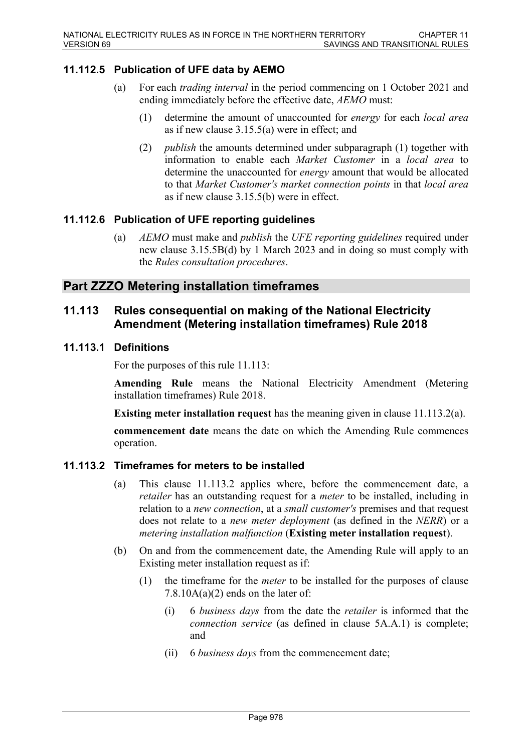# **11.112.5 Publication of UFE data by AEMO**

- (a) For each *trading interval* in the period commencing on 1 October 2021 and ending immediately before the effective date, *AEMO* must:
	- (1) determine the amount of unaccounted for *energy* for each *local area*  as if new clause 3.15.5(a) were in effect; and
	- (2) *publish* the amounts determined under subparagraph (1) together with information to enable each *Market Customer* in a *local area* to determine the unaccounted for *energy* amount that would be allocated to that *Market Customer's market connection points* in that *local area* as if new clause 3.15.5(b) were in effect.

## **11.112.6 Publication of UFE reporting guidelines**

(a) *AEMO* must make and *publish* the *UFE reporting guidelines* required under new clause 3.15.5B(d) by 1 March 2023 and in doing so must comply with the *Rules consultation procedures*.

# **Part ZZZO Metering installation timeframes**

# **11.113 Rules consequential on making of the National Electricity Amendment (Metering installation timeframes) Rule 2018**

## **11.113.1 Definitions**

For the purposes of this rule 11.113:

**Amending Rule** means the National Electricity Amendment (Metering installation timeframes) Rule 2018.

**Existing meter installation request** has the meaning given in clause 11.113.2(a).

**commencement date** means the date on which the Amending Rule commences operation.

## **11.113.2 Timeframes for meters to be installed**

- (a) This clause 11.113.2 applies where, before the commencement date, a *retailer* has an outstanding request for a *meter* to be installed, including in relation to a *new connection*, at a *small customer's* premises and that request does not relate to a *new meter deployment* (as defined in the *NERR*) or a *metering installation malfunction* (**Existing meter installation request**).
- (b) On and from the commencement date, the Amending Rule will apply to an Existing meter installation request as if:
	- (1) the timeframe for the *meter* to be installed for the purposes of clause 7.8.10 $A(a)(2)$  ends on the later of:
		- (i) 6 *business days* from the date the *retailer* is informed that the *connection service* (as defined in clause 5A.A.1) is complete; and
		- (ii) 6 *business days* from the commencement date;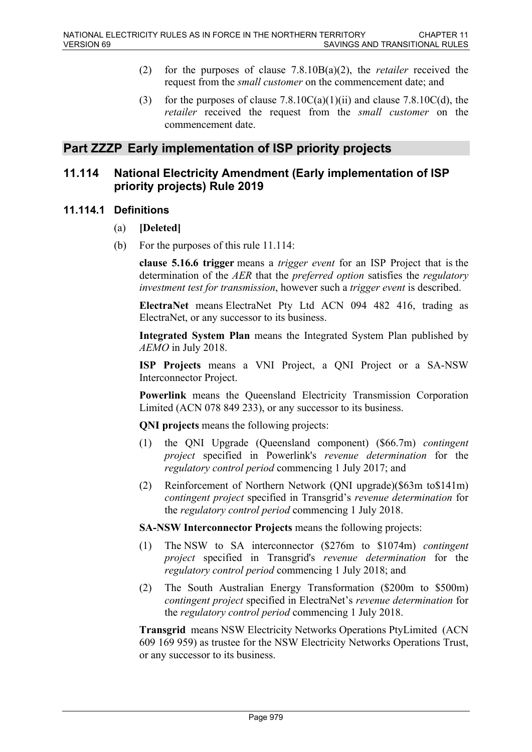- (2) for the purposes of clause 7.8.10B(a)(2), the *retailer* received the request from the *small customer* on the commencement date; and
- (3) for the purposes of clause  $7.8.10C(a)(1)(ii)$  and clause  $7.8.10C(d)$ , the *retailer* received the request from the *small customer* on the commencement date.

# **Part ZZZP Early implementation of ISP priority projects**

# **11.114 National Electricity Amendment (Early implementation of ISP priority projects) Rule 2019**

## **11.114.1 Definitions**

- (a) **[Deleted]**
- (b) For the purposes of this rule 11.114:

**clause 5.16.6 trigger** means a *trigger event* for an ISP Project that is the determination of the *AER* that the *preferred option* satisfies the *regulatory investment test for transmission*, however such a *trigger event* is described.

**ElectraNet** means ElectraNet Pty Ltd ACN 094 482 416, trading as ElectraNet, or any successor to its business.

**Integrated System Plan** means the Integrated System Plan published by *AEMO* in July 2018.

**ISP Projects** means a VNI Project, a QNI Project or a SA-NSW Interconnector Project.

**Powerlink** means the Queensland Electricity Transmission Corporation Limited (ACN 078 849 233), or any successor to its business.

**QNI projects** means the following projects:

- (1) the QNI Upgrade (Queensland component) (\$66.7m) *contingent project* specified in Powerlink's *revenue determination* for the *regulatory control period* commencing 1 July 2017; and
- (2) Reinforcement of Northern Network (QNI upgrade)(\$63m to\$141m) *contingent project* specified in Transgrid's *revenue determination* for the *regulatory control period* commencing 1 July 2018.

**SA-NSW Interconnector Projects** means the following projects:

- (1) The NSW to SA interconnector (\$276m to \$1074m) *contingent project* specified in Transgrid's *revenue determination* for the *regulatory control period* commencing 1 July 2018; and
- (2) The South Australian Energy Transformation (\$200m to \$500m) *contingent project* specified in ElectraNet's *revenue determination* for the *regulatory control period* commencing 1 July 2018.

**Transgrid** means NSW Electricity Networks Operations PtyLimited (ACN 609 169 959) as trustee for the NSW Electricity Networks Operations Trust, or any successor to its business.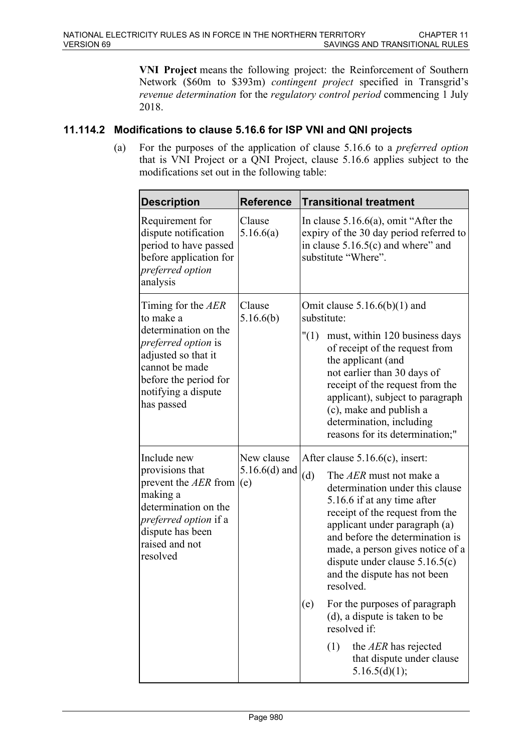**VNI Project** means the following project: the Reinforcement of Southern Network (\$60m to \$393m) *contingent project* specified in Transgrid's *revenue determination* for the *regulatory control period* commencing 1 July 2018.

# **11.114.2 Modifications to clause 5.16.6 for ISP VNI and QNI projects**

(a) For the purposes of the application of clause 5.16.6 to a *preferred option* that is VNI Project or a QNI Project, clause 5.16.6 applies subject to the modifications set out in the following table:

| <b>Description</b>                                                                                                                                                                           | <b>Reference</b>                     | <b>Transitional treatment</b>                                                                                                                                                                                                                                                                                                                                     |
|----------------------------------------------------------------------------------------------------------------------------------------------------------------------------------------------|--------------------------------------|-------------------------------------------------------------------------------------------------------------------------------------------------------------------------------------------------------------------------------------------------------------------------------------------------------------------------------------------------------------------|
| Requirement for<br>dispute notification<br>period to have passed<br>before application for<br>preferred option<br>analysis                                                                   | Clause<br>5.16.6(a)                  | In clause $5.16.6(a)$ , omit "After the<br>expiry of the 30 day period referred to<br>in clause $5.16.5(c)$ and where" and<br>substitute "Where".                                                                                                                                                                                                                 |
| Timing for the AER<br>to make a<br>determination on the<br><i>preferred option is</i><br>adjusted so that it<br>cannot be made<br>before the period for<br>notifying a dispute<br>has passed | Clause<br>5.16.6(b)                  | Omit clause $5.16.6(b)(1)$ and<br>substitute:<br>"(1)<br>must, within 120 business days<br>of receipt of the request from<br>the applicant (and<br>not earlier than 30 days of<br>receipt of the request from the<br>applicant), subject to paragraph<br>(c), make and publish a<br>determination, including<br>reasons for its determination;"                   |
| Include new<br>provisions that<br>prevent the AER from<br>making a<br>determination on the<br>preferred option if a<br>dispute has been<br>raised and not<br>resolved                        | New clause<br>$5.16.6(d)$ and<br>(e) | After clause $5.16.6(c)$ , insert:<br>(d)<br>The AER must not make a<br>determination under this clause<br>5.16.6 if at any time after<br>receipt of the request from the<br>applicant under paragraph (a)<br>and before the determination is<br>made, a person gives notice of a<br>dispute under clause $5.16.5(c)$<br>and the dispute has not been<br>resolved |
|                                                                                                                                                                                              |                                      | For the purposes of paragraph<br>(e)<br>(d), a dispute is taken to be<br>resolved if:<br>(1)<br>the AER has rejected<br>that dispute under clause<br>5.16.5(d)(1);                                                                                                                                                                                                |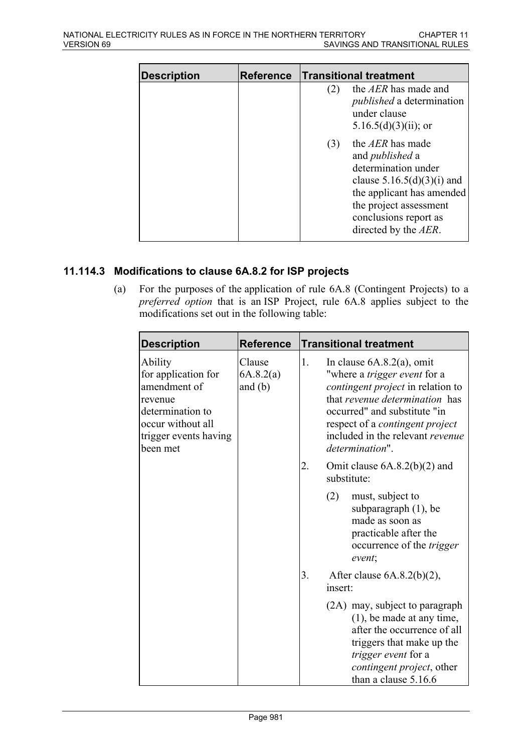| <b>Description</b> | <b>Reference</b> |     | <b>Transitional treatment</b>                                                                                                                                                                             |
|--------------------|------------------|-----|-----------------------------------------------------------------------------------------------------------------------------------------------------------------------------------------------------------|
|                    |                  | (2) | the AER has made and<br><i>published</i> a determination<br>under clause<br>5.16.5(d)(3)(ii); or                                                                                                          |
|                    |                  | (3) | the AER has made<br>and <i>published</i> a<br>determination under<br>clause $5.16.5(d)(3)(i)$ and<br>the applicant has amended<br>the project assessment<br>conclusions report as<br>directed by the AER. |

# **11.114.3 Modifications to clause 6A.8.2 for ISP projects**

(a) For the purposes of the application of rule 6A.8 (Contingent Projects) to a *preferred option* that is an ISP Project, rule 6A.8 applies subject to the modifications set out in the following table:

| <b>Description</b>                                                                                                                      | <b>Reference</b>                 |    | <b>Transitional treatment</b>                                                                                                                                                                                                                                               |
|-----------------------------------------------------------------------------------------------------------------------------------------|----------------------------------|----|-----------------------------------------------------------------------------------------------------------------------------------------------------------------------------------------------------------------------------------------------------------------------------|
| Ability<br>for application for<br>amendment of<br>revenue<br>determination to<br>occur without all<br>trigger events having<br>been met | Clause<br>6A.8.2(a)<br>and $(b)$ | 1. | In clause $6A.8.2(a)$ , omit<br>"where a <i>trigger event</i> for a<br>contingent project in relation to<br>that revenue determination has<br>occurred" and substitute "in<br>respect of a <i>contingent project</i><br>included in the relevant revenue<br>determination". |
|                                                                                                                                         |                                  | 2. | Omit clause $6A.8.2(b)(2)$ and<br>substitute:                                                                                                                                                                                                                               |
|                                                                                                                                         |                                  |    | (2)<br>must, subject to<br>subparagraph $(1)$ , be<br>made as soon as<br>practicable after the<br>occurrence of the <i>trigger</i><br>event;                                                                                                                                |
|                                                                                                                                         |                                  | 3. | After clause $6A.8.2(b)(2)$ ,<br>insert:                                                                                                                                                                                                                                    |
|                                                                                                                                         |                                  |    | (2A) may, subject to paragraph<br>$(1)$ , be made at any time,<br>after the occurrence of all<br>triggers that make up the<br>trigger event for a<br>contingent project, other<br>than a clause 5.16.6                                                                      |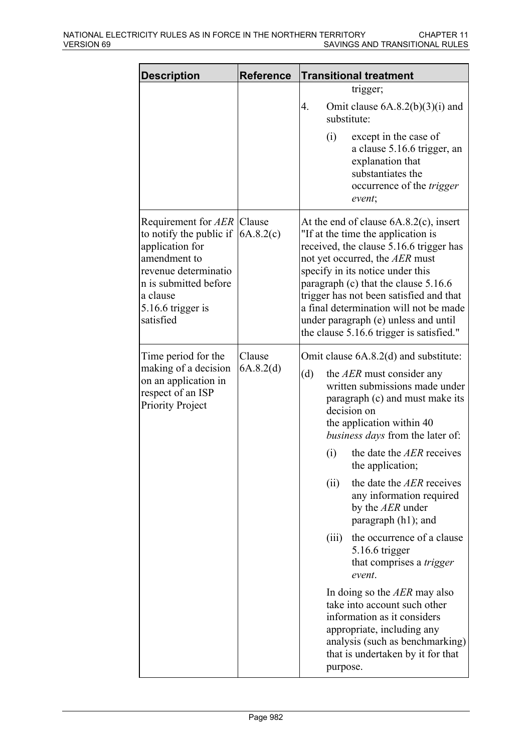| <b>Description</b>                                                                                                                                                                      | <b>Reference</b>    | <b>Transitional treatment</b>                                                                                                                                                                                                                                                                                                                                                                                                                                                                                                                                                                                                                                                                                 |
|-----------------------------------------------------------------------------------------------------------------------------------------------------------------------------------------|---------------------|---------------------------------------------------------------------------------------------------------------------------------------------------------------------------------------------------------------------------------------------------------------------------------------------------------------------------------------------------------------------------------------------------------------------------------------------------------------------------------------------------------------------------------------------------------------------------------------------------------------------------------------------------------------------------------------------------------------|
|                                                                                                                                                                                         |                     | trigger;<br>4.<br>Omit clause $6A.8.2(b)(3)(i)$ and<br>substitute:<br>except in the case of<br>(i)                                                                                                                                                                                                                                                                                                                                                                                                                                                                                                                                                                                                            |
|                                                                                                                                                                                         |                     | a clause 5.16.6 trigger, an<br>explanation that<br>substantiates the<br>occurrence of the <i>trigger</i><br>event;                                                                                                                                                                                                                                                                                                                                                                                                                                                                                                                                                                                            |
| Requirement for AER Clause<br>to notify the public if<br>application for<br>amendment to<br>revenue determinatio<br>n is submitted before<br>a clause<br>5.16.6 trigger is<br>satisfied | 6A.8.2(c)           | At the end of clause $6A.8.2(c)$ , insert<br>"If at the time the application is<br>received, the clause 5.16.6 trigger has<br>not yet occurred, the AER must<br>specify in its notice under this<br>paragraph (c) that the clause 5.16.6<br>trigger has not been satisfied and that<br>a final determination will not be made<br>under paragraph (e) unless and until<br>the clause 5.16.6 trigger is satisfied."                                                                                                                                                                                                                                                                                             |
| Time period for the<br>making of a decision<br>on an application in<br>respect of an ISP<br><b>Priority Project</b>                                                                     | Clause<br>6A.8.2(d) | Omit clause 6A.8.2(d) and substitute:<br>(d)<br>the AER must consider any<br>written submissions made under<br>paragraph (c) and must make its<br>decision on<br>the application within 40<br>business days from the later of:<br>the date the AER receives<br>(i)<br>the application;<br>the date the AER receives<br>(ii)<br>any information required<br>by the AER under<br>paragraph (h1); and<br>(iii)<br>the occurrence of a clause<br>5.16.6 trigger<br>that comprises a <i>trigger</i><br>event.<br>In doing so the AER may also<br>take into account such other<br>information as it considers<br>appropriate, including any<br>analysis (such as benchmarking)<br>that is undertaken by it for that |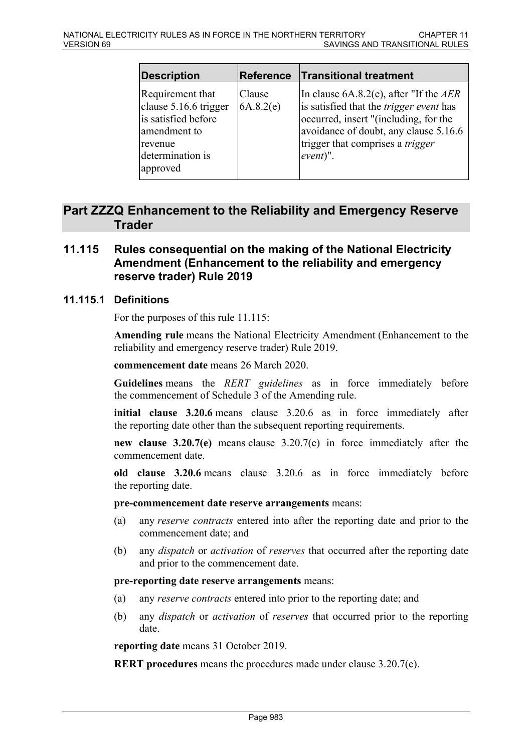| Description                                                                                                                 | <b>Reference</b>    | <b>Transitional treatment</b>                                                                                                                                                                                                     |
|-----------------------------------------------------------------------------------------------------------------------------|---------------------|-----------------------------------------------------------------------------------------------------------------------------------------------------------------------------------------------------------------------------------|
| Requirement that<br>clause 5.16.6 trigger<br>is satisfied before<br>amendment to<br>revenue<br>determination is<br>approved | Clause<br>6A.8.2(e) | In clause $6A.8.2(e)$ , after "If the AER<br>is satisfied that the <i>trigger event</i> has<br>occurred, insert "(including, for the<br>avoidance of doubt, any clause 5.16.6<br>trigger that comprises a trigger<br>$ event)$ ". |

# **Part ZZZQ Enhancement to the Reliability and Emergency Reserve Trader**

# **11.115 Rules consequential on the making of the National Electricity Amendment (Enhancement to the reliability and emergency reserve trader) Rule 2019**

## **11.115.1 Definitions**

For the purposes of this rule 11.115:

**Amending rule** means the National Electricity Amendment (Enhancement to the reliability and emergency reserve trader) Rule 2019.

#### **commencement date** means 26 March 2020.

**Guidelines** means the *RERT guidelines* as in force immediately before the commencement of Schedule 3 of the Amending rule.

**initial clause 3.20.6** means clause 3.20.6 as in force immediately after the reporting date other than the subsequent reporting requirements.

**new clause 3.20.7(e)** means clause 3.20.7(e) in force immediately after the commencement date.

**old clause 3.20.6** means clause 3.20.6 as in force immediately before the reporting date.

#### **pre-commencement date reserve arrangements** means:

- (a) any *reserve contracts* entered into after the reporting date and prior to the commencement date; and
- (b) any *dispatch* or *activation* of *reserves* that occurred after the reporting date and prior to the commencement date.

#### **pre-reporting date reserve arrangements** means:

- (a) any *reserve contracts* entered into prior to the reporting date; and
- (b) any *dispatch* or *activation* of *reserves* that occurred prior to the reporting date.

**reporting date** means 31 October 2019.

**RERT procedures** means the procedures made under clause 3.20.7(e).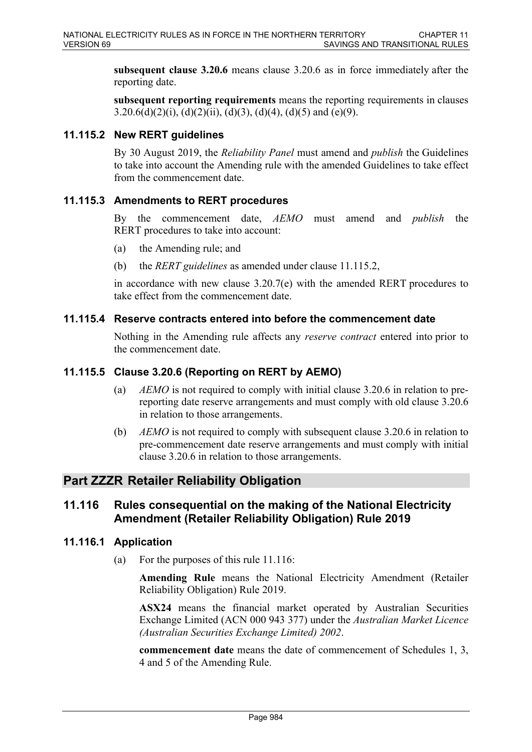**subsequent clause 3.20.6** means clause 3.20.6 as in force immediately after the reporting date.

**subsequent reporting requirements** means the reporting requirements in clauses 3.20.6(d)(2)(i), (d)(2)(ii), (d)(3), (d)(4), (d)(5) and (e)(9).

# **11.115.2 New RERT guidelines**

By 30 August 2019, the *Reliability Panel* must amend and *publish* the Guidelines to take into account the Amending rule with the amended Guidelines to take effect from the commencement date.

## **11.115.3 Amendments to RERT procedures**

By the commencement date, *AEMO* must amend and *publish* the RERT procedures to take into account:

- (a) the Amending rule; and
- (b) the *RERT guidelines* as amended under clause 11.115.2,

in accordance with new clause 3.20.7(e) with the amended RERT procedures to take effect from the commencement date.

#### **11.115.4 Reserve contracts entered into before the commencement date**

Nothing in the Amending rule affects any *reserve contract* entered into prior to the commencement date.

## **11.115.5 Clause 3.20.6 (Reporting on RERT by AEMO)**

- (a) *AEMO* is not required to comply with initial clause 3.20.6 in relation to prereporting date reserve arrangements and must comply with old clause 3.20.6 in relation to those arrangements.
- (b) *AEMO* is not required to comply with subsequent clause 3.20.6 in relation to pre-commencement date reserve arrangements and must comply with initial clause 3.20.6 in relation to those arrangements.

## **Part ZZZR Retailer Reliability Obligation**

# **11.116 Rules consequential on the making of the National Electricity Amendment (Retailer Reliability Obligation) Rule 2019**

#### **11.116.1 Application**

(a) For the purposes of this rule 11.116:

**Amending Rule** means the National Electricity Amendment (Retailer Reliability Obligation) Rule 2019.

**ASX24** means the financial market operated by Australian Securities Exchange Limited (ACN 000 943 377) under the *Australian Market Licence (Australian Securities Exchange Limited) 2002*.

**commencement date** means the date of commencement of Schedules 1, 3, 4 and 5 of the Amending Rule.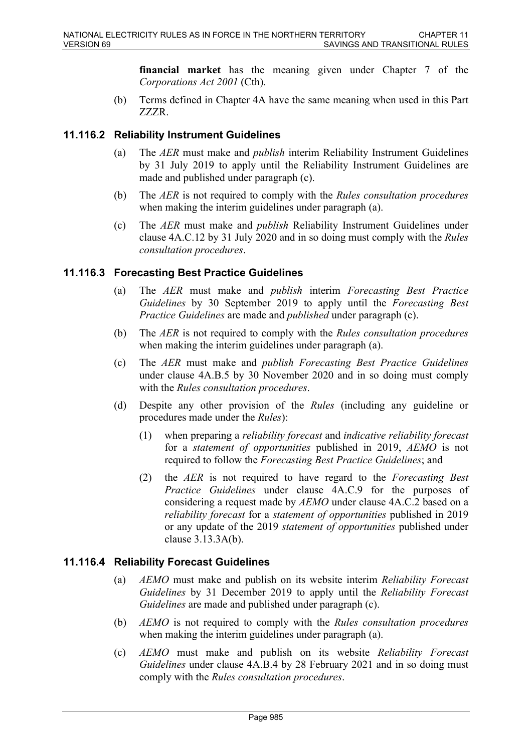**financial market** has the meaning given under Chapter 7 of the *Corporations Act 2001* (Cth).

(b) Terms defined in Chapter 4A have the same meaning when used in this Part ZZZR.

# **11.116.2 Reliability Instrument Guidelines**

- (a) The *AER* must make and *publish* interim Reliability Instrument Guidelines by 31 July 2019 to apply until the Reliability Instrument Guidelines are made and published under paragraph (c).
- (b) The *AER* is not required to comply with the *Rules consultation procedures* when making the interim guidelines under paragraph (a).
- (c) The *AER* must make and *publish* Reliability Instrument Guidelines under clause 4A.C.12 by 31 July 2020 and in so doing must comply with the *Rules consultation procedures*.

## **11.116.3 Forecasting Best Practice Guidelines**

- (a) The *AER* must make and *publish* interim *Forecasting Best Practice Guidelines* by 30 September 2019 to apply until the *Forecasting Best Practice Guidelines* are made and *published* under paragraph (c).
- (b) The *AER* is not required to comply with the *Rules consultation procedures* when making the interim guidelines under paragraph (a).
- (c) The *AER* must make and *publish Forecasting Best Practice Guidelines* under clause 4A.B.5 by 30 November 2020 and in so doing must comply with the *Rules consultation procedures*.
- (d) Despite any other provision of the *Rules* (including any guideline or procedures made under the *Rules*):
	- (1) when preparing a *reliability forecast* and *indicative reliability forecast* for a *statement of opportunities* published in 2019, *AEMO* is not required to follow the *Forecasting Best Practice Guidelines*; and
	- (2) the *AER* is not required to have regard to the *Forecasting Best Practice Guidelines* under clause 4A.C.9 for the purposes of considering a request made by *AEMO* under clause 4A.C.2 based on a *reliability forecast* for a *statement of opportunities* published in 2019 or any update of the 2019 *statement of opportunities* published under clause 3.13.3A(b).

## **11.116.4 Reliability Forecast Guidelines**

- (a) *AEMO* must make and publish on its website interim *Reliability Forecast Guidelines* by 31 December 2019 to apply until the *Reliability Forecast Guidelines* are made and published under paragraph (c).
- (b) *AEMO* is not required to comply with the *Rules consultation procedures* when making the interim guidelines under paragraph (a).
- (c) *AEMO* must make and publish on its website *Reliability Forecast Guidelines* under clause 4A.B.4 by 28 February 2021 and in so doing must comply with the *Rules consultation procedures*.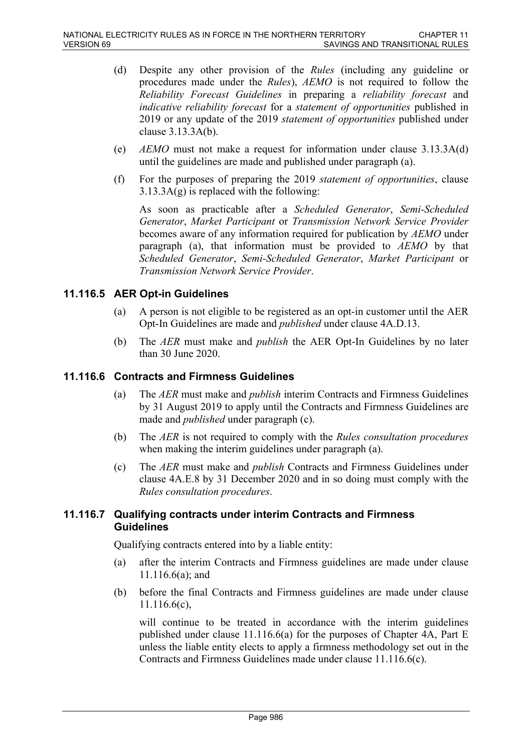- (d) Despite any other provision of the *Rules* (including any guideline or procedures made under the *Rules*), *AEMO* is not required to follow the *Reliability Forecast Guidelines* in preparing a *reliability forecast* and *indicative reliability forecast* for a *statement of opportunities* published in 2019 or any update of the 2019 *statement of opportunities* published under clause 3.13.3A(b).
- (e) *AEMO* must not make a request for information under clause 3.13.3A(d) until the guidelines are made and published under paragraph (a).
- (f) For the purposes of preparing the 2019 *statement of opportunities*, clause  $3.13.3A(g)$  is replaced with the following:

As soon as practicable after a *Scheduled Generator*, *Semi-Scheduled Generator*, *Market Participant* or *Transmission Network Service Provider* becomes aware of any information required for publication by *AEMO* under paragraph (a), that information must be provided to *AEMO* by that *Scheduled Generator*, *Semi-Scheduled Generator*, *Market Participant* or *Transmission Network Service Provider*.

# **11.116.5 AER Opt-in Guidelines**

- (a) A person is not eligible to be registered as an opt-in customer until the AER Opt-In Guidelines are made and *published* under clause 4A.D.13.
- (b) The *AER* must make and *publish* the AER Opt-In Guidelines by no later than 30 June 2020.

## **11.116.6 Contracts and Firmness Guidelines**

- (a) The *AER* must make and *publish* interim Contracts and Firmness Guidelines by 31 August 2019 to apply until the Contracts and Firmness Guidelines are made and *published* under paragraph (c).
- (b) The *AER* is not required to comply with the *Rules consultation procedures* when making the interim guidelines under paragraph (a).
- (c) The *AER* must make and *publish* Contracts and Firmness Guidelines under clause 4A.E.8 by 31 December 2020 and in so doing must comply with the *Rules consultation procedures*.

## **11.116.7 Qualifying contracts under interim Contracts and Firmness Guidelines**

Qualifying contracts entered into by a liable entity:

- (a) after the interim Contracts and Firmness guidelines are made under clause 11.116.6(a); and
- (b) before the final Contracts and Firmness guidelines are made under clause 11.116.6(c),

will continue to be treated in accordance with the interim guidelines published under clause 11.116.6(a) for the purposes of Chapter 4A, Part E unless the liable entity elects to apply a firmness methodology set out in the Contracts and Firmness Guidelines made under clause 11.116.6(c).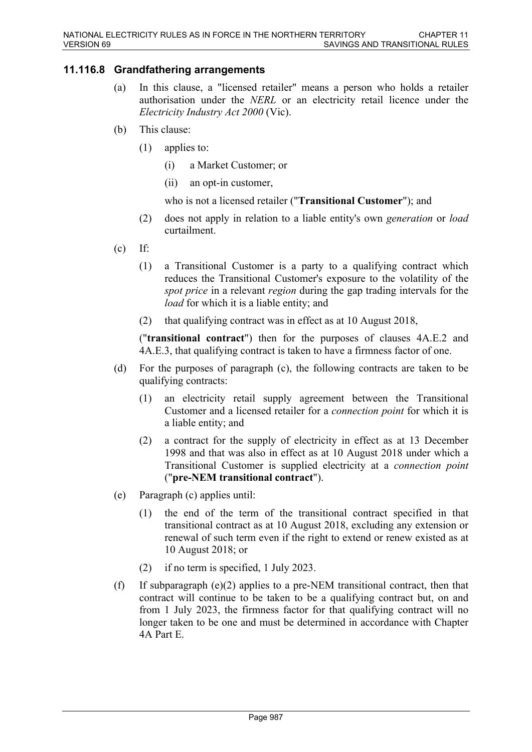# **11.116.8 Grandfathering arrangements**

- (a) In this clause, a "licensed retailer" means a person who holds a retailer authorisation under the *NERL* or an electricity retail licence under the *Electricity Industry Act 2000* (Vic).
- (b) This clause:
	- (1) applies to:
		- (i) a Market Customer; or
		- (ii) an opt-in customer,
		- who is not a licensed retailer ("**Transitional Customer**"); and
	- (2) does not apply in relation to a liable entity's own *generation* or *load* curtailment.
- $(c)$  If:
	- (1) a Transitional Customer is a party to a qualifying contract which reduces the Transitional Customer's exposure to the volatility of the *spot price* in a relevant *region* during the gap trading intervals for the *load* for which it is a liable entity; and
	- (2) that qualifying contract was in effect as at 10 August 2018,

("**transitional contract**") then for the purposes of clauses 4A.E.2 and 4A.E.3, that qualifying contract is taken to have a firmness factor of one.

- (d) For the purposes of paragraph (c), the following contracts are taken to be qualifying contracts:
	- (1) an electricity retail supply agreement between the Transitional Customer and a licensed retailer for a *connection point* for which it is a liable entity; and
	- (2) a contract for the supply of electricity in effect as at 13 December 1998 and that was also in effect as at 10 August 2018 under which a Transitional Customer is supplied electricity at a *connection point* ("**pre-NEM transitional contract**").
- (e) Paragraph (c) applies until:
	- (1) the end of the term of the transitional contract specified in that transitional contract as at 10 August 2018, excluding any extension or renewal of such term even if the right to extend or renew existed as at 10 August 2018; or
	- (2) if no term is specified, 1 July 2023.
- (f) If subparagraph (e)(2) applies to a pre-NEM transitional contract, then that contract will continue to be taken to be a qualifying contract but, on and from 1 July 2023, the firmness factor for that qualifying contract will no longer taken to be one and must be determined in accordance with Chapter 4A Part E.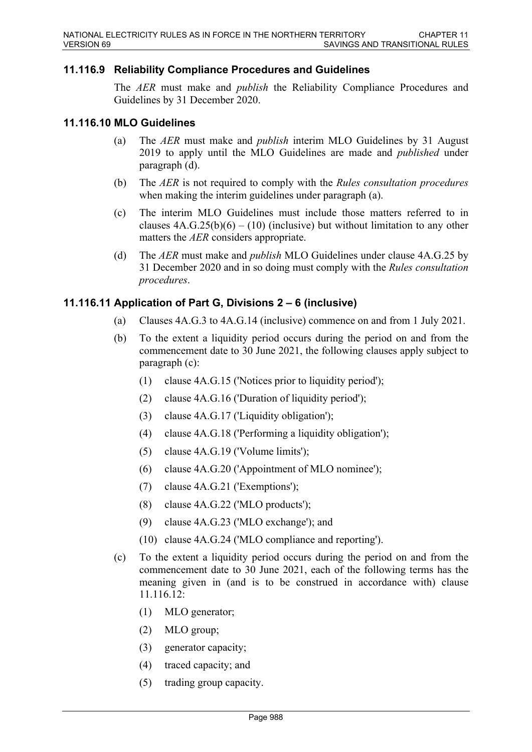## **11.116.9 Reliability Compliance Procedures and Guidelines**

The *AER* must make and *publish* the Reliability Compliance Procedures and Guidelines by 31 December 2020.

#### **11.116.10 MLO Guidelines**

- (a) The *AER* must make and *publish* interim MLO Guidelines by 31 August 2019 to apply until the MLO Guidelines are made and *published* under paragraph (d).
- (b) The *AER* is not required to comply with the *Rules consultation procedures* when making the interim guidelines under paragraph (a).
- (c) The interim MLO Guidelines must include those matters referred to in clauses  $4A.G.25(b)(6) - (10)$  (inclusive) but without limitation to any other matters the *AER* considers appropriate.
- (d) The *AER* must make and *publish* MLO Guidelines under clause 4A.G.25 by 31 December 2020 and in so doing must comply with the *Rules consultation procedures*.

## **11.116.11 Application of Part G, Divisions 2 – 6 (inclusive)**

- (a) Clauses 4A.G.3 to 4A.G.14 (inclusive) commence on and from 1 July 2021.
- (b) To the extent a liquidity period occurs during the period on and from the commencement date to 30 June 2021, the following clauses apply subject to paragraph (c):
	- (1) clause 4A.G.15 ('Notices prior to liquidity period');
	- (2) clause 4A.G.16 ('Duration of liquidity period');
	- $(3)$  clause 4A.G.17 ('Liquidity obligation'):
	- (4) clause 4A.G.18 ('Performing a liquidity obligation');
	- (5) clause 4A.G.19 ('Volume limits');
	- (6) clause 4A.G.20 ('Appointment of MLO nominee');
	- (7) clause 4A.G.21 ('Exemptions');
	- (8) clause 4A.G.22 ('MLO products');
	- (9) clause 4A.G.23 ('MLO exchange'); and
	- (10) clause 4A.G.24 ('MLO compliance and reporting').
- (c) To the extent a liquidity period occurs during the period on and from the commencement date to 30 June 2021, each of the following terms has the meaning given in (and is to be construed in accordance with) clause 11.116.12:
	- (1) MLO generator;
	- (2) MLO group;
	- (3) generator capacity;
	- (4) traced capacity; and
	- (5) trading group capacity.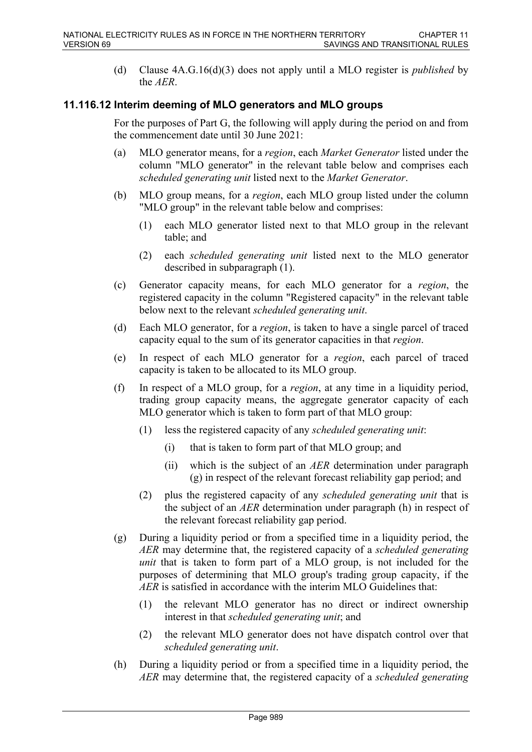(d) Clause 4A.G.16(d)(3) does not apply until a MLO register is *published* by the *AER*.

# **11.116.12 Interim deeming of MLO generators and MLO groups**

For the purposes of Part G, the following will apply during the period on and from the commencement date until 30 June 2021:

- (a) MLO generator means, for a *region*, each *Market Generator* listed under the column "MLO generator" in the relevant table below and comprises each *scheduled generating unit* listed next to the *Market Generator*.
- (b) MLO group means, for a *region*, each MLO group listed under the column "MLO group" in the relevant table below and comprises:
	- (1) each MLO generator listed next to that MLO group in the relevant table; and
	- (2) each *scheduled generating unit* listed next to the MLO generator described in subparagraph (1).
- (c) Generator capacity means, for each MLO generator for a *region*, the registered capacity in the column "Registered capacity" in the relevant table below next to the relevant *scheduled generating unit*.
- (d) Each MLO generator, for a *region*, is taken to have a single parcel of traced capacity equal to the sum of its generator capacities in that *region*.
- (e) In respect of each MLO generator for a *region*, each parcel of traced capacity is taken to be allocated to its MLO group.
- (f) In respect of a MLO group, for a *region*, at any time in a liquidity period, trading group capacity means, the aggregate generator capacity of each MLO generator which is taken to form part of that MLO group:
	- (1) less the registered capacity of any *scheduled generating unit*:
		- (i) that is taken to form part of that MLO group; and
		- (ii) which is the subject of an *AER* determination under paragraph (g) in respect of the relevant forecast reliability gap period; and
	- (2) plus the registered capacity of any *scheduled generating unit* that is the subject of an *AER* determination under paragraph (h) in respect of the relevant forecast reliability gap period.
- (g) During a liquidity period or from a specified time in a liquidity period, the *AER* may determine that, the registered capacity of a *scheduled generating unit* that is taken to form part of a MLO group, is not included for the purposes of determining that MLO group's trading group capacity, if the *AER* is satisfied in accordance with the interim MLO Guidelines that:
	- (1) the relevant MLO generator has no direct or indirect ownership interest in that *scheduled generating unit*; and
	- (2) the relevant MLO generator does not have dispatch control over that *scheduled generating unit*.
- (h) During a liquidity period or from a specified time in a liquidity period, the *AER* may determine that, the registered capacity of a *scheduled generating*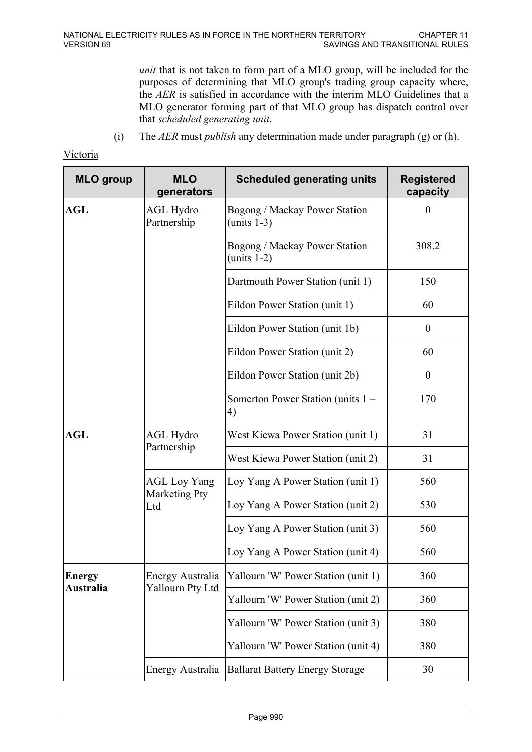*unit* that is not taken to form part of a MLO group, will be included for the purposes of determining that MLO group's trading group capacity where, the *AER* is satisfied in accordance with the interim MLO Guidelines that a MLO generator forming part of that MLO group has dispatch control over that *scheduled generating unit*.

(i) The *AER* must *publish* any determination made under paragraph (g) or (h).

#### Victoria

| <b>MLO</b> group | <b>MLO</b><br>generators    | <b>Scheduled generating units</b>               | <b>Registered</b><br>capacity |
|------------------|-----------------------------|-------------------------------------------------|-------------------------------|
| <b>AGL</b>       | AGL Hydro<br>Partnership    | Bogong / Mackay Power Station<br>(units $1-3$ ) | $\theta$                      |
|                  |                             | Bogong / Mackay Power Station<br>(units $1-2$ ) | 308.2                         |
|                  |                             | Dartmouth Power Station (unit 1)                | 150                           |
|                  |                             | Eildon Power Station (unit 1)                   | 60                            |
|                  |                             | Eildon Power Station (unit 1b)                  | $\boldsymbol{0}$              |
|                  |                             | Eildon Power Station (unit 2)                   | 60                            |
|                  |                             | Eildon Power Station (unit 2b)                  | $\theta$                      |
|                  |                             | Somerton Power Station (units 1 –<br>4)         | 170                           |
| <b>AGL</b>       | <b>AGL Hydro</b>            | West Kiewa Power Station (unit 1)               | 31                            |
|                  | Partnership                 | West Kiewa Power Station (unit 2)               | 31                            |
|                  | <b>AGL Loy Yang</b>         | Loy Yang A Power Station (unit 1)               | 560                           |
|                  | <b>Marketing Pty</b><br>Ltd | Loy Yang A Power Station (unit 2)               | 530                           |
|                  |                             | Loy Yang A Power Station (unit 3)               | 560                           |
|                  |                             | Loy Yang A Power Station (unit 4)               | 560                           |
| <b>Energy</b>    | Energy Australia            | Yallourn 'W' Power Station (unit 1)             | 360                           |
| <b>Australia</b> | Yallourn Pty Ltd            | Yallourn 'W' Power Station (unit 2)             | 360                           |
|                  |                             | Yallourn 'W' Power Station (unit 3)             | 380                           |
|                  |                             | Yallourn 'W' Power Station (unit 4)             | 380                           |
|                  | Energy Australia            | <b>Ballarat Battery Energy Storage</b>          | 30                            |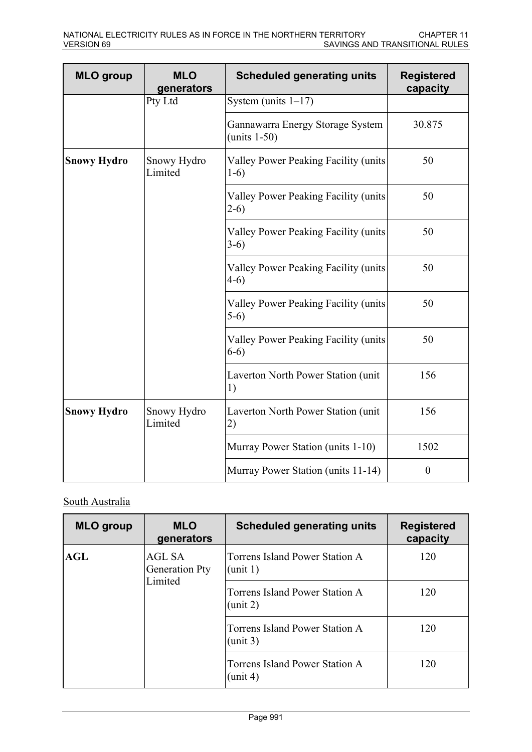| <b>MLO</b> group   | <b>MLO</b><br>generators | <b>Scheduled generating units</b>                  | <b>Registered</b><br>capacity |
|--------------------|--------------------------|----------------------------------------------------|-------------------------------|
|                    | Pty Ltd                  | System (units $1-17$ )                             |                               |
|                    |                          | Gannawarra Energy Storage System<br>$(units 1-50)$ | 30.875                        |
| <b>Snowy Hydro</b> | Snowy Hydro<br>Limited   | Valley Power Peaking Facility (units<br>$1-6)$     | 50                            |
|                    |                          | Valley Power Peaking Facility (units<br>$2-6)$     | 50                            |
|                    |                          | Valley Power Peaking Facility (units<br>$3-6)$     | 50                            |
|                    |                          | Valley Power Peaking Facility (units<br>$4-6)$     | 50                            |
|                    |                          | Valley Power Peaking Facility (units<br>$5-6)$     | 50                            |
|                    |                          | Valley Power Peaking Facility (units<br>$6-6)$     | 50                            |
|                    |                          | Laverton North Power Station (unit<br>1)           | 156                           |
| <b>Snowy Hydro</b> | Snowy Hydro<br>Limited   | Laverton North Power Station (unit<br>2)           | 156                           |
|                    |                          | Murray Power Station (units 1-10)                  | 1502                          |
|                    |                          | Murray Power Station (units 11-14)                 | $\boldsymbol{0}$              |

# South Australia

| <b>MLO</b> group | <b>MLO</b><br>generators                   | <b>Scheduled generating units</b>                    | <b>Registered</b><br>capacity |
|------------------|--------------------------------------------|------------------------------------------------------|-------------------------------|
| AGL              | AGL SA<br><b>Generation Pty</b>            | Torrens Island Power Station A<br>$(\text{unit } 1)$ | 120                           |
| Limited          | Torrens Island Power Station A<br>(unit 2) | 120                                                  |                               |
|                  |                                            | Torrens Island Power Station A<br>(unit 3)           | 120                           |
|                  |                                            | Torrens Island Power Station A<br>(unit 4)           | 120                           |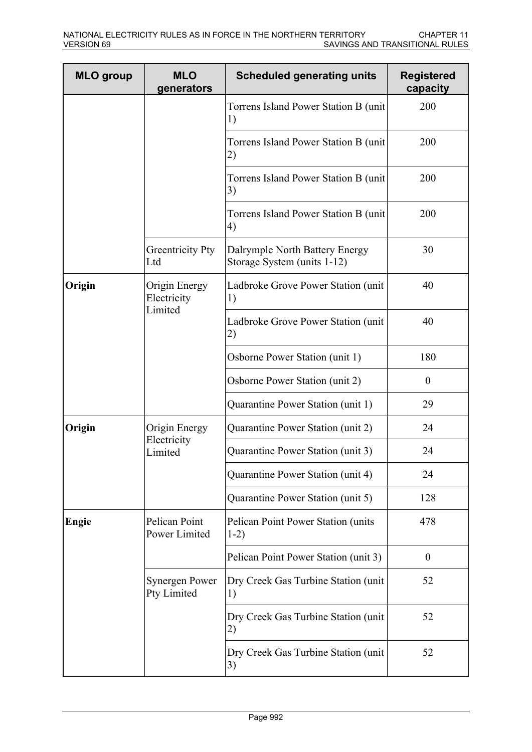| <b>MLO</b> group | <b>MLO</b><br>generators             | <b>Scheduled generating units</b>                                                   | <b>Registered</b><br>capacity |
|------------------|--------------------------------------|-------------------------------------------------------------------------------------|-------------------------------|
|                  |                                      | Torrens Island Power Station B (unit)<br>1)                                         | 200                           |
|                  |                                      | Torrens Island Power Station B (unit)<br>2)                                         | 200                           |
|                  |                                      | Torrens Island Power Station B (unit)<br>3)                                         | 200                           |
|                  |                                      | Torrens Island Power Station B (unit)<br>4)                                         | 200                           |
|                  | <b>Greentricity Pty</b><br>Ltd       | Dalrymple North Battery Energy<br>Storage System (units 1-12)                       | 30                            |
| Origin           | Origin Energy<br>Electricity         | Ladbroke Grove Power Station (unit)<br>1)                                           | 40                            |
|                  | Limited                              | Ladbroke Grove Power Station (unit<br>2)                                            | 40                            |
|                  |                                      | Osborne Power Station (unit 1)<br>180<br>Osborne Power Station (unit 2)<br>$\theta$ |                               |
|                  |                                      |                                                                                     |                               |
|                  |                                      | Quarantine Power Station (unit 1)                                                   | 29                            |
| Origin           | Origin Energy                        | Quarantine Power Station (unit 2)                                                   | 24                            |
|                  | Electricity<br>Limited               | Quarantine Power Station (unit 3)                                                   | 24                            |
|                  |                                      | Quarantine Power Station (unit 4)                                                   | 24                            |
|                  |                                      | Quarantine Power Station (unit 5)                                                   | 128                           |
| <b>Engie</b>     | Pelican Point<br>Power Limited       | Pelican Point Power Station (units<br>$1-2)$                                        | 478                           |
|                  |                                      | Pelican Point Power Station (unit 3)                                                | $\theta$                      |
|                  | <b>Synergen Power</b><br>Pty Limited | Dry Creek Gas Turbine Station (unit)<br>1)                                          | 52                            |
|                  |                                      | Dry Creek Gas Turbine Station (unit)<br>2)                                          | 52                            |
|                  |                                      | Dry Creek Gas Turbine Station (unit)<br>3)                                          | 52                            |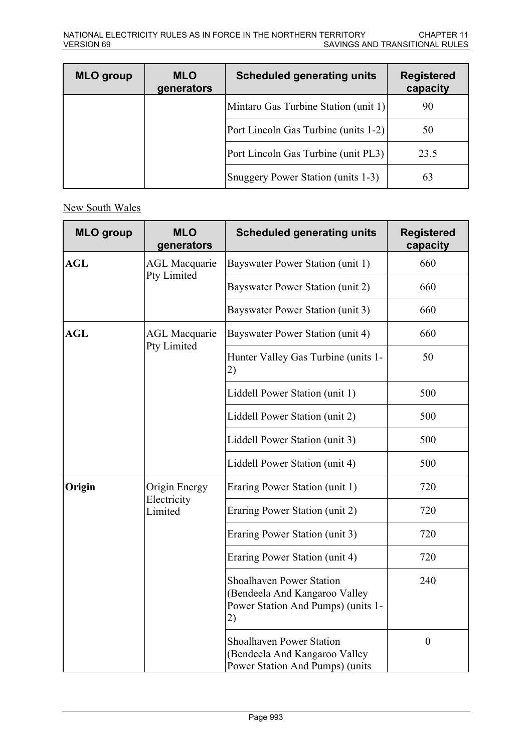| <b>MLO</b> group | <b>MLO</b><br>generators | <b>Scheduled generating units</b>    | <b>Registered</b><br>capacity |
|------------------|--------------------------|--------------------------------------|-------------------------------|
|                  |                          | Mintaro Gas Turbine Station (unit 1) | 90                            |
|                  |                          | Port Lincoln Gas Turbine (units 1-2) | 50                            |
|                  |                          | Port Lincoln Gas Turbine (unit PL3)  | 23.5                          |
|                  |                          | Snuggery Power Station (units 1-3)   | 63                            |

# New South Wales

| <b>MLO</b> group | <b>MLO</b><br>generators | <b>Scheduled generating units</b>                                                                            | <b>Registered</b><br>capacity |
|------------------|--------------------------|--------------------------------------------------------------------------------------------------------------|-------------------------------|
| <b>AGL</b>       | <b>AGL Macquarie</b>     | Bayswater Power Station (unit 1)                                                                             | 660                           |
|                  | Pty Limited              | Bayswater Power Station (unit 2)                                                                             | 660                           |
|                  |                          | Bayswater Power Station (unit 3)                                                                             | 660                           |
| <b>AGL</b>       | <b>AGL Macquarie</b>     | Bayswater Power Station (unit 4)                                                                             | 660                           |
|                  | Pty Limited              | Hunter Valley Gas Turbine (units 1-<br>2)                                                                    | 50                            |
|                  |                          | Liddell Power Station (unit 1)                                                                               | 500                           |
|                  |                          | Liddell Power Station (unit 2)                                                                               | 500                           |
|                  |                          | Liddell Power Station (unit 3)                                                                               | 500                           |
|                  |                          | Liddell Power Station (unit 4)                                                                               | 500                           |
| Origin           | Origin Energy            | Eraring Power Station (unit 1)                                                                               | 720                           |
|                  | Electricity<br>Limited   | Eraring Power Station (unit 2)                                                                               | 720                           |
|                  |                          | Eraring Power Station (unit 3)                                                                               | 720                           |
|                  |                          | Eraring Power Station (unit 4)                                                                               | 720                           |
|                  |                          | <b>Shoalhaven Power Station</b><br>(Bendeela And Kangaroo Valley<br>Power Station And Pumps) (units 1-<br>2) | 240                           |
|                  |                          | <b>Shoalhaven Power Station</b><br>(Bendeela And Kangaroo Valley<br>Power Station And Pumps) (units          | $\boldsymbol{0}$              |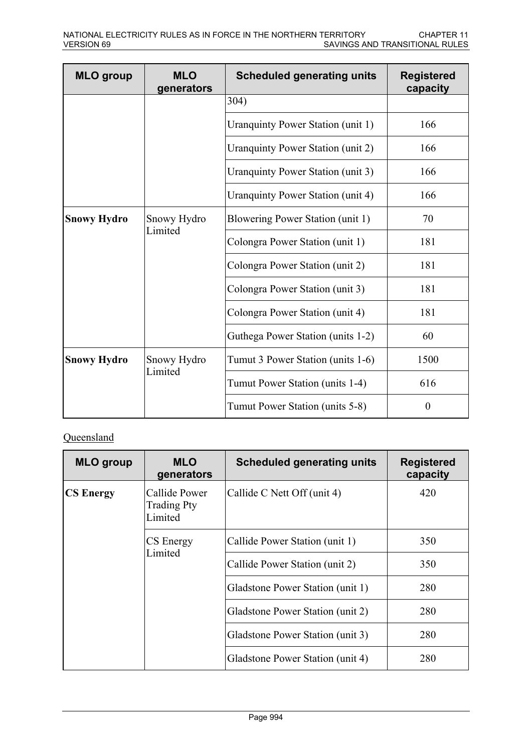| <b>MLO</b> group   | <b>MLO</b><br>generators | <b>Scheduled generating units</b> | <b>Registered</b><br>capacity |
|--------------------|--------------------------|-----------------------------------|-------------------------------|
|                    |                          | 304)                              |                               |
|                    |                          | Uranquinty Power Station (unit 1) | 166                           |
|                    |                          | Uranquinty Power Station (unit 2) | 166                           |
|                    |                          | Uranquinty Power Station (unit 3) | 166                           |
|                    |                          | Uranquinty Power Station (unit 4) | 166                           |
| <b>Snowy Hydro</b> | Snowy Hydro              | Blowering Power Station (unit 1)  | 70                            |
|                    | Limited                  | Colongra Power Station (unit 1)   | 181                           |
|                    |                          | Colongra Power Station (unit 2)   | 181                           |
|                    |                          | Colongra Power Station (unit 3)   | 181                           |
|                    |                          | Colongra Power Station (unit 4)   | 181                           |
|                    |                          | Guthega Power Station (units 1-2) | 60                            |
| <b>Snowy Hydro</b> | Snowy Hydro              | Tumut 3 Power Station (units 1-6) | 1500                          |
|                    | Limited                  | Tumut Power Station (units 1-4)   | 616                           |
|                    |                          | Tumut Power Station (units 5-8)   | $\theta$                      |

# **Queensland**

| <b>MLO</b> group | <b>MLO</b><br>generators                       | <b>Scheduled generating units</b> | <b>Registered</b><br>capacity |
|------------------|------------------------------------------------|-----------------------------------|-------------------------------|
| <b>CS Energy</b> | Callide Power<br><b>Trading Pty</b><br>Limited | Callide C Nett Off (unit 4)       | 420                           |
|                  | CS Energy<br>Limited                           | Callide Power Station (unit 1)    | 350                           |
|                  |                                                | Callide Power Station (unit 2)    | 350                           |
|                  |                                                | Gladstone Power Station (unit 1)  | 280                           |
|                  |                                                | Gladstone Power Station (unit 2)  | 280                           |
|                  |                                                | Gladstone Power Station (unit 3)  | 280                           |
|                  |                                                | Gladstone Power Station (unit 4)  | 280                           |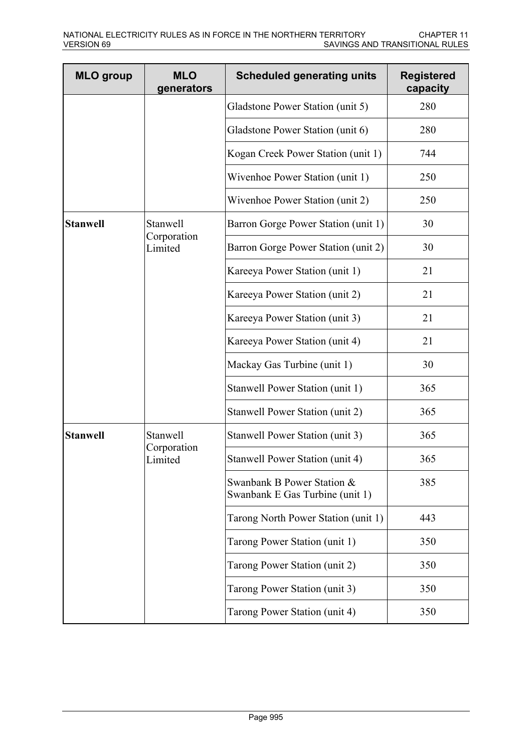| <b>MLO</b> group | <b>MLO</b><br>generators           | <b>Scheduled generating units</b>                             | <b>Registered</b><br>capacity |
|------------------|------------------------------------|---------------------------------------------------------------|-------------------------------|
|                  |                                    | Gladstone Power Station (unit 5)                              | 280                           |
|                  |                                    | Gladstone Power Station (unit 6)                              | 280                           |
|                  |                                    | Kogan Creek Power Station (unit 1)                            | 744                           |
|                  |                                    | Wivenhoe Power Station (unit 1)                               | 250                           |
|                  |                                    | Wivenhoe Power Station (unit 2)                               | 250                           |
| <b>Stanwell</b>  | Stanwell<br>Corporation<br>Limited | Barron Gorge Power Station (unit 1)                           | 30                            |
|                  |                                    | Barron Gorge Power Station (unit 2)                           | 30                            |
|                  |                                    | Kareeya Power Station (unit 1)                                | 21                            |
|                  |                                    | Kareeya Power Station (unit 2)                                | 21                            |
|                  |                                    | Kareeya Power Station (unit 3)                                | 21                            |
|                  |                                    | Kareeya Power Station (unit 4)                                | 21                            |
|                  |                                    | Mackay Gas Turbine (unit 1)                                   | 30                            |
|                  |                                    | Stanwell Power Station (unit 1)                               | 365                           |
|                  |                                    | Stanwell Power Station (unit 2)                               | 365                           |
| <b>Stanwell</b>  | Stanwell<br>Corporation<br>Limited | Stanwell Power Station (unit 3)                               | 365                           |
|                  |                                    | Stanwell Power Station (unit 4)                               | 365                           |
|                  |                                    | Swanbank B Power Station &<br>Swanbank E Gas Turbine (unit 1) | 385                           |
|                  |                                    | Tarong North Power Station (unit 1)                           | 443                           |
|                  |                                    | Tarong Power Station (unit 1)                                 | 350                           |
|                  |                                    | Tarong Power Station (unit 2)                                 | 350                           |
|                  |                                    | Tarong Power Station (unit 3)                                 | 350                           |
|                  |                                    | Tarong Power Station (unit 4)                                 | 350                           |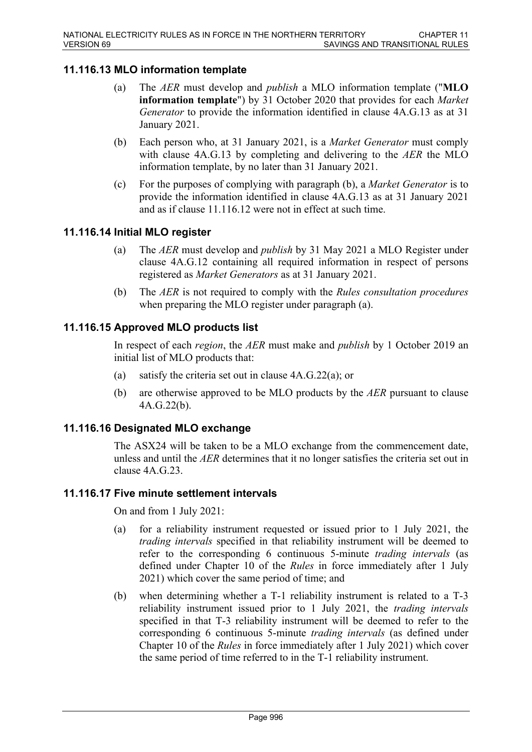# **11.116.13 MLO information template**

- (a) The *AER* must develop and *publish* a MLO information template ("**MLO information template**") by 31 October 2020 that provides for each *Market Generator* to provide the information identified in clause 4A.G.13 as at 31 January 2021.
- (b) Each person who, at 31 January 2021, is a *Market Generator* must comply with clause 4A.G.13 by completing and delivering to the *AER* the MLO information template, by no later than 31 January 2021.
- (c) For the purposes of complying with paragraph (b), a *Market Generator* is to provide the information identified in clause 4A.G.13 as at 31 January 2021 and as if clause 11.116.12 were not in effect at such time.

## **11.116.14 Initial MLO register**

- (a) The *AER* must develop and *publish* by 31 May 2021 a MLO Register under clause 4A.G.12 containing all required information in respect of persons registered as *Market Generators* as at 31 January 2021.
- (b) The *AER* is not required to comply with the *Rules consultation procedures* when preparing the MLO register under paragraph (a).

# **11.116.15 Approved MLO products list**

In respect of each *region*, the *AER* must make and *publish* by 1 October 2019 an initial list of MLO products that:

- (a) satisfy the criteria set out in clause 4A.G.22(a); or
- (b) are otherwise approved to be MLO products by the *AER* pursuant to clause 4A.G.22(b).

## **11.116.16 Designated MLO exchange**

The ASX24 will be taken to be a MLO exchange from the commencement date, unless and until the *AER* determines that it no longer satisfies the criteria set out in clause 4A.G.23.

## **11.116.17 Five minute settlement intervals**

On and from 1 July 2021:

- (a) for a reliability instrument requested or issued prior to 1 July 2021, the *trading intervals* specified in that reliability instrument will be deemed to refer to the corresponding 6 continuous 5-minute *trading intervals* (as defined under Chapter 10 of the *Rules* in force immediately after 1 July 2021) which cover the same period of time; and
- (b) when determining whether a T-1 reliability instrument is related to a T-3 reliability instrument issued prior to 1 July 2021, the *trading intervals* specified in that T-3 reliability instrument will be deemed to refer to the corresponding 6 continuous 5-minute *trading intervals* (as defined under Chapter 10 of the *Rules* in force immediately after 1 July 2021) which cover the same period of time referred to in the T-1 reliability instrument.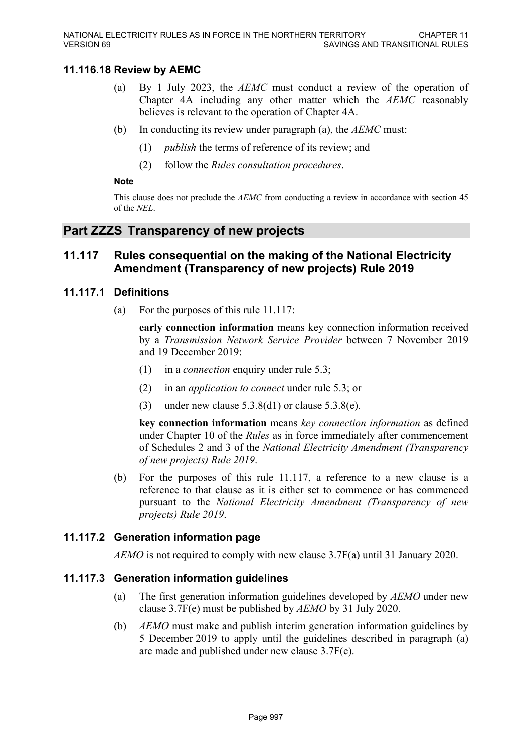# **11.116.18 Review by AEMC**

- (a) By 1 July 2023, the *AEMC* must conduct a review of the operation of Chapter 4A including any other matter which the *AEMC* reasonably believes is relevant to the operation of Chapter 4A.
- (b) In conducting its review under paragraph (a), the *AEMC* must:
	- (1) *publish* the terms of reference of its review; and
	- (2) follow the *Rules consultation procedures*.

#### **Note**

This clause does not preclude the *AEMC* from conducting a review in accordance with section 45 of the *NEL*.

# **Part ZZZS Transparency of new projects**

# **11.117 Rules consequential on the making of the National Electricity Amendment (Transparency of new projects) Rule 2019**

#### **11.117.1 Definitions**

(a) For the purposes of this rule 11.117:

**early connection information** means key connection information received by a *Transmission Network Service Provider* between 7 November 2019 and 19 December 2019:

- (1) in a *connection* enquiry under rule 5.3;
- (2) in an *application to connect* under rule 5.3; or
- (3) under new clause  $5.3.8(d1)$  or clause  $5.3.8(e)$ .

**key connection information** means *key connection information* as defined under Chapter 10 of the *Rules* as in force immediately after commencement of Schedules 2 and 3 of the *National Electricity Amendment (Transparency of new projects) Rule 2019*.

(b) For the purposes of this rule 11.117, a reference to a new clause is a reference to that clause as it is either set to commence or has commenced pursuant to the *National Electricity Amendment (Transparency of new projects) Rule 2019*.

## **11.117.2 Generation information page**

*AEMO* is not required to comply with new clause 3.7F(a) until 31 January 2020.

## **11.117.3 Generation information guidelines**

- (a) The first generation information guidelines developed by *AEMO* under new clause 3.7F(e) must be published by *AEMO* by 31 July 2020.
- (b) *AEMO* must make and publish interim generation information guidelines by 5 December 2019 to apply until the guidelines described in paragraph (a) are made and published under new clause 3.7F(e).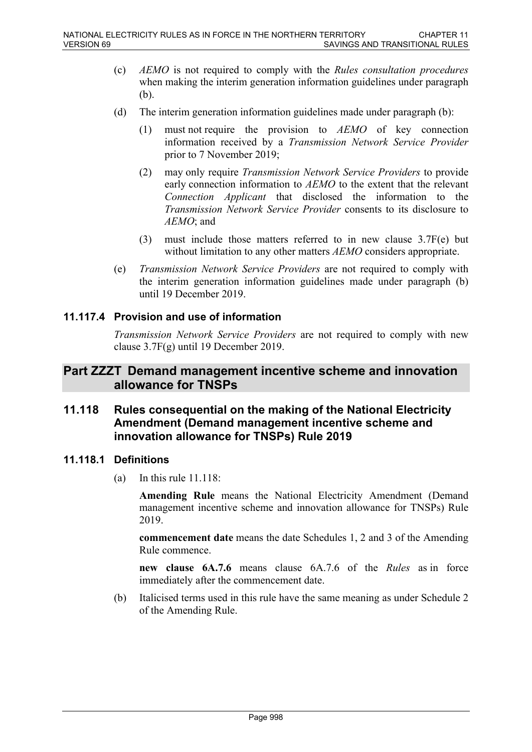- (c) *AEMO* is not required to comply with the *Rules consultation procedures* when making the interim generation information guidelines under paragraph (b).
- (d) The interim generation information guidelines made under paragraph (b):
	- (1) must not require the provision to *AEMO* of key connection information received by a *Transmission Network Service Provider* prior to 7 November 2019;
	- (2) may only require *Transmission Network Service Providers* to provide early connection information to *AEMO* to the extent that the relevant *Connection Applicant* that disclosed the information to the *Transmission Network Service Provider* consents to its disclosure to *AEMO*; and
	- (3) must include those matters referred to in new clause 3.7F(e) but without limitation to any other matters *AEMO* considers appropriate.
- (e) *Transmission Network Service Providers* are not required to comply with the interim generation information guidelines made under paragraph (b) until 19 December 2019.

## **11.117.4 Provision and use of information**

*Transmission Network Service Providers* are not required to comply with new clause 3.7F(g) until 19 December 2019.

# **Part ZZZT Demand management incentive scheme and innovation allowance for TNSPs**

# **11.118 Rules consequential on the making of the National Electricity Amendment (Demand management incentive scheme and innovation allowance for TNSPs) Rule 2019**

## **11.118.1 Definitions**

(a) In this rule  $11.118$ :

**Amending Rule** means the National Electricity Amendment (Demand management incentive scheme and innovation allowance for TNSPs) Rule 2019.

**commencement date** means the date Schedules 1, 2 and 3 of the Amending Rule commence.

**new clause 6A.7.6** means clause 6A.7.6 of the *Rules* as in force immediately after the commencement date.

(b) Italicised terms used in this rule have the same meaning as under Schedule 2 of the Amending Rule.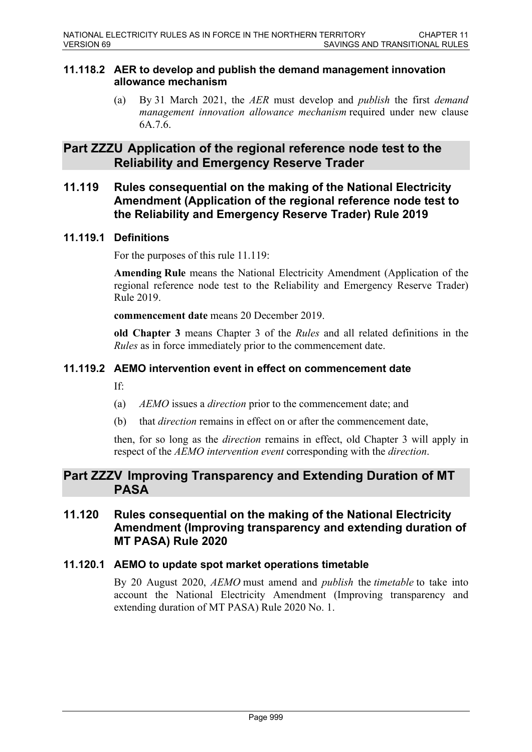#### **11.118.2 AER to develop and publish the demand management innovation allowance mechanism**

(a) By 31 March 2021, the *AER* must develop and *publish* the first *demand management innovation allowance mechanism* required under new clause 6A.7.6.

# **Part ZZZU Application of the regional reference node test to the Reliability and Emergency Reserve Trader**

**11.119 Rules consequential on the making of the National Electricity Amendment (Application of the regional reference node test to the Reliability and Emergency Reserve Trader) Rule 2019**

# **11.119.1 Definitions**

For the purposes of this rule 11.119:

**Amending Rule** means the National Electricity Amendment (Application of the regional reference node test to the Reliability and Emergency Reserve Trader) Rule 2019.

**commencement date** means 20 December 2019.

**old Chapter 3** means Chapter 3 of the *Rules* and all related definitions in the *Rules* as in force immediately prior to the commencement date.

# **11.119.2 AEMO intervention event in effect on commencement date**

If:

- (a) *AEMO* issues a *direction* prior to the commencement date; and
- (b) that *direction* remains in effect on or after the commencement date,

then, for so long as the *direction* remains in effect, old Chapter 3 will apply in respect of the *AEMO intervention event* corresponding with the *direction*.

# **Part ZZZV Improving Transparency and Extending Duration of MT PASA**

# **11.120 Rules consequential on the making of the National Electricity Amendment (Improving transparency and extending duration of MT PASA) Rule 2020**

## **11.120.1 AEMO to update spot market operations timetable**

By 20 August 2020, *AEMO* must amend and *publish* the *timetable* to take into account the National Electricity Amendment (Improving transparency and extending duration of MT PASA) Rule 2020 No. 1.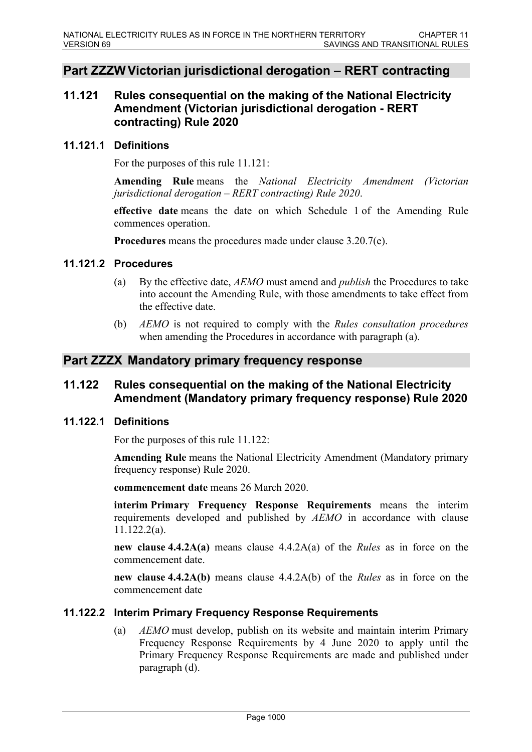# **Part ZZZW Victorian jurisdictional derogation – RERT contracting**

# **11.121 Rules consequential on the making of the National Electricity Amendment (Victorian jurisdictional derogation - RERT contracting) Rule 2020**

#### **11.121.1 Definitions**

For the purposes of this rule 11.121:

**Amending Rule** means the *National Electricity Amendment (Victorian jurisdictional derogation – RERT contracting) Rule 2020*.

**effective date** means the date on which Schedule 1 of the Amending Rule commences operation.

**Procedures** means the procedures made under clause 3.20.7(e).

#### **11.121.2 Procedures**

- (a) By the effective date, *AEMO* must amend and *publish* the Procedures to take into account the Amending Rule, with those amendments to take effect from the effective date.
- (b) *AEMO* is not required to comply with the *Rules consultation procedures* when amending the Procedures in accordance with paragraph (a).

# **Part ZZZX Mandatory primary frequency response**

# **11.122 Rules consequential on the making of the National Electricity Amendment (Mandatory primary frequency response) Rule 2020**

## **11.122.1 Definitions**

For the purposes of this rule 11.122:

**Amending Rule** means the National Electricity Amendment (Mandatory primary frequency response) Rule 2020.

**commencement date** means 26 March 2020.

**interim Primary Frequency Response Requirements** means the interim requirements developed and published by *AEMO* in accordance with clause 11.122.2(a).

**new clause 4.4.2A(a)** means clause 4.4.2A(a) of the *Rules* as in force on the commencement date.

**new clause 4.4.2A(b)** means clause 4.4.2A(b) of the *Rules* as in force on the commencement date

## **11.122.2 Interim Primary Frequency Response Requirements**

(a) *AEMO* must develop, publish on its website and maintain interim Primary Frequency Response Requirements by 4 June 2020 to apply until the Primary Frequency Response Requirements are made and published under paragraph (d).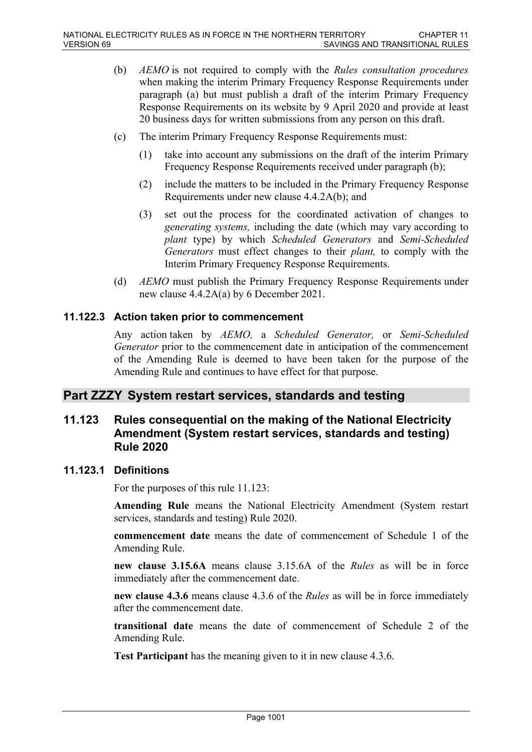- (b) *AEMO* is not required to comply with the *Rules consultation procedures* when making the interim Primary Frequency Response Requirements under paragraph (a) but must publish a draft of the interim Primary Frequency Response Requirements on its website by 9 April 2020 and provide at least 20 business days for written submissions from any person on this draft.
- (c) The interim Primary Frequency Response Requirements must:
	- (1) take into account any submissions on the draft of the interim Primary Frequency Response Requirements received under paragraph (b);
	- (2) include the matters to be included in the Primary Frequency Response Requirements under new clause 4.4.2A(b); and
	- (3) set out the process for the coordinated activation of changes to *generating systems,* including the date (which may vary according to *plant* type) by which *Scheduled Generators* and *Semi-Scheduled Generators* must effect changes to their *plant,* to comply with the Interim Primary Frequency Response Requirements.
- (d) *AEMO* must publish the Primary Frequency Response Requirements under new clause 4.4.2A(a) by 6 December 2021.

#### **11.122.3 Action taken prior to commencement**

Any action taken by *AEMO,* a *Scheduled Generator,* or *Semi-Scheduled Generator* prior to the commencement date in anticipation of the commencement of the Amending Rule is deemed to have been taken for the purpose of the Amending Rule and continues to have effect for that purpose.

# **Part ZZZY System restart services, standards and testing**

# **11.123 Rules consequential on the making of the National Electricity Amendment (System restart services, standards and testing) Rule 2020**

#### **11.123.1 Definitions**

For the purposes of this rule 11.123:

**Amending Rule** means the National Electricity Amendment (System restart services, standards and testing) Rule 2020.

**commencement date** means the date of commencement of Schedule 1 of the Amending Rule.

**new clause 3.15.6A** means clause 3.15.6A of the *Rules* as will be in force immediately after the commencement date.

**new clause 4.3.6** means clause 4.3.6 of the *Rules* as will be in force immediately after the commencement date.

**transitional date** means the date of commencement of Schedule 2 of the Amending Rule.

**Test Participant** has the meaning given to it in new clause 4.3.6.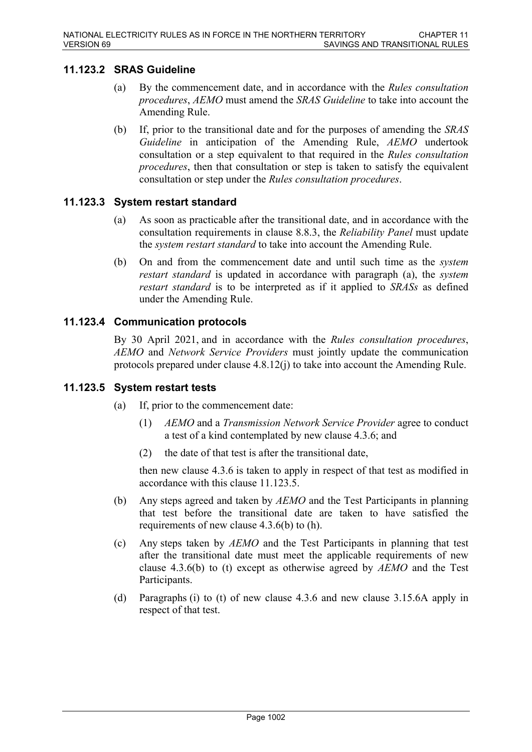# **11.123.2 SRAS Guideline**

- (a) By the commencement date, and in accordance with the *Rules consultation procedures*, *AEMO* must amend the *SRAS Guideline* to take into account the Amending Rule.
- (b) If, prior to the transitional date and for the purposes of amending the *SRAS Guideline* in anticipation of the Amending Rule, *AEMO* undertook consultation or a step equivalent to that required in the *Rules consultation procedures*, then that consultation or step is taken to satisfy the equivalent consultation or step under the *Rules consultation procedures*.

## **11.123.3 System restart standard**

- (a) As soon as practicable after the transitional date, and in accordance with the consultation requirements in clause 8.8.3, the *Reliability Panel* must update the *system restart standard* to take into account the Amending Rule.
- (b) On and from the commencement date and until such time as the *system restart standard* is updated in accordance with paragraph (a), the *system restart standard* is to be interpreted as if it applied to *SRASs* as defined under the Amending Rule.

# **11.123.4 Communication protocols**

By 30 April 2021, and in accordance with the *Rules consultation procedures*, *AEMO* and *Network Service Providers* must jointly update the communication protocols prepared under clause 4.8.12(j) to take into account the Amending Rule.

## **11.123.5 System restart tests**

- (a) If, prior to the commencement date:
	- (1) *AEMO* and a *Transmission Network Service Provider* agree to conduct a test of a kind contemplated by new clause 4.3.6; and
	- (2) the date of that test is after the transitional date,

then new clause 4.3.6 is taken to apply in respect of that test as modified in accordance with this clause 11.123.5.

- (b) Any steps agreed and taken by *AEMO* and the Test Participants in planning that test before the transitional date are taken to have satisfied the requirements of new clause 4.3.6(b) to (h).
- (c) Any steps taken by *AEMO* and the Test Participants in planning that test after the transitional date must meet the applicable requirements of new clause 4.3.6(b) to (t) except as otherwise agreed by *AEMO* and the Test Participants.
- (d) Paragraphs (i) to (t) of new clause 4.3.6 and new clause 3.15.6A apply in respect of that test.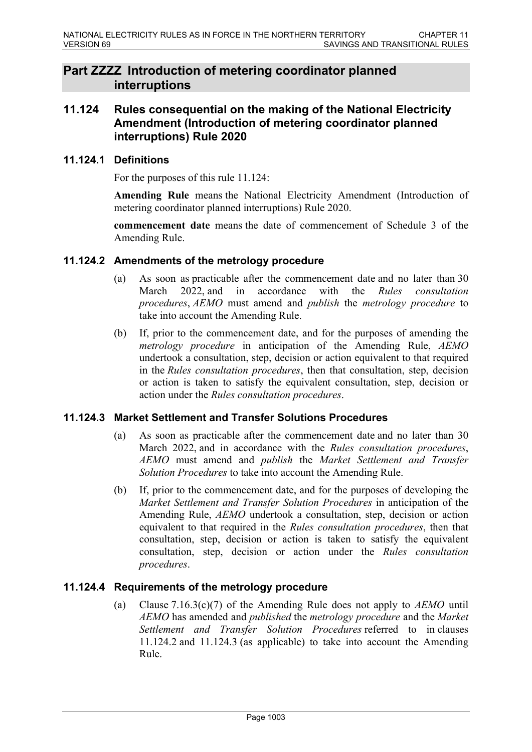# **Part ZZZZ Introduction of metering coordinator planned interruptions**

# **11.124 Rules consequential on the making of the National Electricity Amendment (Introduction of metering coordinator planned interruptions) Rule 2020**

## **11.124.1 Definitions**

For the purposes of this rule 11.124:

**Amending Rule** means the National Electricity Amendment (Introduction of metering coordinator planned interruptions) Rule 2020.

**commencement date** means the date of commencement of Schedule 3 of the Amending Rule.

#### **11.124.2 Amendments of the metrology procedure**

- (a) As soon as practicable after the commencement date and no later than 30 March 2022, and in accordance with the *Rules consultation procedures*, *AEMO* must amend and *publish* the *metrology procedure* to take into account the Amending Rule.
- (b) If, prior to the commencement date, and for the purposes of amending the *metrology procedure* in anticipation of the Amending Rule, *AEMO* undertook a consultation, step, decision or action equivalent to that required in the *Rules consultation procedures*, then that consultation, step, decision or action is taken to satisfy the equivalent consultation, step, decision or action under the *Rules consultation procedures*.

## **11.124.3 Market Settlement and Transfer Solutions Procedures**

- (a) As soon as practicable after the commencement date and no later than 30 March 2022, and in accordance with the *Rules consultation procedures*, *AEMO* must amend and *publish* the *Market Settlement and Transfer Solution Procedures* to take into account the Amending Rule.
- (b) If, prior to the commencement date, and for the purposes of developing the *Market Settlement and Transfer Solution Procedures* in anticipation of the Amending Rule, *AEMO* undertook a consultation, step, decision or action equivalent to that required in the *Rules consultation procedures*, then that consultation, step, decision or action is taken to satisfy the equivalent consultation, step, decision or action under the *Rules consultation procedures*.

## **11.124.4 Requirements of the metrology procedure**

(a) Clause 7.16.3(c)(7) of the Amending Rule does not apply to *AEMO* until *AEMO* has amended and *published* the *metrology procedure* and the *Market Settlement and Transfer Solution Procedures* referred to in clauses 11.124.2 and 11.124.3 (as applicable) to take into account the Amending Rule.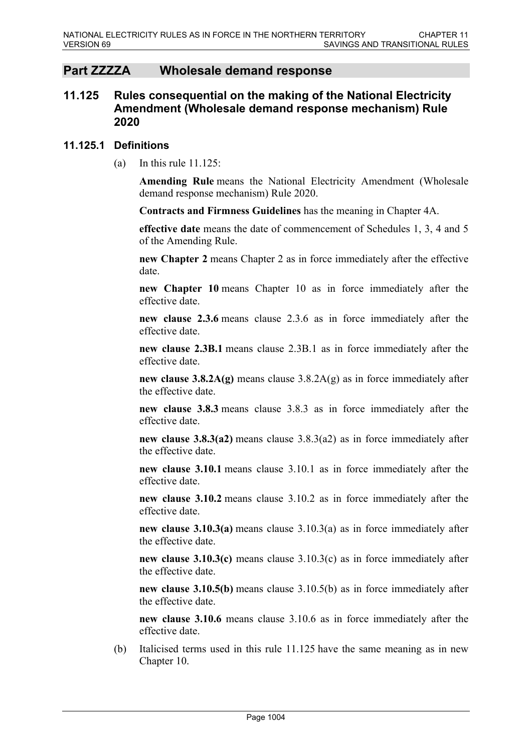# **Part ZZZZA Wholesale demand response**

# **11.125 Rules consequential on the making of the National Electricity Amendment (Wholesale demand response mechanism) Rule 2020**

#### **11.125.1 Definitions**

(a) In this rule  $11.125$ :

**Amending Rule** means the National Electricity Amendment (Wholesale demand response mechanism) Rule 2020.

**Contracts and Firmness Guidelines** has the meaning in Chapter 4A.

**effective date** means the date of commencement of Schedules 1, 3, 4 and 5 of the Amending Rule.

**new Chapter 2** means Chapter 2 as in force immediately after the effective date.

**new Chapter 10** means Chapter 10 as in force immediately after the effective date.

**new clause 2.3.6** means clause 2.3.6 as in force immediately after the effective date.

**new clause 2.3B.1** means clause 2.3B.1 as in force immediately after the effective date.

**new clause 3.8.2A(g)** means clause 3.8.2A(g) as in force immediately after the effective date.

**new clause 3.8.3** means clause 3.8.3 as in force immediately after the effective date.

**new clause 3.8.3(a2)** means clause 3.8.3(a2) as in force immediately after the effective date.

**new clause 3.10.1** means clause 3.10.1 as in force immediately after the effective date.

**new clause 3.10.2** means clause 3.10.2 as in force immediately after the effective date.

**new clause 3.10.3(a)** means clause 3.10.3(a) as in force immediately after the effective date.

**new clause 3.10.3(c)** means clause 3.10.3(c) as in force immediately after the effective date.

**new clause 3.10.5(b)** means clause 3.10.5(b) as in force immediately after the effective date.

**new clause 3.10.6** means clause 3.10.6 as in force immediately after the effective date.

(b) Italicised terms used in this rule 11.125 have the same meaning as in new Chapter 10.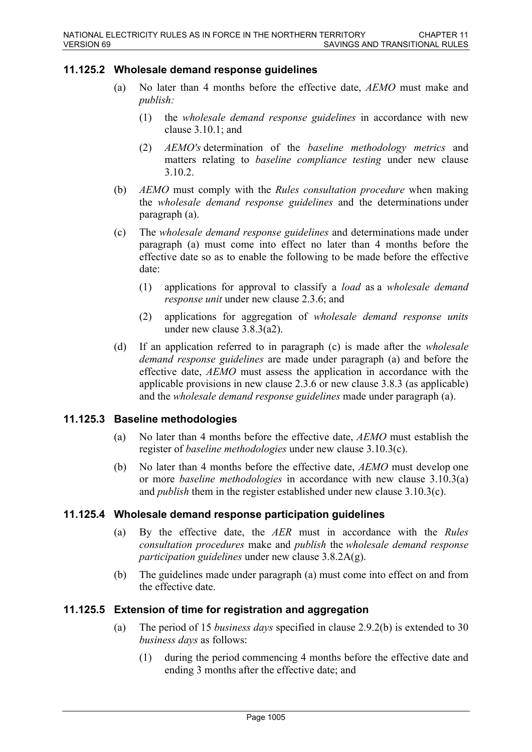#### **11.125.2 Wholesale demand response guidelines**

- (a) No later than 4 months before the effective date, *AEMO* must make and *publish:*
	- (1) the *wholesale demand response guidelines* in accordance with new clause 3.10.1; and
	- (2) *AEMO's* determination of the *baseline methodology metrics* and matters relating to *baseline compliance testing* under new clause 3.10.2.
- (b) *AEMO* must comply with the *Rules consultation procedure* when making the *wholesale demand response guidelines* and the determinations under paragraph (a).
- (c) The *wholesale demand response guidelines* and determinations made under paragraph (a) must come into effect no later than 4 months before the effective date so as to enable the following to be made before the effective date:
	- (1) applications for approval to classify a *load* as a *wholesale demand response unit* under new clause 2.3.6; and
	- (2) applications for aggregation of *wholesale demand response units* under new clause 3.8.3(a2).
- (d) If an application referred to in paragraph (c) is made after the *wholesale demand response guidelines* are made under paragraph (a) and before the effective date, *AEMO* must assess the application in accordance with the applicable provisions in new clause 2.3.6 or new clause 3.8.3 (as applicable) and the *wholesale demand response guidelines* made under paragraph (a).

#### **11.125.3 Baseline methodologies**

- (a) No later than 4 months before the effective date, *AEMO* must establish the register of *baseline methodologies* under new clause 3.10.3(c).
- (b) No later than 4 months before the effective date, *AEMO* must develop one or more *baseline methodologies* in accordance with new clause 3.10.3(a) and *publish* them in the register established under new clause 3.10.3(c).

#### **11.125.4 Wholesale demand response participation guidelines**

- (a) By the effective date, the *AER* must in accordance with the *Rules consultation procedures* make and *publish* the *wholesale demand response participation guidelines* under new clause 3.8.2A(g).
- (b) The guidelines made under paragraph (a) must come into effect on and from the effective date.

## **11.125.5 Extension of time for registration and aggregation**

- (a) The period of 15 *business days* specified in clause 2.9.2(b) is extended to 30 *business days* as follows:
	- (1) during the period commencing 4 months before the effective date and ending 3 months after the effective date; and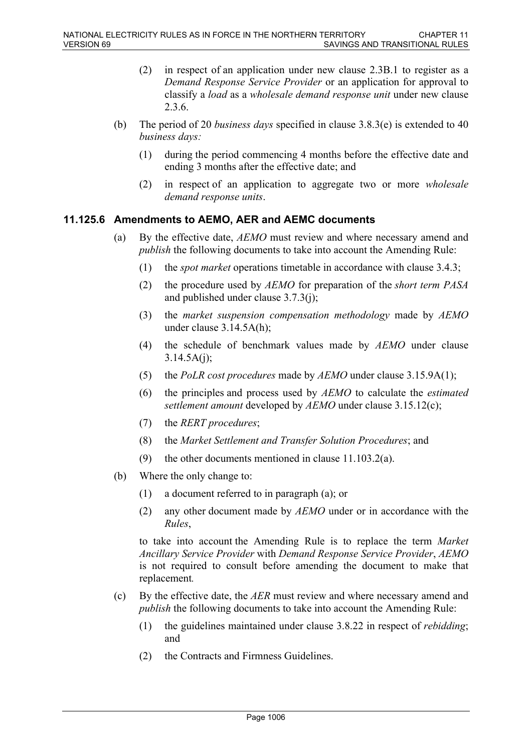- (2) in respect of an application under new clause 2.3B.1 to register as a *Demand Response Service Provider* or an application for approval to classify a *load* as a *wholesale demand response unit* under new clause 2.3.6.
- (b) The period of 20 *business days* specified in clause 3.8.3(e) is extended to 40 *business days:*
	- (1) during the period commencing 4 months before the effective date and ending 3 months after the effective date; and
	- (2) in respect of an application to aggregate two or more *wholesale demand response units*.

#### **11.125.6 Amendments to AEMO, AER and AEMC documents**

- (a) By the effective date, *AEMO* must review and where necessary amend and *publish* the following documents to take into account the Amending Rule:
	- (1) the *spot market* operations timetable in accordance with clause 3.4.3;
	- (2) the procedure used by *AEMO* for preparation of the *short term PASA* and published under clause 3.7.3(j);
	- (3) the *market suspension compensation methodology* made by *AEMO*  under clause 3.14.5A(h);
	- (4) the schedule of benchmark values made by *AEMO* under clause  $3.14.5A(i)$ ;
	- (5) the *PoLR cost procedures* made by *AEMO* under clause 3.15.9A(1);
	- (6) the principles and process used by *AEMO* to calculate the *estimated settlement amount* developed by *AEMO* under clause 3.15.12(c);
	- (7) the *RERT procedures*;
	- (8) the *Market Settlement and Transfer Solution Procedures*; and
	- (9) the other documents mentioned in clause 11.103.2(a).
- (b) Where the only change to:
	- (1) a document referred to in paragraph (a); or
	- (2) any other document made by *AEMO* under or in accordance with the *Rules*,

to take into account the Amending Rule is to replace the term *Market Ancillary Service Provider* with *Demand Response Service Provider*, *AEMO* is not required to consult before amending the document to make that replacement*.*

- (c) By the effective date, the *AER* must review and where necessary amend and *publish* the following documents to take into account the Amending Rule:
	- (1) the guidelines maintained under clause 3.8.22 in respect of *rebidding*; and
	- (2) the Contracts and Firmness Guidelines.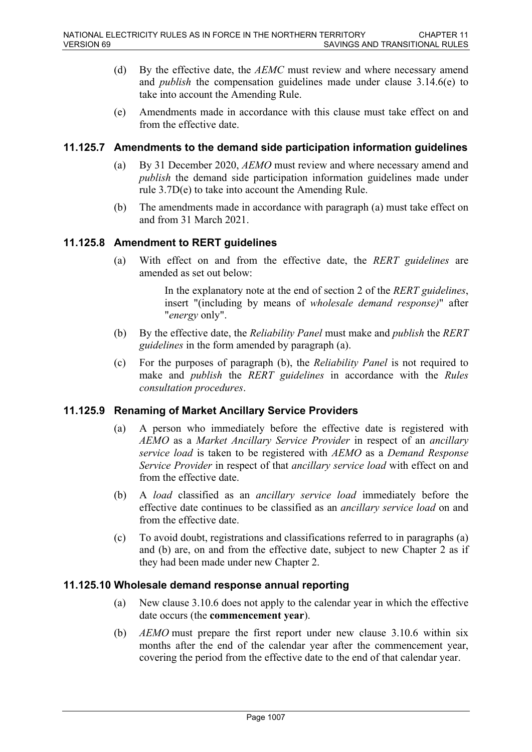- (d) By the effective date, the *AEMC* must review and where necessary amend and *publish* the compensation guidelines made under clause 3.14.6(e) to take into account the Amending Rule.
- (e) Amendments made in accordance with this clause must take effect on and from the effective date.

### **11.125.7 Amendments to the demand side participation information guidelines**

- (a) By 31 December 2020, *AEMO* must review and where necessary amend and *publish* the demand side participation information guidelines made under rule 3.7D(e) to take into account the Amending Rule.
- (b) The amendments made in accordance with paragraph (a) must take effect on and from 31 March 2021.

### **11.125.8 Amendment to RERT guidelines**

(a) With effect on and from the effective date, the *RERT guidelines* are amended as set out below:

> In the explanatory note at the end of section 2 of the *RERT guidelines*, insert "(including by means of *wholesale demand response)*" after "*energy* only".

- (b) By the effective date, the *Reliability Panel* must make and *publish* the *RERT guidelines* in the form amended by paragraph (a).
- (c) For the purposes of paragraph (b), the *Reliability Panel* is not required to make and *publish* the *RERT guidelines* in accordance with the *Rules consultation procedures*.

#### **11.125.9 Renaming of Market Ancillary Service Providers**

- (a) A person who immediately before the effective date is registered with *AEMO* as a *Market Ancillary Service Provider* in respect of an *ancillary service load* is taken to be registered with *AEMO* as a *Demand Response Service Provider* in respect of that *ancillary service load* with effect on and from the effective date.
- (b) A *load* classified as an *ancillary service load* immediately before the effective date continues to be classified as an *ancillary service load* on and from the effective date.
- (c) To avoid doubt, registrations and classifications referred to in paragraphs (a) and (b) are, on and from the effective date, subject to new Chapter 2 as if they had been made under new Chapter 2.

#### **11.125.10 Wholesale demand response annual reporting**

- (a) New clause 3.10.6 does not apply to the calendar year in which the effective date occurs (the **commencement year**).
- (b) *AEMO* must prepare the first report under new clause 3.10.6 within six months after the end of the calendar year after the commencement year, covering the period from the effective date to the end of that calendar year.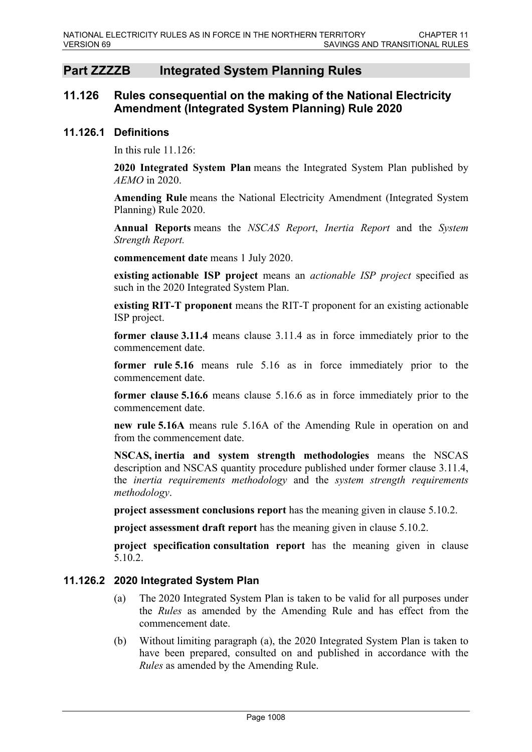# **Part ZZZZB Integrated System Planning Rules**

## **11.126 Rules consequential on the making of the National Electricity Amendment (Integrated System Planning) Rule 2020**

#### **11.126.1 Definitions**

In this rule  $11.126$ 

**2020 Integrated System Plan** means the Integrated System Plan published by *AEMO* in 2020.

**Amending Rule** means the National Electricity Amendment (Integrated System Planning) Rule 2020.

**Annual Reports** means the *NSCAS Report*, *Inertia Report* and the *System Strength Report.*

**commencement date** means 1 July 2020.

**existing actionable ISP project** means an *actionable ISP project* specified as such in the 2020 Integrated System Plan.

**existing RIT-T proponent** means the RIT-T proponent for an existing actionable ISP project.

**former clause 3.11.4** means clause 3.11.4 as in force immediately prior to the commencement date.

**former rule 5.16** means rule 5.16 as in force immediately prior to the commencement date.

**former clause 5.16.6** means clause 5.16.6 as in force immediately prior to the commencement date.

**new rule 5.16A** means rule 5.16A of the Amending Rule in operation on and from the commencement date.

**NSCAS, inertia and system strength methodologies** means the NSCAS description and NSCAS quantity procedure published under former clause 3.11.4, the *inertia requirements methodology* and the *system strength requirements methodology*.

**project assessment conclusions report** has the meaning given in clause 5.10.2.

**project assessment draft report** has the meaning given in clause 5.10.2.

**project specification consultation report** has the meaning given in clause 5.10.2.

### **11.126.2 2020 Integrated System Plan**

- (a) The 2020 Integrated System Plan is taken to be valid for all purposes under the *Rules* as amended by the Amending Rule and has effect from the commencement date.
- (b) Without limiting paragraph (a), the 2020 Integrated System Plan is taken to have been prepared, consulted on and published in accordance with the *Rules* as amended by the Amending Rule.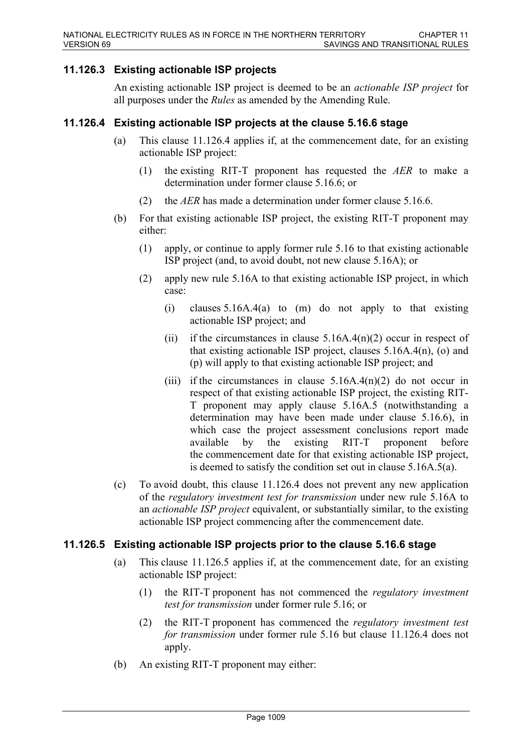## **11.126.3 Existing actionable ISP projects**

An existing actionable ISP project is deemed to be an *actionable ISP project* for all purposes under the *Rules* as amended by the Amending Rule.

#### **11.126.4 Existing actionable ISP projects at the clause 5.16.6 stage**

- (a) This clause 11.126.4 applies if, at the commencement date, for an existing actionable ISP project:
	- (1) the existing RIT-T proponent has requested the *AER* to make a determination under former clause 5.16.6; or
	- (2) the *AER* has made a determination under former clause 5.16.6.
- (b) For that existing actionable ISP project, the existing RIT-T proponent may either:
	- (1) apply, or continue to apply former rule 5.16 to that existing actionable ISP project (and, to avoid doubt, not new clause 5.16A); or
	- (2) apply new rule 5.16A to that existing actionable ISP project, in which case:
		- (i) clauses 5.16A.4(a) to (m) do not apply to that existing actionable ISP project; and
		- (ii) if the circumstances in clause  $5.16A.4(n)(2)$  occur in respect of that existing actionable ISP project, clauses 5.16A.4(n), (o) and (p) will apply to that existing actionable ISP project; and
		- (iii) if the circumstances in clause  $5.16A.4(n)(2)$  do not occur in respect of that existing actionable ISP project, the existing RIT-T proponent may apply clause 5.16A.5 (notwithstanding a determination may have been made under clause 5.16.6), in which case the project assessment conclusions report made available by the existing RIT-T proponent before the commencement date for that existing actionable ISP project, is deemed to satisfy the condition set out in clause 5.16A.5(a).
- (c) To avoid doubt, this clause 11.126.4 does not prevent any new application of the *regulatory investment test for transmission* under new rule 5.16A to an *actionable ISP project* equivalent, or substantially similar, to the existing actionable ISP project commencing after the commencement date.

#### **11.126.5 Existing actionable ISP projects prior to the clause 5.16.6 stage**

- (a) This clause 11.126.5 applies if, at the commencement date, for an existing actionable ISP project:
	- (1) the RIT-T proponent has not commenced the *regulatory investment test for transmission* under former rule 5.16; or
	- (2) the RIT-T proponent has commenced the *regulatory investment test for transmission* under former rule 5.16 but clause 11.126.4 does not apply.
- (b) An existing RIT-T proponent may either: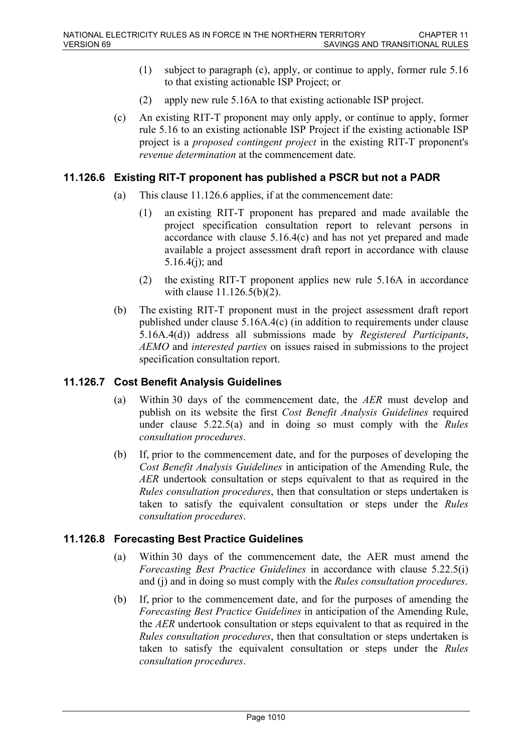- (1) subject to paragraph (c), apply, or continue to apply, former rule 5.16 to that existing actionable ISP Project; or
- (2) apply new rule 5.16A to that existing actionable ISP project.
- (c) An existing RIT-T proponent may only apply, or continue to apply, former rule 5.16 to an existing actionable ISP Project if the existing actionable ISP project is a *proposed contingent project* in the existing RIT-T proponent's *revenue determination* at the commencement date.

#### **11.126.6 Existing RIT-T proponent has published a PSCR but not a PADR**

- (a) This clause 11.126.6 applies, if at the commencement date:
	- (1) an existing RIT-T proponent has prepared and made available the project specification consultation report to relevant persons in accordance with clause 5.16.4(c) and has not yet prepared and made available a project assessment draft report in accordance with clause 5.16.4(j); and
	- (2) the existing RIT-T proponent applies new rule 5.16A in accordance with clause 11.126.5(b)(2).
- (b) The existing RIT-T proponent must in the project assessment draft report published under clause 5.16A.4(c) (in addition to requirements under clause 5.16A.4(d)) address all submissions made by *Registered Participants*, *AEMO* and *interested parties* on issues raised in submissions to the project specification consultation report.

### **11.126.7 Cost Benefit Analysis Guidelines**

- (a) Within 30 days of the commencement date, the *AER* must develop and publish on its website the first *Cost Benefit Analysis Guidelines* required under clause 5.22.5(a) and in doing so must comply with the *Rules consultation procedures*.
- (b) If, prior to the commencement date, and for the purposes of developing the *Cost Benefit Analysis Guidelines* in anticipation of the Amending Rule, the *AER* undertook consultation or steps equivalent to that as required in the *Rules consultation procedures*, then that consultation or steps undertaken is taken to satisfy the equivalent consultation or steps under the *Rules consultation procedures*.

### **11.126.8 Forecasting Best Practice Guidelines**

- (a) Within 30 days of the commencement date, the AER must amend the *Forecasting Best Practice Guidelines* in accordance with clause 5.22.5(i) and (j) and in doing so must comply with the *Rules consultation procedures*.
- (b) If, prior to the commencement date, and for the purposes of amending the *Forecasting Best Practice Guidelines* in anticipation of the Amending Rule, the *AER* undertook consultation or steps equivalent to that as required in the *Rules consultation procedures*, then that consultation or steps undertaken is taken to satisfy the equivalent consultation or steps under the *Rules consultation procedures*.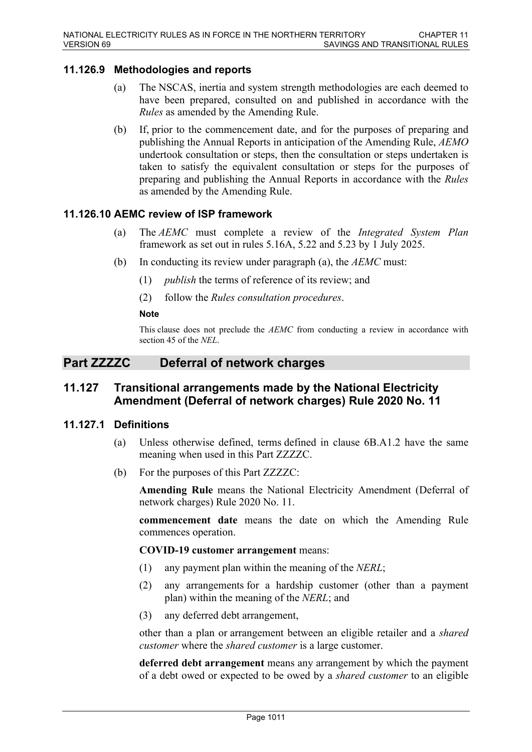## **11.126.9 Methodologies and reports**

- (a) The NSCAS, inertia and system strength methodologies are each deemed to have been prepared, consulted on and published in accordance with the *Rules* as amended by the Amending Rule.
- (b) If, prior to the commencement date, and for the purposes of preparing and publishing the Annual Reports in anticipation of the Amending Rule, *AEMO* undertook consultation or steps, then the consultation or steps undertaken is taken to satisfy the equivalent consultation or steps for the purposes of preparing and publishing the Annual Reports in accordance with the *Rules* as amended by the Amending Rule.

#### **11.126.10 AEMC review of ISP framework**

- (a) The *AEMC* must complete a review of the *Integrated System Plan* framework as set out in rules 5.16A, 5.22 and 5.23 by 1 July 2025.
- (b) In conducting its review under paragraph (a), the *AEMC* must:
	- (1) *publish* the terms of reference of its review; and
	- (2) follow the *Rules consultation procedures*.

#### **Note**

This clause does not preclude the *AEMC* from conducting a review in accordance with section 45 of the *NEL*.

# **Part ZZZZC Deferral of network charges**

## **11.127 Transitional arrangements made by the National Electricity Amendment (Deferral of network charges) Rule 2020 No. 11**

#### **11.127.1 Definitions**

- (a) Unless otherwise defined, terms defined in clause 6B.A1.2 have the same meaning when used in this Part ZZZZC.
- (b) For the purposes of this Part ZZZZC:

**Amending Rule** means the National Electricity Amendment (Deferral of network charges) Rule 2020 No. 11.

**commencement date** means the date on which the Amending Rule commences operation.

#### **COVID-19 customer arrangement** means:

- (1) any payment plan within the meaning of the *NERL*;
- (2) any arrangements for a hardship customer (other than a payment plan) within the meaning of the *NERL*; and
- (3) any deferred debt arrangement,

other than a plan or arrangement between an eligible retailer and a *shared customer* where the *shared customer* is a large customer.

**deferred debt arrangement** means any arrangement by which the payment of a debt owed or expected to be owed by a *shared customer* to an eligible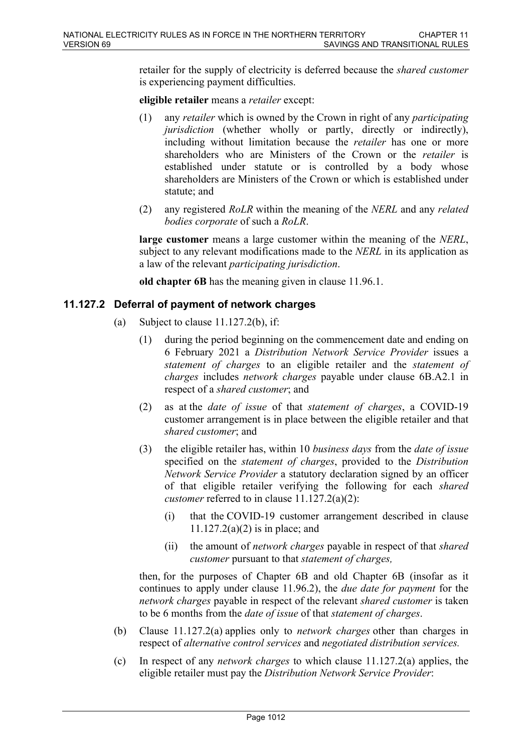retailer for the supply of electricity is deferred because the *shared customer* is experiencing payment difficulties.

**eligible retailer** means a *retailer* except:

- (1) any *retailer* which is owned by the Crown in right of any *participating jurisdiction* (whether wholly or partly, directly or indirectly), including without limitation because the *retailer* has one or more shareholders who are Ministers of the Crown or the *retailer* is established under statute or is controlled by a body whose shareholders are Ministers of the Crown or which is established under statute; and
- (2) any registered *RoLR* within the meaning of the *NERL* and any *related bodies corporate* of such a *RoLR*.

**large customer** means a large customer within the meaning of the *NERL*, subject to any relevant modifications made to the *NERL* in its application as a law of the relevant *participating jurisdiction*.

**old chapter 6B** has the meaning given in clause 11.96.1.

#### **11.127.2 Deferral of payment of network charges**

- (a) Subject to clause  $11.127.2(b)$ , if:
	- (1) during the period beginning on the commencement date and ending on 6 February 2021 a *Distribution Network Service Provider* issues a *statement of charges* to an eligible retailer and the *statement of charges* includes *network charges* payable under clause 6B.A2.1 in respect of a *shared customer*; and
	- (2) as at the *date of issue* of that *statement of charges*, a COVID-19 customer arrangement is in place between the eligible retailer and that *shared customer*; and
	- (3) the eligible retailer has, within 10 *business days* from the *date of issue* specified on the *statement of charges*, provided to the *Distribution Network Service Provider* a statutory declaration signed by an officer of that eligible retailer verifying the following for each *shared customer* referred to in clause 11.127.2(a)(2):
		- (i) that the COVID-19 customer arrangement described in clause  $11.127.2(a)(2)$  is in place; and
		- (ii) the amount of *network charges* payable in respect of that *shared customer* pursuant to that *statement of charges,*

then, for the purposes of Chapter 6B and old Chapter 6B (insofar as it continues to apply under clause 11.96.2), the *due date for payment* for the *network charges* payable in respect of the relevant *shared customer* is taken to be 6 months from the *date of issue* of that *statement of charges*.

- (b) Clause 11.127.2(a) applies only to *network charges* other than charges in respect of *alternative control services* and *negotiated distribution services.*
- (c) In respect of any *network charges* to which clause 11.127.2(a) applies, the eligible retailer must pay the *Distribution Network Service Provider*: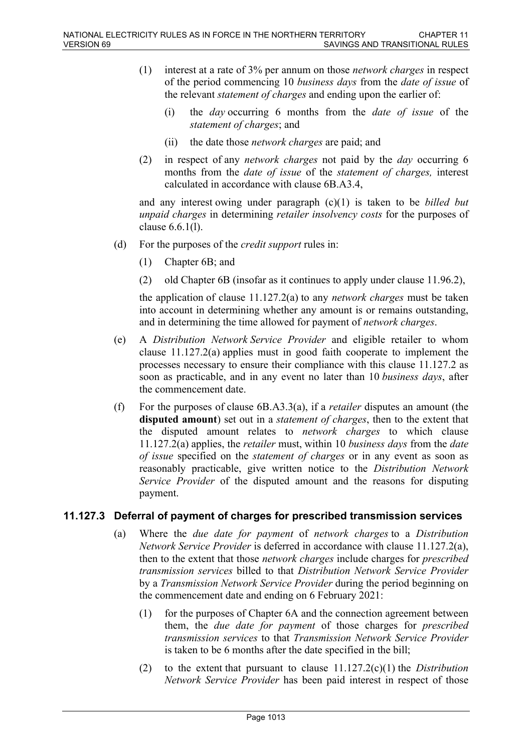- (1) interest at a rate of 3% per annum on those *network charges* in respect of the period commencing 10 *business days* from the *date of issue* of the relevant *statement of charges* and ending upon the earlier of:
	- (i) the *day* occurring 6 months from the *date of issue* of the *statement of charges*; and
	- (ii) the date those *network charges* are paid; and
- (2) in respect of any *network charges* not paid by the *day* occurring 6 months from the *date of issue* of the *statement of charges,* interest calculated in accordance with clause 6B.A3.4,

and any interest owing under paragraph (c)(1) is taken to be *billed but unpaid charges* in determining *retailer insolvency costs* for the purposes of clause 6.6.1(l).

- (d) For the purposes of the *credit support* rules in:
	- (1) Chapter 6B; and
	- (2) old Chapter 6B (insofar as it continues to apply under clause 11.96.2),

the application of clause 11.127.2(a) to any *network charges* must be taken into account in determining whether any amount is or remains outstanding, and in determining the time allowed for payment of *network charges*.

- (e) A *Distribution Network Service Provider* and eligible retailer to whom clause 11.127.2(a) applies must in good faith cooperate to implement the processes necessary to ensure their compliance with this clause 11.127.2 as soon as practicable, and in any event no later than 10 *business days*, after the commencement date.
- (f) For the purposes of clause 6B.A3.3(a), if a *retailer* disputes an amount (the **disputed amount**) set out in a *statement of charges*, then to the extent that the disputed amount relates to *network charges* to which clause 11.127.2(a) applies, the *retailer* must, within 10 *business days* from the *date of issue* specified on the *statement of charges* or in any event as soon as reasonably practicable, give written notice to the *Distribution Network Service Provider* of the disputed amount and the reasons for disputing payment.

### **11.127.3 Deferral of payment of charges for prescribed transmission services**

- (a) Where the *due date for payment* of *network charges* to a *Distribution Network Service Provider* is deferred in accordance with clause 11.127.2(a), then to the extent that those *network charges* include charges for *prescribed transmission services* billed to that *Distribution Network Service Provider*  by a *Transmission Network Service Provider* during the period beginning on the commencement date and ending on 6 February 2021:
	- (1) for the purposes of Chapter 6A and the connection agreement between them, the *due date for payment* of those charges for *prescribed transmission services* to that *Transmission Network Service Provider* is taken to be 6 months after the date specified in the bill;
	- (2) to the extent that pursuant to clause 11.127.2(c)(1) the *Distribution Network Service Provider* has been paid interest in respect of those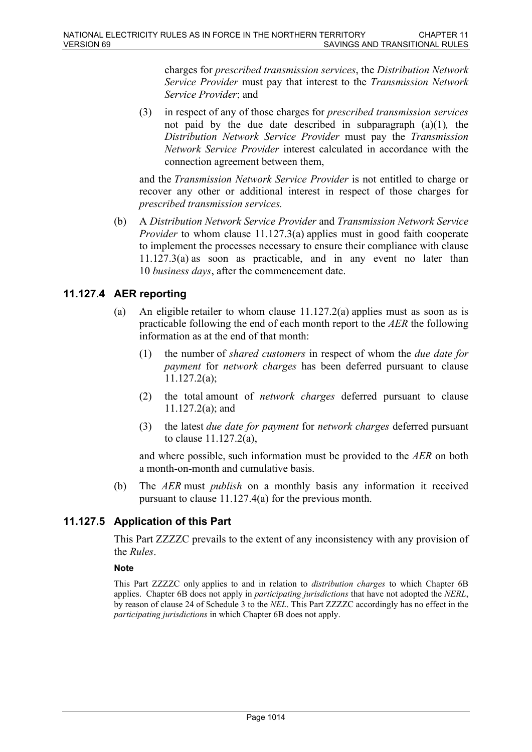charges for *prescribed transmission services*, the *Distribution Network Service Provider* must pay that interest to the *Transmission Network Service Provider*; and

(3) in respect of any of those charges for *prescribed transmission services*  not paid by the due date described in subparagraph (a)(1)*,* the *Distribution Network Service Provider* must pay the *Transmission Network Service Provider* interest calculated in accordance with the connection agreement between them,

and the *Transmission Network Service Provider* is not entitled to charge or recover any other or additional interest in respect of those charges for *prescribed transmission services.*

(b) A *Distribution Network Service Provider* and *Transmission Network Service Provider* to whom clause 11.127.3(a) applies must in good faith cooperate to implement the processes necessary to ensure their compliance with clause 11.127.3(a) as soon as practicable, and in any event no later than 10 *business days*, after the commencement date.

# **11.127.4 AER reporting**

- (a) An eligible retailer to whom clause 11.127.2(a) applies must as soon as is practicable following the end of each month report to the *AER* the following information as at the end of that month:
	- (1) the number of *shared customers* in respect of whom the *due date for payment* for *network charges* has been deferred pursuant to clause 11.127.2(a);
	- (2) the total amount of *network charges* deferred pursuant to clause 11.127.2(a); and
	- (3) the latest *due date for payment* for *network charges* deferred pursuant to clause 11.127.2(a),

and where possible, such information must be provided to the *AER* on both a month-on-month and cumulative basis.

(b) The *AER* must *publish* on a monthly basis any information it received pursuant to clause 11.127.4(a) for the previous month.

# **11.127.5 Application of this Part**

This Part ZZZZC prevails to the extent of any inconsistency with any provision of the *Rules*.

### **Note**

This Part ZZZZC only applies to and in relation to *distribution charges* to which Chapter 6B applies. Chapter 6B does not apply in *participating jurisdictions* that have not adopted the *NERL*, by reason of clause 24 of Schedule 3 to the *NEL*. This Part ZZZZC accordingly has no effect in the *participating jurisdictions* in which Chapter 6B does not apply.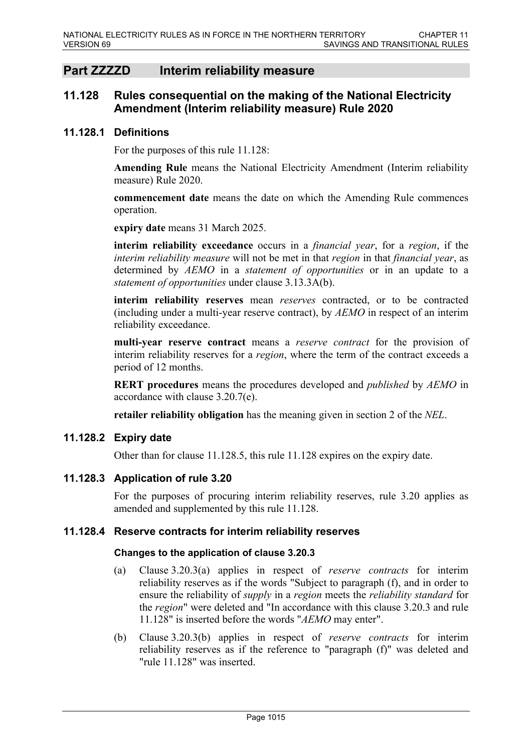# **Part ZZZZD Interim reliability measure**

## **11.128 Rules consequential on the making of the National Electricity Amendment (Interim reliability measure) Rule 2020**

#### **11.128.1 Definitions**

For the purposes of this rule 11.128:

**Amending Rule** means the National Electricity Amendment (Interim reliability measure) Rule 2020.

**commencement date** means the date on which the Amending Rule commences operation.

**expiry date** means 31 March 2025.

**interim reliability exceedance** occurs in a *financial year*, for a *region*, if the *interim reliability measure* will not be met in that *region* in that *financial year*, as determined by *AEMO* in a *statement of opportunities* or in an update to a *statement of opportunities* under clause 3.13.3A(b).

**interim reliability reserves** mean *reserves* contracted, or to be contracted (including under a multi-year reserve contract), by *AEMO* in respect of an interim reliability exceedance.

**multi-year reserve contract** means a *reserve contract* for the provision of interim reliability reserves for a *region*, where the term of the contract exceeds a period of 12 months.

**RERT procedures** means the procedures developed and *published* by *AEMO* in accordance with clause 3.20.7(e).

**retailer reliability obligation** has the meaning given in section 2 of the *NEL*.

#### **11.128.2 Expiry date**

Other than for clause 11.128.5, this rule 11.128 expires on the expiry date.

### **11.128.3 Application of rule 3.20**

For the purposes of procuring interim reliability reserves, rule 3.20 applies as amended and supplemented by this rule 11.128.

#### **11.128.4 Reserve contracts for interim reliability reserves**

#### **Changes to the application of clause 3.20.3**

- (a) Clause 3.20.3(a) applies in respect of *reserve contracts* for interim reliability reserves as if the words "Subject to paragraph (f), and in order to ensure the reliability of *supply* in a *region* meets the *reliability standard* for the *region*" were deleted and "In accordance with this clause 3.20.3 and rule 11.128" is inserted before the words "*AEMO* may enter".
- (b) Clause 3.20.3(b) applies in respect of *reserve contracts* for interim reliability reserves as if the reference to "paragraph (f)" was deleted and "rule 11.128" was inserted.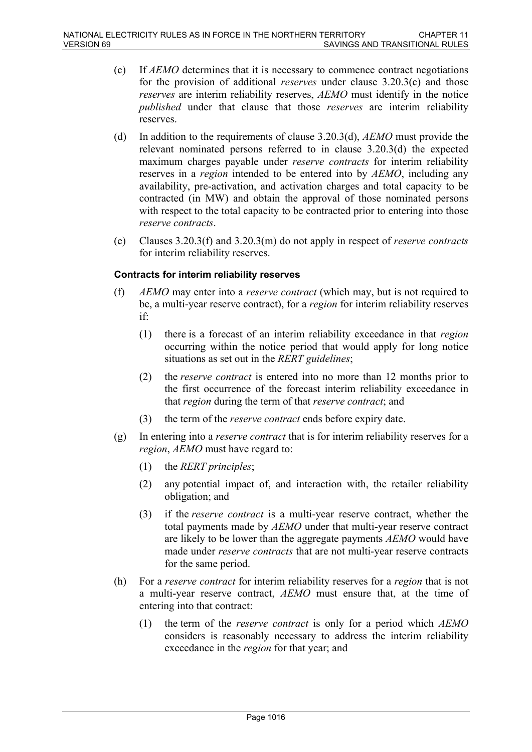- (c) If *AEMO* determines that it is necessary to commence contract negotiations for the provision of additional *reserves* under clause 3.20.3(c) and those *reserves* are interim reliability reserves, *AEMO* must identify in the notice *published* under that clause that those *reserves* are interim reliability reserves.
- (d) In addition to the requirements of clause 3.20.3(d), *AEMO* must provide the relevant nominated persons referred to in clause 3.20.3(d) the expected maximum charges payable under *reserve contracts* for interim reliability reserves in a *region* intended to be entered into by *AEMO*, including any availability, pre-activation, and activation charges and total capacity to be contracted (in MW) and obtain the approval of those nominated persons with respect to the total capacity to be contracted prior to entering into those *reserve contracts*.
- (e) Clauses 3.20.3(f) and 3.20.3(m) do not apply in respect of *reserve contracts* for interim reliability reserves.

### **Contracts for interim reliability reserves**

- (f) *AEMO* may enter into a *reserve contract* (which may, but is not required to be, a multi-year reserve contract), for a *region* for interim reliability reserves if:
	- (1) there is a forecast of an interim reliability exceedance in that *region*  occurring within the notice period that would apply for long notice situations as set out in the *RERT guidelines*;
	- (2) the *reserve contract* is entered into no more than 12 months prior to the first occurrence of the forecast interim reliability exceedance in that *region* during the term of that *reserve contract*; and
	- (3) the term of the *reserve contract* ends before expiry date.
- (g) In entering into a *reserve contract* that is for interim reliability reserves for a *region*, *AEMO* must have regard to:
	- (1) the *RERT principles*;
	- (2) any potential impact of, and interaction with, the retailer reliability obligation; and
	- (3) if the *reserve contract* is a multi-year reserve contract, whether the total payments made by *AEMO* under that multi-year reserve contract are likely to be lower than the aggregate payments *AEMO* would have made under *reserve contracts* that are not multi-year reserve contracts for the same period.
- (h) For a *reserve contract* for interim reliability reserves for a *region* that is not a multi-year reserve contract, *AEMO* must ensure that, at the time of entering into that contract:
	- (1) the term of the *reserve contract* is only for a period which *AEMO* considers is reasonably necessary to address the interim reliability exceedance in the *region* for that year; and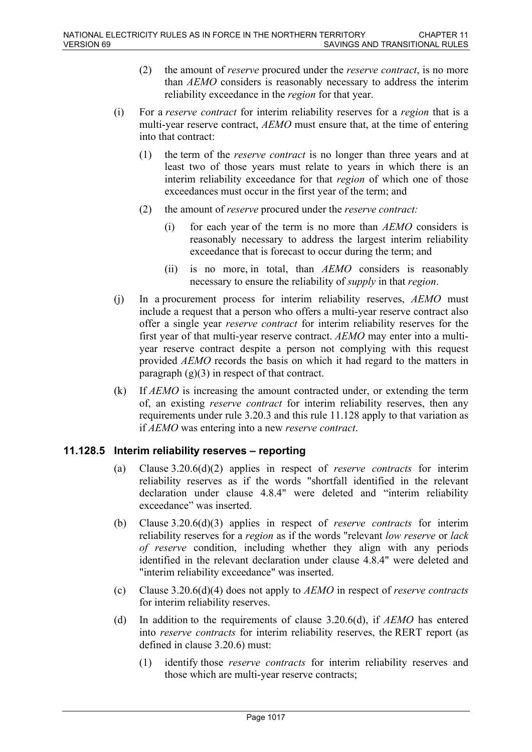- (2) the amount of *reserve* procured under the *reserve contract*, is no more than *AEMO* considers is reasonably necessary to address the interim reliability exceedance in the *region* for that year.
- (i) For a *reserve contract* for interim reliability reserves for a *region* that is a multi-year reserve contract, *AEMO* must ensure that, at the time of entering into that contract:
	- (1) the term of the *reserve contract* is no longer than three years and at least two of those years must relate to years in which there is an interim reliability exceedance for that *region* of which one of those exceedances must occur in the first year of the term; and
	- (2) the amount of *reserve* procured under the *reserve contract:*
		- (i) for each year of the term is no more than *AEMO* considers is reasonably necessary to address the largest interim reliability exceedance that is forecast to occur during the term; and
		- (ii) is no more, in total, than *AEMO* considers is reasonably necessary to ensure the reliability of *supply* in that *region*.
- (j) In a procurement process for interim reliability reserves, *AEMO* must include a request that a person who offers a multi-year reserve contract also offer a single year *reserve contract* for interim reliability reserves for the first year of that multi-year reserve contract. *AEMO* may enter into a multiyear reserve contract despite a person not complying with this request provided *AEMO* records the basis on which it had regard to the matters in paragraph  $(g)(3)$  in respect of that contract.
- (k) If *AEMO* is increasing the amount contracted under, or extending the term of, an existing *reserve contract* for interim reliability reserves, then any requirements under rule 3.20.3 and this rule 11.128 apply to that variation as if *AEMO* was entering into a new *reserve contract*.

### **11.128.5 Interim reliability reserves – reporting**

- (a) Clause 3.20.6(d)(2) applies in respect of *reserve contracts* for interim reliability reserves as if the words "shortfall identified in the relevant declaration under clause 4.8.4" were deleted and "interim reliability exceedance" was inserted.
- (b) Clause 3.20.6(d)(3) applies in respect of *reserve contracts* for interim reliability reserves for a *region* as if the words "relevant *low reserve* or *lack of reserve* condition, including whether they align with any periods identified in the relevant declaration under clause 4.8.4" were deleted and "interim reliability exceedance" was inserted.
- (c) Clause 3.20.6(d)(4) does not apply to *AEMO* in respect of *reserve contracts* for interim reliability reserves.
- (d) In addition to the requirements of clause 3.20.6(d), if *AEMO* has entered into *reserve contracts* for interim reliability reserves, the RERT report (as defined in clause 3.20.6) must:
	- (1) identify those *reserve contracts* for interim reliability reserves and those which are multi-year reserve contracts;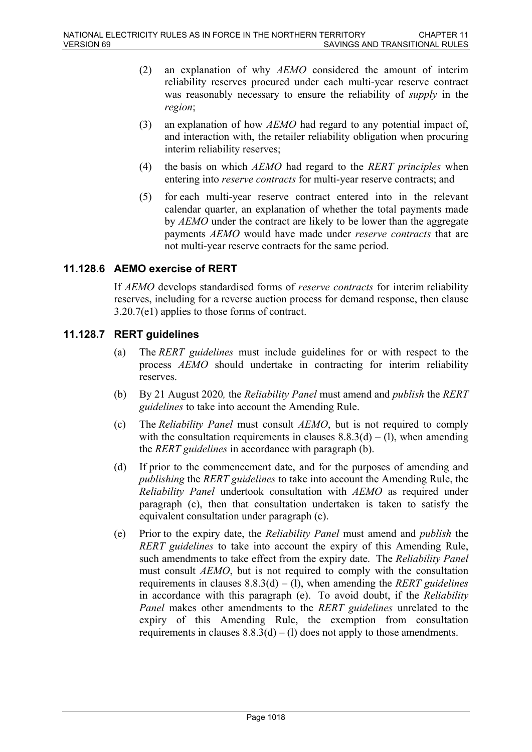- (2) an explanation of why *AEMO* considered the amount of interim reliability reserves procured under each multi-year reserve contract was reasonably necessary to ensure the reliability of *supply* in the *region*;
- (3) an explanation of how *AEMO* had regard to any potential impact of, and interaction with, the retailer reliability obligation when procuring interim reliability reserves;
- (4) the basis on which *AEMO* had regard to the *RERT principles* when entering into *reserve contracts* for multi-year reserve contracts; and
- (5) for each multi-year reserve contract entered into in the relevant calendar quarter, an explanation of whether the total payments made by *AEMO* under the contract are likely to be lower than the aggregate payments *AEMO* would have made under *reserve contracts* that are not multi-year reserve contracts for the same period.

## **11.128.6 AEMO exercise of RERT**

If *AEMO* develops standardised forms of *reserve contracts* for interim reliability reserves, including for a reverse auction process for demand response, then clause 3.20.7(e1) applies to those forms of contract.

### **11.128.7 RERT guidelines**

- (a) The *RERT guidelines* must include guidelines for or with respect to the process *AEMO* should undertake in contracting for interim reliability reserves.
- (b) By 21 August 2020*,* the *Reliability Panel* must amend and *publish* the *RERT guidelines* to take into account the Amending Rule.
- (c) The *Reliability Panel* must consult *AEMO*, but is not required to comply with the consultation requirements in clauses  $8.8.3(d) - (1)$ , when amending the *RERT guidelines* in accordance with paragraph (b).
- (d) If prior to the commencement date, and for the purposes of amending and *publishing* the *RERT guidelines* to take into account the Amending Rule, the *Reliability Panel* undertook consultation with *AEMO* as required under paragraph (c), then that consultation undertaken is taken to satisfy the equivalent consultation under paragraph (c).
- (e) Prior to the expiry date, the *Reliability Panel* must amend and *publish* the *RERT guidelines* to take into account the expiry of this Amending Rule, such amendments to take effect from the expiry date. The *Reliability Panel* must consult *AEMO*, but is not required to comply with the consultation requirements in clauses 8.8.3(d) – (l), when amending the *RERT guidelines*  in accordance with this paragraph (e). To avoid doubt, if the *Reliability Panel* makes other amendments to the *RERT guidelines* unrelated to the expiry of this Amending Rule, the exemption from consultation requirements in clauses  $8.8.3(d) - (1)$  does not apply to those amendments.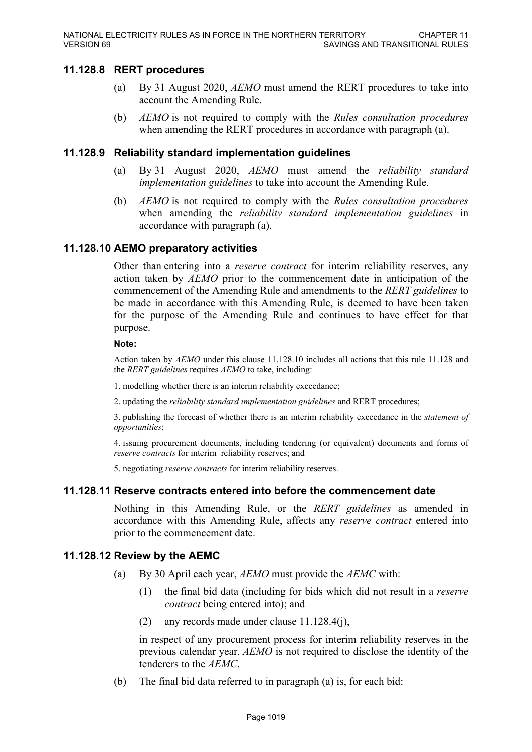#### **11.128.8 RERT procedures**

- (a) By 31 August 2020, *AEMO* must amend the RERT procedures to take into account the Amending Rule.
- (b) *AEMO* is not required to comply with the *Rules consultation procedures*  when amending the RERT procedures in accordance with paragraph (a).

#### **11.128.9 Reliability standard implementation guidelines**

- (a) By 31 August 2020, *AEMO* must amend the *reliability standard implementation guidelines* to take into account the Amending Rule.
- (b) *AEMO* is not required to comply with the *Rules consultation procedures*  when amending the *reliability standard implementation guidelines* in accordance with paragraph (a).

#### **11.128.10 AEMO preparatory activities**

Other than entering into a *reserve contract* for interim reliability reserves, any action taken by *AEMO* prior to the commencement date in anticipation of the commencement of the Amending Rule and amendments to the *RERT guidelines* to be made in accordance with this Amending Rule, is deemed to have been taken for the purpose of the Amending Rule and continues to have effect for that purpose.

#### **Note:**

Action taken by *AEMO* under this clause 11.128.10 includes all actions that this rule 11.128 and the *RERT guidelines* requires *AEMO* to take, including:

1. modelling whether there is an interim reliability exceedance;

2. updating the *reliability standard implementation guidelines* and RERT procedures;

3. publishing the forecast of whether there is an interim reliability exceedance in the *statement of opportunities*;

4. issuing procurement documents, including tendering (or equivalent) documents and forms of *reserve contracts* for interim reliability reserves; and

5. negotiating *reserve contracts* for interim reliability reserves.

#### **11.128.11 Reserve contracts entered into before the commencement date**

Nothing in this Amending Rule, or the *RERT guidelines* as amended in accordance with this Amending Rule, affects any *reserve contract* entered into prior to the commencement date.

#### **11.128.12 Review by the AEMC**

- (a) By 30 April each year, *AEMO* must provide the *AEMC* with:
	- (1) the final bid data (including for bids which did not result in a *reserve contract* being entered into); and
	- (2) any records made under clause 11.128.4(j),

in respect of any procurement process for interim reliability reserves in the previous calendar year. *AEMO* is not required to disclose the identity of the tenderers to the *AEMC*.

(b) The final bid data referred to in paragraph (a) is, for each bid: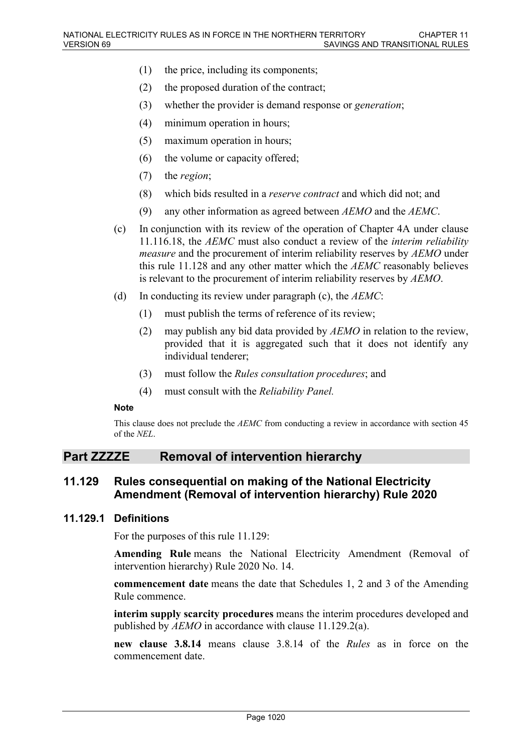- (1) the price, including its components;
- (2) the proposed duration of the contract;
- (3) whether the provider is demand response or *generation*;
- (4) minimum operation in hours;
- (5) maximum operation in hours;
- (6) the volume or capacity offered;
- (7) the *region*;
- (8) which bids resulted in a *reserve contract* and which did not; and
- (9) any other information as agreed between *AEMO* and the *AEMC*.
- (c) In conjunction with its review of the operation of Chapter 4A under clause 11.116.18, the *AEMC* must also conduct a review of the *interim reliability measure* and the procurement of interim reliability reserves by *AEMO* under this rule 11.128 and any other matter which the *AEMC* reasonably believes is relevant to the procurement of interim reliability reserves by *AEMO*.
- (d) In conducting its review under paragraph (c), the *AEMC*:
	- (1) must publish the terms of reference of its review;
	- (2) may publish any bid data provided by *AEMO* in relation to the review, provided that it is aggregated such that it does not identify any individual tenderer;
	- (3) must follow the *Rules consultation procedures*; and
	- (4) must consult with the *Reliability Panel.*

#### **Note**

This clause does not preclude the *AEMC* from conducting a review in accordance with section 45 of the *NEL*.

### **Part ZZZZE Removal of intervention hierarchy**

### **11.129 Rules consequential on making of the National Electricity Amendment (Removal of intervention hierarchy) Rule 2020**

#### **11.129.1 Definitions**

For the purposes of this rule 11.129:

Amending Rule means the National Electricity Amendment (Removal of intervention hierarchy) Rule 2020 No. 14.

**commencement date** means the date that Schedules 1, 2 and 3 of the Amending Rule commence.

**interim supply scarcity procedures** means the interim procedures developed and published by *AEMO* in accordance with clause 11.129.2(a).

**new clause 3.8.14** means clause 3.8.14 of the *Rules* as in force on the commencement date.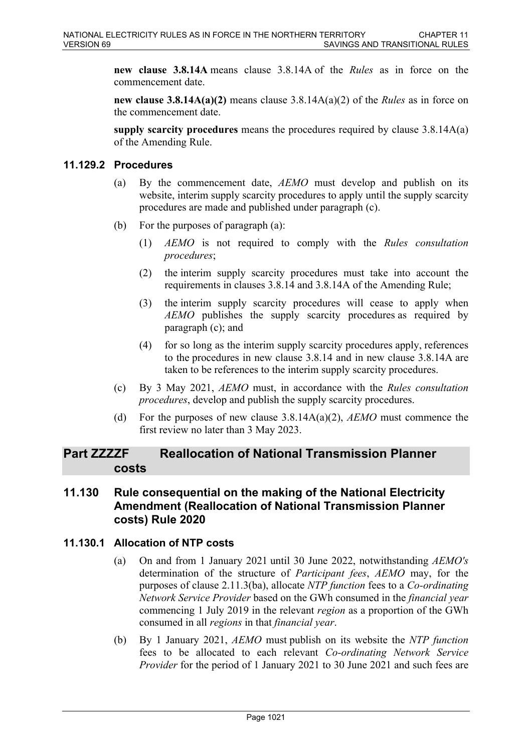**new clause 3.8.14A** means clause 3.8.14A of the *Rules* as in force on the commencement date.

**new clause 3.8.14A(a)(2)** means clause 3.8.14A(a)(2) of the *Rules* as in force on the commencement date.

**supply scarcity procedures** means the procedures required by clause 3.8.14A(a) of the Amending Rule.

### **11.129.2 Procedures**

- (a) By the commencement date, *AEMO* must develop and publish on its website, interim supply scarcity procedures to apply until the supply scarcity procedures are made and published under paragraph (c).
- (b) For the purposes of paragraph (a):
	- (1) *AEMO* is not required to comply with the *Rules consultation procedures*;
	- (2) the interim supply scarcity procedures must take into account the requirements in clauses 3.8.14 and 3.8.14A of the Amending Rule;
	- (3) the interim supply scarcity procedures will cease to apply when *AEMO* publishes the supply scarcity procedures as required by paragraph (c); and
	- (4) for so long as the interim supply scarcity procedures apply, references to the procedures in new clause 3.8.14 and in new clause 3.8.14A are taken to be references to the interim supply scarcity procedures.
- (c) By 3 May 2021, *AEMO* must, in accordance with the *Rules consultation procedures*, develop and publish the supply scarcity procedures.
- (d) For the purposes of new clause 3.8.14A(a)(2), *AEMO* must commence the first review no later than 3 May 2023.

# **Part ZZZZF Reallocation of National Transmission Planner costs**

# **11.130 Rule consequential on the making of the National Electricity Amendment (Reallocation of National Transmission Planner costs) Rule 2020**

### **11.130.1 Allocation of NTP costs**

- (a) On and from 1 January 2021 until 30 June 2022, notwithstanding *AEMO's* determination of the structure of *Participant fees*, *AEMO* may, for the purposes of clause 2.11.3(ba), allocate *NTP function* fees to a *Co-ordinating Network Service Provider* based on the GWh consumed in the *financial year* commencing 1 July 2019 in the relevant *region* as a proportion of the GWh consumed in all *regions* in that *financial year*.
- (b) By 1 January 2021, *AEMO* must publish on its website the *NTP function* fees to be allocated to each relevant *Co-ordinating Network Service Provider* for the period of 1 January 2021 to 30 June 2021 and such fees are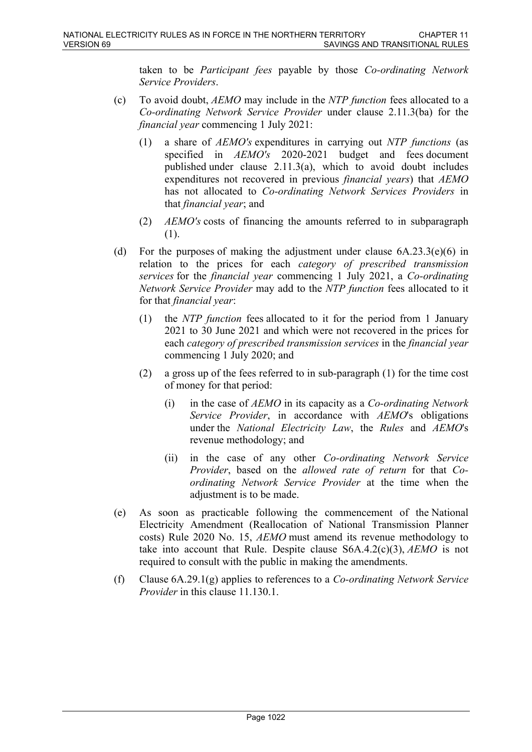taken to be *Participant fees* payable by those *Co-ordinating Network Service Providers*.

- (c) To avoid doubt, *AEMO* may include in the *NTP function* fees allocated to a *Co-ordinating Network Service Provider* under clause 2.11.3(ba) for the *financial year* commencing 1 July 2021:
	- (1) a share of *AEMO's* expenditures in carrying out *NTP functions* (as specified in *AEMO's* 2020-2021 budget and fees document published under clause 2.11.3(a), which to avoid doubt includes expenditures not recovered in previous *financial years*) that *AEMO* has not allocated to *Co-ordinating Network Services Providers* in that *financial year*; and
	- (2) *AEMO's* costs of financing the amounts referred to in subparagraph (1).
- (d) For the purposes of making the adjustment under clause  $6A.23.3(e)(6)$  in relation to the prices for each *category of prescribed transmission services* for the *financial year* commencing 1 July 2021, a *Co-ordinating Network Service Provider* may add to the *NTP function* fees allocated to it for that *financial year*:
	- (1) the *NTP function* fees allocated to it for the period from 1 January 2021 to 30 June 2021 and which were not recovered in the prices for each *category of prescribed transmission services* in the *financial year* commencing 1 July 2020; and
	- (2) a gross up of the fees referred to in sub-paragraph (1) for the time cost of money for that period:
		- (i) in the case of *AEMO* in its capacity as a *Co-ordinating Network Service Provider*, in accordance with *AEMO*'s obligations under the *National Electricity Law*, the *Rules* and *AEMO*'s revenue methodology; and
		- (ii) in the case of any other *Co-ordinating Network Service Provider*, based on the *allowed rate of return* for that *Coordinating Network Service Provider* at the time when the adjustment is to be made.
- (e) As soon as practicable following the commencement of the National Electricity Amendment (Reallocation of National Transmission Planner costs) Rule 2020 No. 15, *AEMO* must amend its revenue methodology to take into account that Rule. Despite clause S6A.4.2(c)(3), *AEMO* is not required to consult with the public in making the amendments.
- (f) Clause 6A.29.1(g) applies to references to a *Co-ordinating Network Service Provider* in this clause 11.130.1.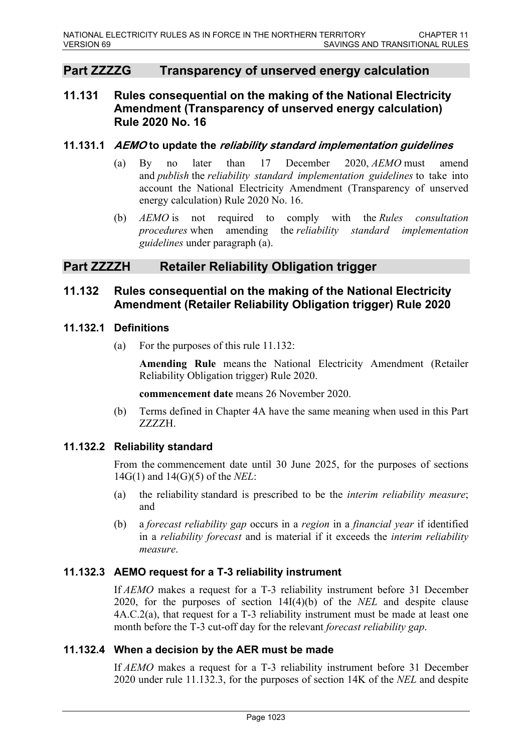# **Part ZZZZG Transparency of unserved energy calculation**

# **11.131 Rules consequential on the making of the National Electricity Amendment (Transparency of unserved energy calculation) Rule 2020 No. 16**

#### **11.131.1** *AEMO* **to update the** *reliability standard implementation guidelines*

- (a) By no later than 17 December 2020, *AEMO* must amend and *publish* the *reliability standard implementation guidelines* to take into account the National Electricity Amendment (Transparency of unserved energy calculation) Rule 2020 No. 16.
- (b) *AEMO* is not required to comply with the *Rules consultation procedures* when amending the *reliability standard implementation guidelines* under paragraph (a).

# **Part ZZZZH Retailer Reliability Obligation trigger**

## **11.132 Rules consequential on the making of the National Electricity Amendment (Retailer Reliability Obligation trigger) Rule 2020**

### **11.132.1 Definitions**

(a) For the purposes of this rule 11.132:

**Amending Rule** means the National Electricity Amendment (Retailer Reliability Obligation trigger) Rule 2020.

**commencement date** means 26 November 2020.

(b) Terms defined in Chapter 4A have the same meaning when used in this Part ZZZZH.

### **11.132.2 Reliability standard**

From the commencement date until 30 June 2025, for the purposes of sections 14G(1) and 14(G)(5) of the *NEL*:

- (a) the reliability standard is prescribed to be the *interim reliability measure*; and
- (b) a *forecast reliability gap* occurs in a *region* in a *financial year* if identified in a *reliability forecast* and is material if it exceeds the *interim reliability measure*.

### **11.132.3 AEMO request for a T-3 reliability instrument**

If *AEMO* makes a request for a T-3 reliability instrument before 31 December 2020, for the purposes of section 14I(4)(b) of the *NEL* and despite clause 4A.C.2(a), that request for a T-3 reliability instrument must be made at least one month before the T-3 cut-off day for the relevant *forecast reliability gap*.

### **11.132.4 When a decision by the AER must be made**

If *AEMO* makes a request for a T-3 reliability instrument before 31 December 2020 under rule 11.132.3, for the purposes of section 14K of the *NEL* and despite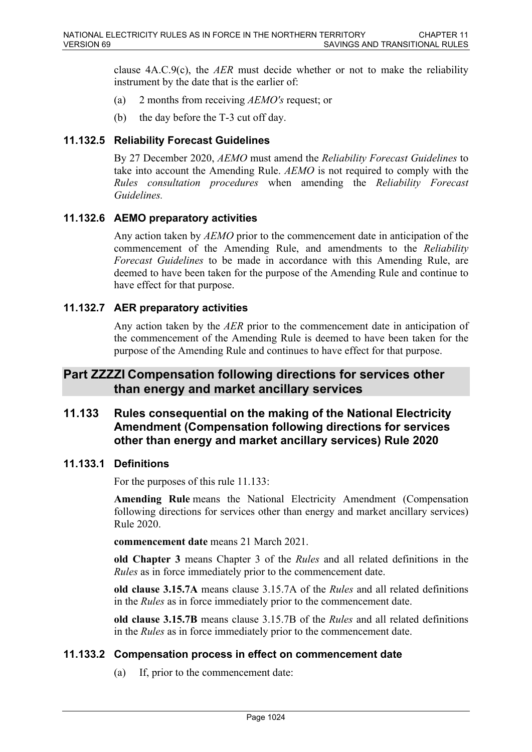clause 4A.C.9(c), the *AER* must decide whether or not to make the reliability instrument by the date that is the earlier of:

- (a) 2 months from receiving *AEMO's* request; or
- (b) the day before the T-3 cut off day.

#### **11.132.5 Reliability Forecast Guidelines**

By 27 December 2020, *AEMO* must amend the *Reliability Forecast Guidelines* to take into account the Amending Rule. *AEMO* is not required to comply with the *Rules consultation procedures* when amending the *Reliability Forecast Guidelines.*

### **11.132.6 AEMO preparatory activities**

Any action taken by *AEMO* prior to the commencement date in anticipation of the commencement of the Amending Rule, and amendments to the *Reliability Forecast Guidelines* to be made in accordance with this Amending Rule, are deemed to have been taken for the purpose of the Amending Rule and continue to have effect for that purpose.

#### **11.132.7 AER preparatory activities**

Any action taken by the *AER* prior to the commencement date in anticipation of the commencement of the Amending Rule is deemed to have been taken for the purpose of the Amending Rule and continues to have effect for that purpose.

# **Part ZZZZI Compensation following directions for services other than energy and market ancillary services**

# **11.133 Rules consequential on the making of the National Electricity Amendment (Compensation following directions for services other than energy and market ancillary services) Rule 2020**

#### **11.133.1 Definitions**

For the purposes of this rule 11.133:

**Amending Rule** means the National Electricity Amendment (Compensation following directions for services other than energy and market ancillary services) Rule 2020.

**commencement date** means 21 March 2021.

**old Chapter 3** means Chapter 3 of the *Rules* and all related definitions in the *Rules* as in force immediately prior to the commencement date.

**old clause 3.15.7A** means clause 3.15.7A of the *Rules* and all related definitions in the *Rules* as in force immediately prior to the commencement date.

**old clause 3.15.7B** means clause 3.15.7B of the *Rules* and all related definitions in the *Rules* as in force immediately prior to the commencement date.

#### **11.133.2 Compensation process in effect on commencement date**

(a) If, prior to the commencement date: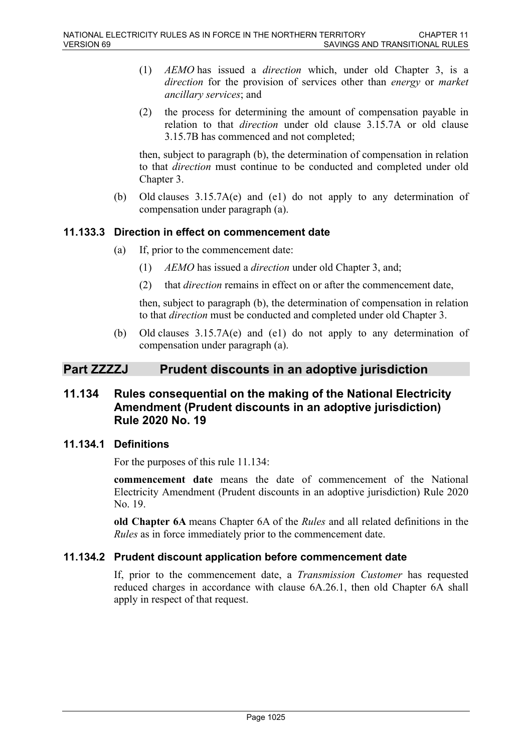- (1) *AEMO* has issued a *direction* which, under old Chapter 3, is a *direction* for the provision of services other than *energy* or *market ancillary services*; and
- (2) the process for determining the amount of compensation payable in relation to that *direction* under old clause 3.15.7A or old clause 3.15.7B has commenced and not completed;

then, subject to paragraph (b), the determination of compensation in relation to that *direction* must continue to be conducted and completed under old Chapter 3.

(b) Old clauses 3.15.7A(e) and (e1) do not apply to any determination of compensation under paragraph (a).

## **11.133.3 Direction in effect on commencement date**

- (a) If, prior to the commencement date:
	- (1) *AEMO* has issued a *direction* under old Chapter 3, and;
	- (2) that *direction* remains in effect on or after the commencement date,

then, subject to paragraph (b), the determination of compensation in relation to that *direction* must be conducted and completed under old Chapter 3.

(b) Old clauses 3.15.7A(e) and (e1) do not apply to any determination of compensation under paragraph (a).

# **Part ZZZZJ Prudent discounts in an adoptive jurisdiction**

# **11.134 Rules consequential on the making of the National Electricity Amendment (Prudent discounts in an adoptive jurisdiction) Rule 2020 No. 19**

### **11.134.1 Definitions**

For the purposes of this rule 11.134:

**commencement date** means the date of commencement of the National Electricity Amendment (Prudent discounts in an adoptive jurisdiction) Rule 2020 No. 19.

**old Chapter 6A** means Chapter 6A of the *Rules* and all related definitions in the *Rules* as in force immediately prior to the commencement date.

### **11.134.2 Prudent discount application before commencement date**

If, prior to the commencement date, a *Transmission Customer* has requested reduced charges in accordance with clause 6A.26.1, then old Chapter 6A shall apply in respect of that request.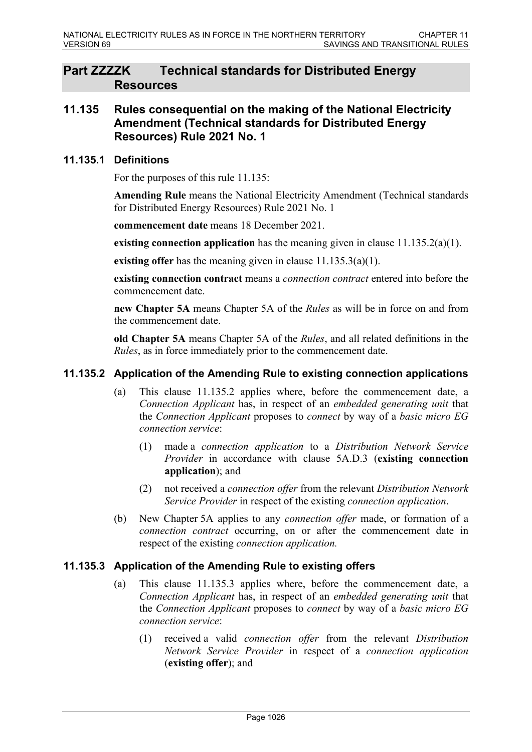# **Part ZZZZK Technical standards for Distributed Energy Resources**

# **11.135 Rules consequential on the making of the National Electricity Amendment (Technical standards for Distributed Energy Resources) Rule 2021 No. 1**

### **11.135.1 Definitions**

For the purposes of this rule 11.135:

**Amending Rule** means the National Electricity Amendment (Technical standards for Distributed Energy Resources) Rule 2021 No. 1

**commencement date** means 18 December 2021.

**existing connection application** has the meaning given in clause 11.135.2(a)(1).

**existing offer** has the meaning given in clause 11.135.3(a)(1).

**existing connection contract** means a *connection contract* entered into before the commencement date.

**new Chapter 5A** means Chapter 5A of the *Rules* as will be in force on and from the commencement date.

**old Chapter 5A** means Chapter 5A of the *Rules*, and all related definitions in the *Rules*, as in force immediately prior to the commencement date.

#### **11.135.2 Application of the Amending Rule to existing connection applications**

- (a) This clause 11.135.2 applies where, before the commencement date, a *Connection Applicant* has, in respect of an *embedded generating unit* that the *Connection Applicant* proposes to *connect* by way of a *basic micro EG connection service*:
	- (1) made a *connection application* to a *Distribution Network Service Provider* in accordance with clause 5A.D.3 (**existing connection application**); and
	- (2) not received a *connection offer* from the relevant *Distribution Network Service Provider* in respect of the existing *connection application*.
- (b) New Chapter 5A applies to any *connection offer* made, or formation of a *connection contract* occurring, on or after the commencement date in respect of the existing *connection application.*

#### **11.135.3 Application of the Amending Rule to existing offers**

- (a) This clause 11.135.3 applies where, before the commencement date, a *Connection Applicant* has, in respect of an *embedded generating unit* that the *Connection Applicant* proposes to *connect* by way of a *basic micro EG connection service*:
	- (1) received a valid *connection offer* from the relevant *Distribution Network Service Provider* in respect of a *connection application*  (**existing offer**); and